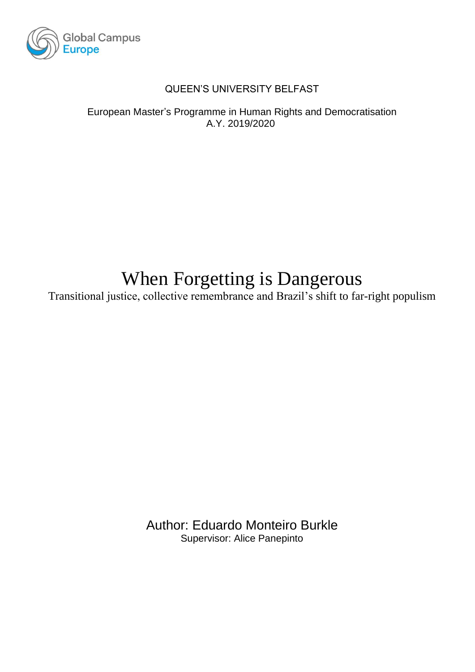

# QUEEN'S UNIVERSITY BELFAST

European Master's Programme in Human Rights and Democratisation A.Y. 2019/2020

# When Forgetting is Dangerous

Transitional justice, collective remembrance and Brazil's shift to far-right populism

Author: Eduardo Monteiro Burkle Supervisor: Alice Panepinto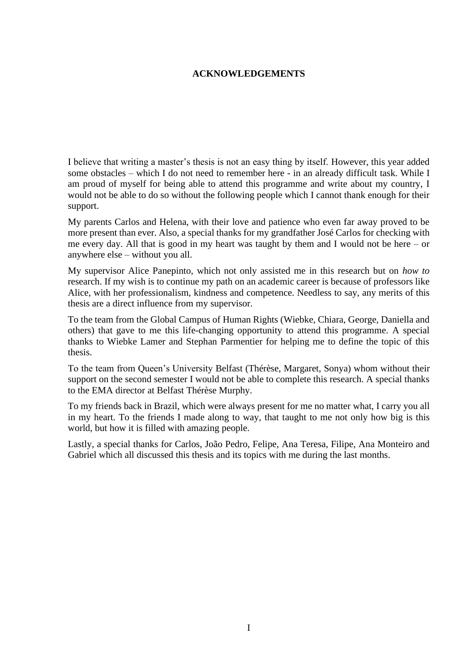# **ACKNOWLEDGEMENTS**

<span id="page-1-0"></span>I believe that writing a master's thesis is not an easy thing by itself. However, this year added some obstacles – which I do not need to remember here - in an already difficult task. While I am proud of myself for being able to attend this programme and write about my country, I would not be able to do so without the following people which I cannot thank enough for their support.

My parents Carlos and Helena, with their love and patience who even far away proved to be more present than ever. Also, a special thanks for my grandfather José Carlos for checking with me every day. All that is good in my heart was taught by them and I would not be here – or anywhere else – without you all.

My supervisor Alice Panepinto, which not only assisted me in this research but on *how to*  research. If my wish is to continue my path on an academic career is because of professors like Alice, with her professionalism, kindness and competence. Needless to say, any merits of this thesis are a direct influence from my supervisor.

To the team from the Global Campus of Human Rights (Wiebke, Chiara, George, Daniella and others) that gave to me this life-changing opportunity to attend this programme. A special thanks to Wiebke Lamer and Stephan Parmentier for helping me to define the topic of this thesis.

To the team from Queen's University Belfast (Thérèse, Margaret, Sonya) whom without their support on the second semester I would not be able to complete this research. A special thanks to the EMA director at Belfast Thérèse Murphy.

To my friends back in Brazil, which were always present for me no matter what, I carry you all in my heart. To the friends I made along to way, that taught to me not only how big is this world, but how it is filled with amazing people.

Lastly, a special thanks for Carlos, João Pedro, Felipe, Ana Teresa, Filipe, Ana Monteiro and Gabriel which all discussed this thesis and its topics with me during the last months.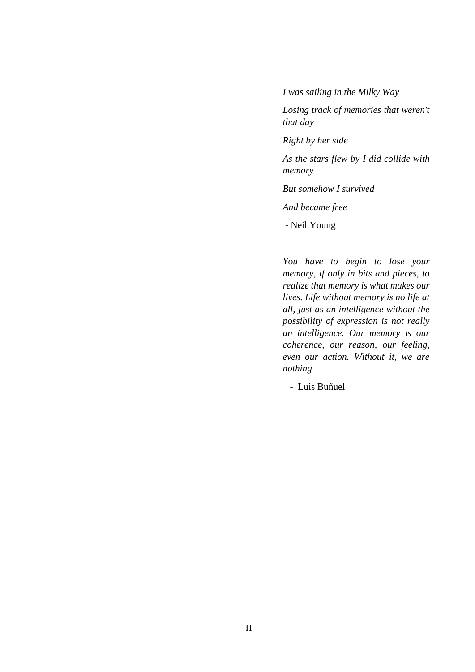*I was sailing in the Milky Way*

*Losing track of memories that weren't that day*

*Right by her side*

*As the stars flew by I did collide with memory*

*But somehow I survived*

*And became free*

- Neil Young

*You have to begin to lose your memory, if only in bits and pieces, to realize that memory is what makes our lives. Life without memory is no life at all, just as an intelligence without the possibility of expression is not really an intelligence. Our memory is our coherence, our reason, our feeling, even our action. Without it, we are nothing*

- Luis Buñuel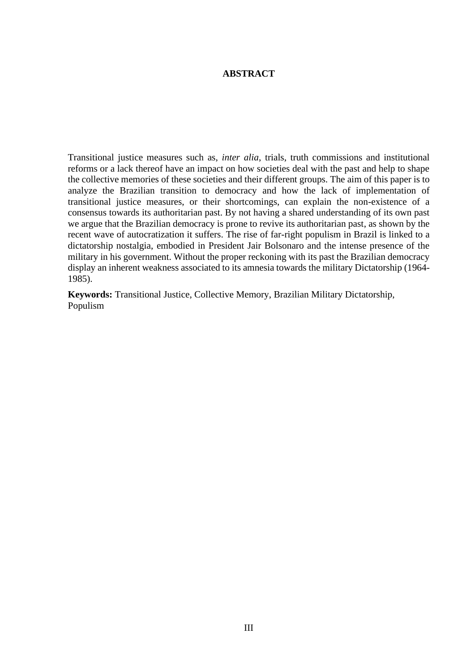## **ABSTRACT**

<span id="page-3-0"></span>Transitional justice measures such as, *inter alia*, trials, truth commissions and institutional reforms or a lack thereof have an impact on how societies deal with the past and help to shape the collective memories of these societies and their different groups. The aim of this paper is to analyze the Brazilian transition to democracy and how the lack of implementation of transitional justice measures, or their shortcomings, can explain the non-existence of a consensus towards its authoritarian past. By not having a shared understanding of its own past we argue that the Brazilian democracy is prone to revive its authoritarian past, as shown by the recent wave of autocratization it suffers. The rise of far-right populism in Brazil is linked to a dictatorship nostalgia, embodied in President Jair Bolsonaro and the intense presence of the military in his government. Without the proper reckoning with its past the Brazilian democracy display an inherent weakness associated to its amnesia towards the military Dictatorship (1964- 1985).

**Keywords:** Transitional Justice, Collective Memory, Brazilian Military Dictatorship, Populism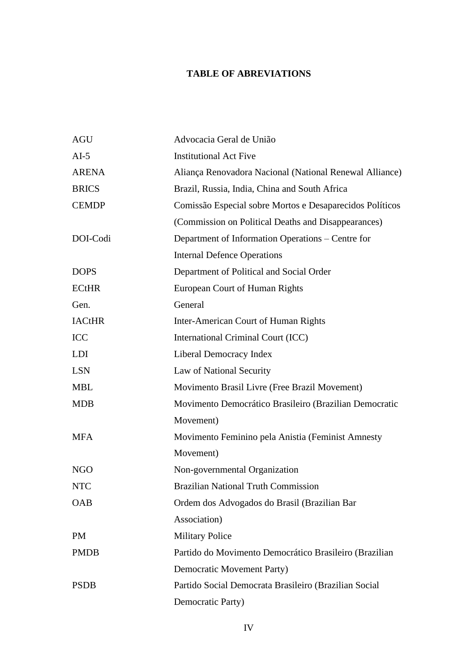# **TABLE OF ABREVIATIONS**

<span id="page-4-0"></span>

| <b>AGU</b>    | Advocacia Geral de União                                 |
|---------------|----------------------------------------------------------|
| $AI-5$        | <b>Institutional Act Five</b>                            |
| <b>ARENA</b>  | Aliança Renovadora Nacional (National Renewal Alliance)  |
| <b>BRICS</b>  | Brazil, Russia, India, China and South Africa            |
| <b>CEMDP</b>  | Comissão Especial sobre Mortos e Desaparecidos Políticos |
|               | (Commission on Political Deaths and Disappearances)      |
| DOI-Codi      | Department of Information Operations – Centre for        |
|               | <b>Internal Defence Operations</b>                       |
| <b>DOPS</b>   | Department of Political and Social Order                 |
| <b>ECtHR</b>  | <b>European Court of Human Rights</b>                    |
| Gen.          | General                                                  |
| <b>IACtHR</b> | Inter-American Court of Human Rights                     |
| <b>ICC</b>    | International Criminal Court (ICC)                       |
| <b>LDI</b>    | Liberal Democracy Index                                  |
| <b>LSN</b>    | Law of National Security                                 |
| <b>MBL</b>    | Movimento Brasil Livre (Free Brazil Movement)            |
| <b>MDB</b>    | Movimento Democrático Brasileiro (Brazilian Democratic   |
|               | Movement)                                                |
| <b>MFA</b>    | Movimento Feminino pela Anistia (Feminist Amnesty        |
|               | Movement)                                                |
| <b>NGO</b>    | Non-governmental Organization                            |
| <b>NTC</b>    | <b>Brazilian National Truth Commission</b>               |
| <b>OAB</b>    | Ordem dos Advogados do Brasil (Brazilian Bar             |
|               | Association)                                             |
| <b>PM</b>     | <b>Military Police</b>                                   |
| <b>PMDB</b>   | Partido do Movimento Democrático Brasileiro (Brazilian   |
|               | Democratic Movement Party)                               |
| <b>PSDB</b>   | Partido Social Democrata Brasileiro (Brazilian Social    |
|               | Democratic Party)                                        |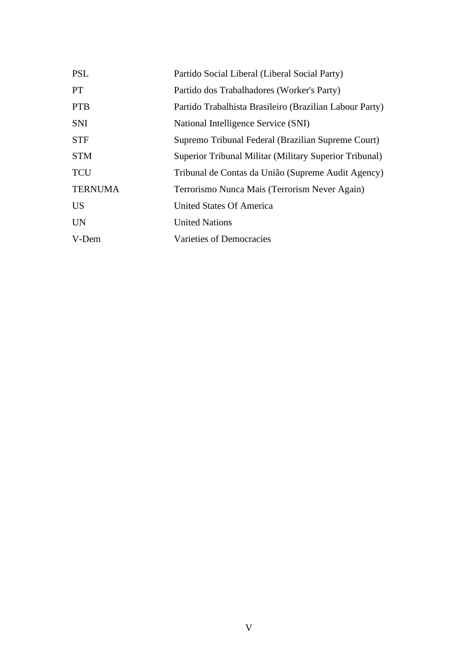| <b>PSL</b>     | Partido Social Liberal (Liberal Social Party)           |
|----------------|---------------------------------------------------------|
| <b>PT</b>      | Partido dos Trabalhadores (Worker's Party)              |
| <b>PTB</b>     | Partido Trabalhista Brasileiro (Brazilian Labour Party) |
| <b>SNI</b>     | National Intelligence Service (SNI)                     |
| <b>STF</b>     | Supremo Tribunal Federal (Brazilian Supreme Court)      |
| <b>STM</b>     | Superior Tribunal Militar (Military Superior Tribunal)  |
| <b>TCU</b>     | Tribunal de Contas da União (Supreme Audit Agency)      |
| <b>TERNUMA</b> | Terrorismo Nunca Mais (Terrorism Never Again)           |
| <b>US</b>      | United States Of America                                |
| <b>UN</b>      | <b>United Nations</b>                                   |
| V-Dem          | Varieties of Democracies                                |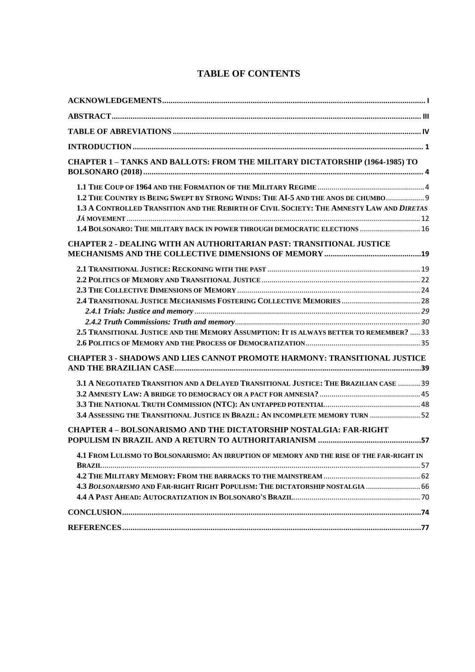# **TABLE OF CONTENTS**

| <b>CHAPTER 1 - TANKS AND BALLOTS: FROM THE MILITARY DICTATORSHIP (1964-1985) TO</b>                                                                                                                                                                                                                                                                       |  |
|-----------------------------------------------------------------------------------------------------------------------------------------------------------------------------------------------------------------------------------------------------------------------------------------------------------------------------------------------------------|--|
| 1.2 THE COUNTRY IS BEING SWEPT BY STRONG WINDS: THE AI-5 AND THE ANOS DE CHUMBO 9<br>1.3 A CONTROLLED TRANSITION AND THE REBIRTH OF CIVIL SOCIETY: THE AMNESTY LAW AND DIRETAS                                                                                                                                                                            |  |
| 1.4 BOLSONARO: THE MILITARY BACK IN POWER THROUGH DEMOCRATIC ELECTIONS  16                                                                                                                                                                                                                                                                                |  |
| <b>CHAPTER 2 - DEALING WITH AN AUTHORITARIAN PAST: TRANSITIONAL JUSTICE</b>                                                                                                                                                                                                                                                                               |  |
| 2.5 TRANSITIONAL JUSTICE AND THE MEMORY ASSUMPTION: IT IS ALWAYS BETTER TO REMEMBER?  33<br><b>CHAPTER 3 - SHADOWS AND LIES CANNOT PROMOTE HARMONY: TRANSITIONAL JUSTICE</b><br>3.1 A NEGOTIATED TRANSITION AND A DELAYED TRANSITIONAL JUSTICE: THE BRAZILIAN CASE  39<br>3.4 ASSESSING THE TRANSITIONAL JUSTICE IN BRAZIL: AN INCOMPLETE MEMORY TURN  52 |  |
| <b>CHAPTER 4 - BOLSONARISMO AND THE DICTATORSHIP NOSTALGIA: FAR-RIGHT</b><br>4.1 FROM LULISMO TO BOLSONARISMO: AN IRRUPTION OF MEMORY AND THE RISE OF THE FAR-RIGHT IN<br>4.3 BOLSONARISMO AND FAR-RIGHT RIGHT POPULISM: THE DICTATORSHIP NOSTALGIA  66                                                                                                   |  |
|                                                                                                                                                                                                                                                                                                                                                           |  |
|                                                                                                                                                                                                                                                                                                                                                           |  |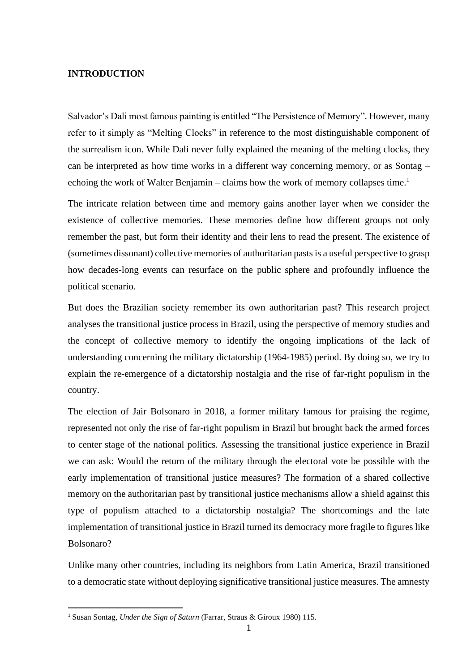### <span id="page-7-0"></span>**INTRODUCTION**

Salvador's Dali most famous painting is entitled "The Persistence of Memory". However, many refer to it simply as "Melting Clocks" in reference to the most distinguishable component of the surrealism icon. While Dali never fully explained the meaning of the melting clocks, they can be interpreted as how time works in a different way concerning memory, or as Sontag – echoing the work of Walter Benjamin – claims how the work of memory collapses time.<sup>1</sup>

The intricate relation between time and memory gains another layer when we consider the existence of collective memories. These memories define how different groups not only remember the past, but form their identity and their lens to read the present. The existence of (sometimes dissonant) collective memories of authoritarian pasts is a useful perspective to grasp how decades-long events can resurface on the public sphere and profoundly influence the political scenario.

But does the Brazilian society remember its own authoritarian past? This research project analyses the transitional justice process in Brazil, using the perspective of memory studies and the concept of collective memory to identify the ongoing implications of the lack of understanding concerning the military dictatorship (1964-1985) period. By doing so, we try to explain the re-emergence of a dictatorship nostalgia and the rise of far-right populism in the country.

The election of Jair Bolsonaro in 2018, a former military famous for praising the regime, represented not only the rise of far-right populism in Brazil but brought back the armed forces to center stage of the national politics. Assessing the transitional justice experience in Brazil we can ask: Would the return of the military through the electoral vote be possible with the early implementation of transitional justice measures? The formation of a shared collective memory on the authoritarian past by transitional justice mechanisms allow a shield against this type of populism attached to a dictatorship nostalgia? The shortcomings and the late implementation of transitional justice in Brazil turned its democracy more fragile to figures like Bolsonaro?

Unlike many other countries, including its neighbors from Latin America, Brazil transitioned to a democratic state without deploying significative transitional justice measures. The amnesty

<sup>1</sup> Susan Sontag, *Under the Sign of Saturn* (Farrar, Straus & Giroux 1980) 115.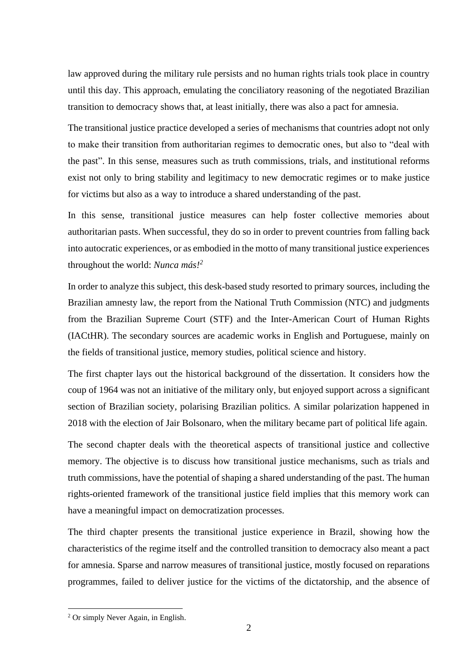law approved during the military rule persists and no human rights trials took place in country until this day. This approach, emulating the conciliatory reasoning of the negotiated Brazilian transition to democracy shows that, at least initially, there was also a pact for amnesia.

The transitional justice practice developed a series of mechanisms that countries adopt not only to make their transition from authoritarian regimes to democratic ones, but also to "deal with the past". In this sense, measures such as truth commissions, trials, and institutional reforms exist not only to bring stability and legitimacy to new democratic regimes or to make justice for victims but also as a way to introduce a shared understanding of the past.

In this sense, transitional justice measures can help foster collective memories about authoritarian pasts. When successful, they do so in order to prevent countries from falling back into autocratic experiences, or as embodied in the motto of many transitional justice experiences throughout the world: *Nunca más! 2*

In order to analyze this subject, this desk-based study resorted to primary sources, including the Brazilian amnesty law, the report from the National Truth Commission (NTC) and judgments from the Brazilian Supreme Court (STF) and the Inter-American Court of Human Rights (IACtHR). The secondary sources are academic works in English and Portuguese, mainly on the fields of transitional justice, memory studies, political science and history.

The first chapter lays out the historical background of the dissertation. It considers how the coup of 1964 was not an initiative of the military only, but enjoyed support across a significant section of Brazilian society, polarising Brazilian politics. A similar polarization happened in 2018 with the election of Jair Bolsonaro, when the military became part of political life again.

The second chapter deals with the theoretical aspects of transitional justice and collective memory. The objective is to discuss how transitional justice mechanisms, such as trials and truth commissions, have the potential of shaping a shared understanding of the past. The human rights-oriented framework of the transitional justice field implies that this memory work can have a meaningful impact on democratization processes.

The third chapter presents the transitional justice experience in Brazil, showing how the characteristics of the regime itself and the controlled transition to democracy also meant a pact for amnesia. Sparse and narrow measures of transitional justice, mostly focused on reparations programmes, failed to deliver justice for the victims of the dictatorship, and the absence of

<sup>2</sup> Or simply Never Again, in English.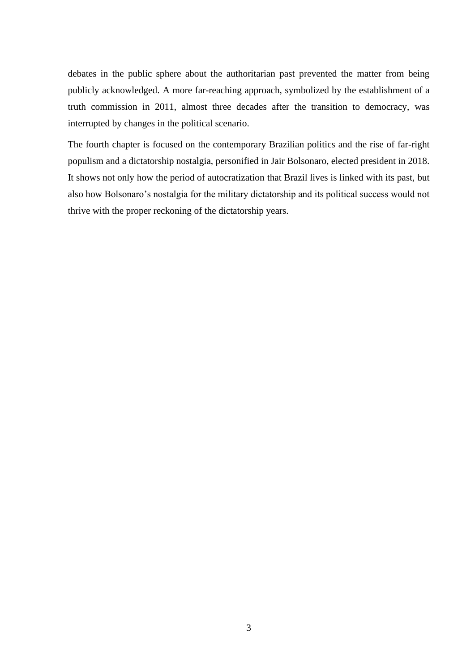debates in the public sphere about the authoritarian past prevented the matter from being publicly acknowledged. A more far-reaching approach, symbolized by the establishment of a truth commission in 2011, almost three decades after the transition to democracy, was interrupted by changes in the political scenario.

The fourth chapter is focused on the contemporary Brazilian politics and the rise of far-right populism and a dictatorship nostalgia, personified in Jair Bolsonaro, elected president in 2018. It shows not only how the period of autocratization that Brazil lives is linked with its past, but also how Bolsonaro's nostalgia for the military dictatorship and its political success would not thrive with the proper reckoning of the dictatorship years.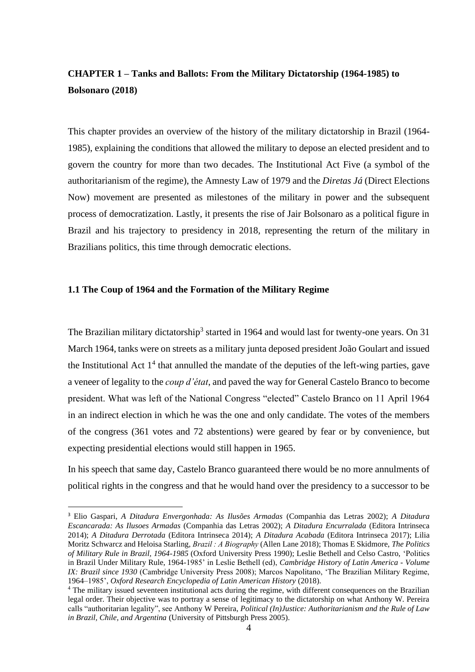# <span id="page-10-0"></span>**CHAPTER 1 – Tanks and Ballots: From the Military Dictatorship (1964-1985) to Bolsonaro (2018)**

This chapter provides an overview of the history of the military dictatorship in Brazil (1964- 1985), explaining the conditions that allowed the military to depose an elected president and to govern the country for more than two decades. The Institutional Act Five (a symbol of the authoritarianism of the regime), the Amnesty Law of 1979 and the *Diretas Já* (Direct Elections Now) movement are presented as milestones of the military in power and the subsequent process of democratization. Lastly, it presents the rise of Jair Bolsonaro as a political figure in Brazil and his trajectory to presidency in 2018, representing the return of the military in Brazilians politics, this time through democratic elections.

#### <span id="page-10-1"></span>**1.1 The Coup of 1964 and the Formation of the Military Regime**

The Brazilian military dictatorship<sup>3</sup> started in 1964 and would last for twenty-one years. On 31 March 1964, tanks were on streets as a military junta deposed president João Goulart and issued the Institutional Act  $1<sup>4</sup>$  that annulled the mandate of the deputies of the left-wing parties, gave a veneer of legality to the *coup d'état*, and paved the way for General Castelo Branco to become president. What was left of the National Congress "elected" Castelo Branco on 11 April 1964 in an indirect election in which he was the one and only candidate. The votes of the members of the congress (361 votes and 72 abstentions) were geared by fear or by convenience, but expecting presidential elections would still happen in 1965.

In his speech that same day, Castelo Branco guaranteed there would be no more annulments of political rights in the congress and that he would hand over the presidency to a successor to be

<sup>3</sup> Elio Gaspari, *A Ditadura Envergonhada: As Ilusões Armadas* (Companhia das Letras 2002); *A Ditadura Escancarada: As Ilusoes Armadas* (Companhia das Letras 2002); *A Ditadura Encurralada* (Editora Intrinseca 2014); *A Ditadura Derrotada* (Editora Intrinseca 2014); *A Ditadura Acabada* (Editora Intrinseca 2017); Lilia Moritz Schwarcz and Heloisa Starling, *Brazil : A Biography* (Allen Lane 2018); Thomas E Skidmore, *The Politics of Military Rule in Brazil, 1964-1985* (Oxford University Press 1990); Leslie Bethell and Celso Castro, 'Politics in Brazil Under Military Rule, 1964-1985' in Leslie Bethell (ed), *Cambridge History of Latin America - Volume IX: Brazil since 1930* (Cambridge University Press 2008); Marcos Napolitano, 'The Brazilian Military Regime, 1964–1985', *Oxford Research Encyclopedia of Latin American History* (2018).

<sup>4</sup> The military issued seventeen institutional acts during the regime, with different consequences on the Brazilian legal order. Their objective was to portray a sense of legitimacy to the dictatorship on what Anthony W. Pereira calls "authoritarian legality", see Anthony W Pereira, *Political (In)Justice: Authoritarianism and the Rule of Law in Brazil, Chile, and Argentina* (University of Pittsburgh Press 2005).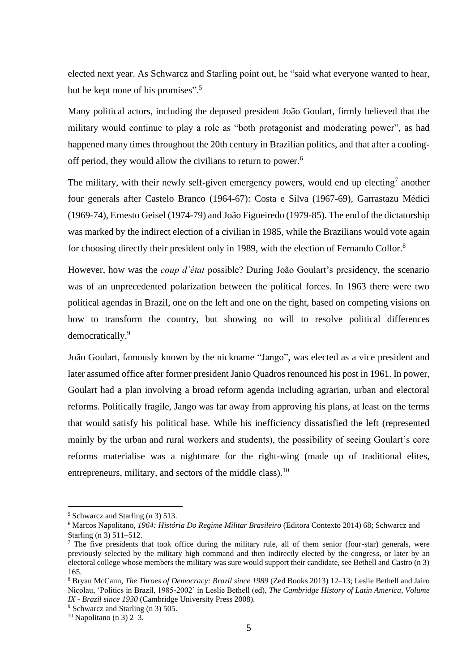elected next year. As Schwarcz and Starling point out, he "said what everyone wanted to hear, but he kept none of his promises". 5

Many political actors, including the deposed president João Goulart, firmly believed that the military would continue to play a role as "both protagonist and moderating power", as had happened many times throughout the 20th century in Brazilian politics, and that after a coolingoff period, they would allow the civilians to return to power.<sup>6</sup>

The military, with their newly self-given emergency powers, would end up electing<sup>7</sup> another four generals after Castelo Branco (1964-67): Costa e Silva (1967-69), Garrastazu Médici (1969-74), Ernesto Geisel (1974-79) and João Figueiredo (1979-85). The end of the dictatorship was marked by the indirect election of a civilian in 1985, while the Brazilians would vote again for choosing directly their president only in 1989, with the election of Fernando Collor.<sup>8</sup>

However, how was the *coup d'état* possible? During João Goulart's presidency, the scenario was of an unprecedented polarization between the political forces. In 1963 there were two political agendas in Brazil, one on the left and one on the right, based on competing visions on how to transform the country, but showing no will to resolve political differences democratically.<sup>9</sup>

João Goulart, famously known by the nickname "Jango", was elected as a vice president and later assumed office after former president Janio Quadros renounced his post in 1961. In power, Goulart had a plan involving a broad reform agenda including agrarian, urban and electoral reforms. Politically fragile, Jango was far away from approving his plans, at least on the terms that would satisfy his political base. While his inefficiency dissatisfied the left (represented mainly by the urban and rural workers and students), the possibility of seeing Goulart's core reforms materialise was a nightmare for the right-wing (made up of traditional elites, entrepreneurs, military, and sectors of the middle class).<sup>10</sup>

<sup>5</sup> Schwarcz and Starling (n 3) 513.

<sup>6</sup> Marcos Napolitano, *1964: História Do Regime Militar Brasileiro* (Editora Contexto 2014) 68; Schwarcz and Starling (n 3) 511–512.

<sup>&</sup>lt;sup>7</sup> The five presidents that took office during the military rule, all of them senior (four-star) generals, were previously selected by the military high command and then indirectly elected by the congress, or later by an electoral college whose members the military was sure would support their candidate, see Bethell and Castro (n 3) 165.

<sup>8</sup> Bryan McCann, *The Throes of Democracy: Brazil since 1989* (Zed Books 2013) 12–13; Leslie Bethell and Jairo Nicolau, 'Politics in Brazil, 1985-2002' in Leslie Bethell (ed), *The Cambridge History of Latin America, Volume IX - Brazil since 1930* (Cambridge University Press 2008).

<sup>&</sup>lt;sup>9</sup> Schwarcz and Starling (n 3) 505.

 $10$  Napolitano (n 3) 2–3.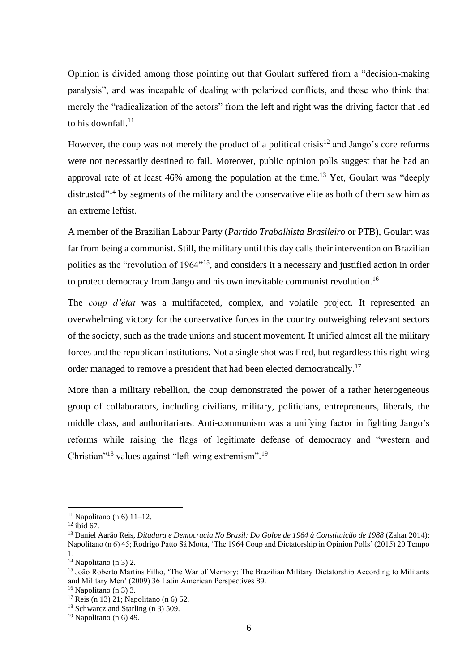Opinion is divided among those pointing out that Goulart suffered from a "decision-making paralysis", and was incapable of dealing with polarized conflicts, and those who think that merely the "radicalization of the actors" from the left and right was the driving factor that led to his downfall. $^{11}$ 

However, the coup was not merely the product of a political crisis<sup>12</sup> and Jango's core reforms were not necessarily destined to fail. Moreover, public opinion polls suggest that he had an approval rate of at least  $46\%$  among the population at the time.<sup>13</sup> Yet, Goulart was "deeply distrusted<sup>"14</sup> by segments of the military and the conservative elite as both of them saw him as an extreme leftist.

A member of the Brazilian Labour Party (*Partido Trabalhista Brasileiro* or PTB), Goulart was far from being a communist. Still, the military until this day calls their intervention on Brazilian politics as the "revolution of 1964"<sup>15</sup>, and considers it a necessary and justified action in order to protect democracy from Jango and his own inevitable communist revolution.<sup>16</sup>

The *coup d'état* was a multifaceted, complex, and volatile project. It represented an overwhelming victory for the conservative forces in the country outweighing relevant sectors of the society, such as the trade unions and student movement. It unified almost all the military forces and the republican institutions. Not a single shot was fired, but regardless this right-wing order managed to remove a president that had been elected democratically.<sup>17</sup>

More than a military rebellion, the coup demonstrated the power of a rather heterogeneous group of collaborators, including civilians, military, politicians, entrepreneurs, liberals, the middle class, and authoritarians. Anti-communism was a unifying factor in fighting Jango's reforms while raising the flags of legitimate defense of democracy and "western and Christian"<sup>18</sup> values against "left-wing extremism".<sup>19</sup>

 $11$  Napolitano (n 6) 11–12.

 $12$  ibid 67.

<sup>13</sup> Daniel Aarão Reis, *Ditadura e Democracia No Brasil: Do Golpe de 1964 à Constituição de 1988* (Zahar 2014); Napolitano (n 6) 45; Rodrigo Patto Sá Motta, 'The 1964 Coup and Dictatorship in Opinion Polls' (2015) 20 Tempo 1.

 $14$  Napolitano (n 3) 2.

<sup>&</sup>lt;sup>15</sup> João Roberto Martins Filho, 'The War of Memory: The Brazilian Military Dictatorship According to Militants and Military Men' (2009) 36 Latin American Perspectives 89.

 $16$  Napolitano (n 3) 3.

<sup>&</sup>lt;sup>17</sup> Reis (n 13) 21; Napolitano (n 6) 52.

<sup>&</sup>lt;sup>18</sup> Schwarcz and Starling (n 3)  $509$ .

 $19$  Napolitano (n 6) 49.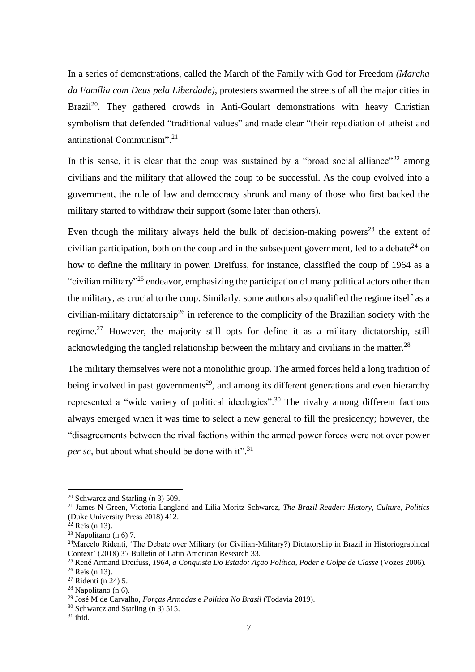In a series of demonstrations, called the March of the Family with God for Freedom *(Marcha da Família com Deus pela Liberdade),* protesters swarmed the streets of all the major cities in Brazil<sup>20</sup>. They gathered crowds in Anti-Goulart demonstrations with heavy Christian symbolism that defended "traditional values" and made clear "their repudiation of atheist and antinational Communism".<sup>21</sup>

In this sense, it is clear that the coup was sustained by a "broad social alliance"<sup>22</sup> among civilians and the military that allowed the coup to be successful. As the coup evolved into a government, the rule of law and democracy shrunk and many of those who first backed the military started to withdraw their support (some later than others).

Even though the military always held the bulk of decision-making powers<sup>23</sup> the extent of civilian participation, both on the coup and in the subsequent government, led to a debate<sup>24</sup> on how to define the military in power. Dreifuss, for instance, classified the coup of 1964 as a "civilian military"<sup>25</sup> endeavor, emphasizing the participation of many political actors other than the military, as crucial to the coup. Similarly, some authors also qualified the regime itself as a civilian-military dictatorship<sup>26</sup> in reference to the complicity of the Brazilian society with the regime.<sup>27</sup> However, the majority still opts for define it as a military dictatorship, still acknowledging the tangled relationship between the military and civilians in the matter.<sup>28</sup>

The military themselves were not a monolithic group. The armed forces held a long tradition of being involved in past governments<sup>29</sup>, and among its different generations and even hierarchy represented a "wide variety of political ideologies".<sup>30</sup> The rivalry among different factions always emerged when it was time to select a new general to fill the presidency; however, the "disagreements between the rival factions within the armed power forces were not over power *per se*, but about what should be done with it". 31

 $20$  Schwarcz and Starling (n 3) 509.

<sup>21</sup> James N Green, Victoria Langland and Lilia Moritz Schwarcz, *The Brazil Reader: History, Culture, Politics* (Duke University Press 2018) 412.

 $22$  Reis (n 13).

 $23$  Napolitano (n 6) 7.

<sup>&</sup>lt;sup>24</sup>Marcelo Ridenti, 'The Debate over Military (or Civilian-Military?) Dictatorship in Brazil in Historiographical Context' (2018) 37 Bulletin of Latin American Research 33.

<sup>25</sup> René Armand Dreifuss, *1964, a Conquista Do Estado: Ação Política, Poder e Golpe de Classe* (Vozes 2006).

 $26$  Reis (n 13).

<sup>27</sup> Ridenti (n 24) 5.

<sup>28</sup> Napolitano (n 6).

<sup>29</sup> José M de Carvalho, *Forças Armadas e Política No Brasil* (Todavia 2019).

 $30$  Schwarcz and Starling (n 3) 515.

 $^{31}$ ibid.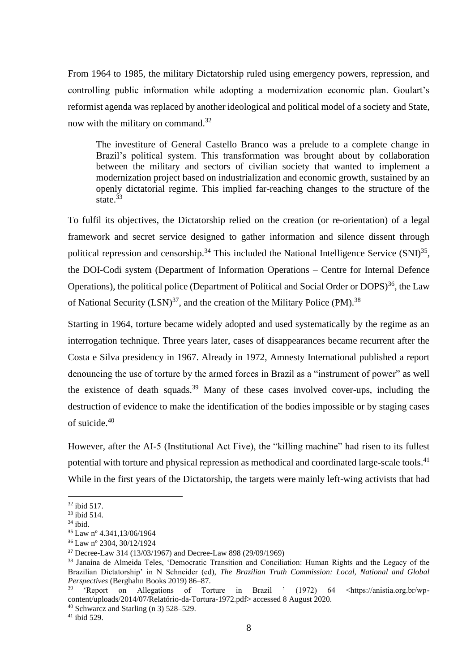From 1964 to 1985, the military Dictatorship ruled using emergency powers, repression, and controlling public information while adopting a modernization economic plan. Goulart's reformist agenda was replaced by another ideological and political model of a society and State, now with the military on command.<sup>32</sup>

The investiture of General Castello Branco was a prelude to a complete change in Brazil's political system. This transformation was brought about by collaboration between the military and sectors of civilian society that wanted to implement a modernization project based on industrialization and economic growth, sustained by an openly dictatorial regime. This implied far-reaching changes to the structure of the state $^{33}$ 

To fulfil its objectives, the Dictatorship relied on the creation (or re-orientation) of a legal framework and secret service designed to gather information and silence dissent through political repression and censorship.<sup>34</sup> This included the National Intelligence Service  $(SNI)^{35}$ , the DOI-Codi system (Department of Information Operations – Centre for Internal Defence Operations), the political police (Department of Political and Social Order or DOPS)<sup>36</sup>, the Law of National Security  $(LSN)^{37}$ , and the creation of the Military Police (PM).<sup>38</sup>

Starting in 1964, torture became widely adopted and used systematically by the regime as an interrogation technique. Three years later, cases of disappearances became recurrent after the Costa e Silva presidency in 1967. Already in 1972, Amnesty International published a report denouncing the use of torture by the armed forces in Brazil as a "instrument of power" as well the existence of death squads.<sup>39</sup> Many of these cases involved cover-ups, including the destruction of evidence to make the identification of the bodies impossible or by staging cases of suicide.<sup>40</sup>

However, after the AI-5 (Institutional Act Five), the "killing machine" had risen to its fullest potential with torture and physical repression as methodical and coordinated large-scale tools.<sup>41</sup> While in the first years of the Dictatorship, the targets were mainly left-wing activists that had

<sup>32</sup> ibid 517.

 $33$  ibid 514.

 $34$  ibid.

<sup>35</sup> Law nº 4.341,13/06/1964

<sup>36</sup> Law nº 2304, 30/12/1924

<sup>37</sup> Decree-Law 314 (13/03/1967) and Decree-Law 898 (29/09/1969)

<sup>38</sup> Janaína de Almeida Teles, 'Democratic Transition and Conciliation: Human Rights and the Legacy of the Brazilian Dictatorship' in N Schneider (ed), *The Brazilian Truth Commission: Local, National and Global Perspectives* (Berghahn Books 2019) 86–87.

<sup>39</sup> 'Report on Allegations of Torture in Brazil ' (1972) 64 <https://anistia.org.br/wpcontent/uploads/2014/07/Relatório-da-Tortura-1972.pdf> accessed 8 August 2020.

<sup>&</sup>lt;sup>40</sup> Schwarcz and Starling (n 3)  $528-529$ .

<sup>41</sup> ibid 529.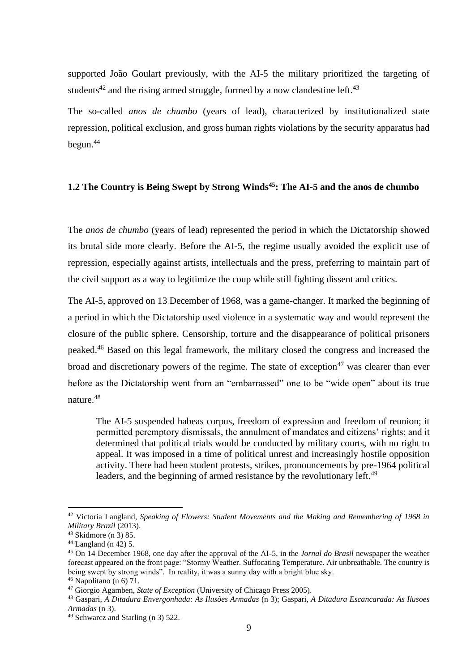supported João Goulart previously, with the AI-5 the military prioritized the targeting of students<sup>42</sup> and the rising armed struggle, formed by a now clandestine left.<sup>43</sup>

The so-called *anos de chumbo* (years of lead), characterized by institutionalized state repression, political exclusion, and gross human rights violations by the security apparatus had begun. 44

## <span id="page-15-0"></span>**1.2 The Country is Being Swept by Strong Winds<sup>45</sup>: The AI-5 and the anos de chumbo**

The *anos de chumbo* (years of lead) represented the period in which the Dictatorship showed its brutal side more clearly. Before the AI-5, the regime usually avoided the explicit use of repression, especially against artists, intellectuals and the press, preferring to maintain part of the civil support as a way to legitimize the coup while still fighting dissent and critics.

The AI-5, approved on 13 December of 1968, was a game-changer. It marked the beginning of a period in which the Dictatorship used violence in a systematic way and would represent the closure of the public sphere. Censorship, torture and the disappearance of political prisoners peaked.<sup>46</sup> Based on this legal framework, the military closed the congress and increased the broad and discretionary powers of the regime. The state of exception<sup>47</sup> was clearer than ever before as the Dictatorship went from an "embarrassed" one to be "wide open" about its true nature.<sup>48</sup>

The AI-5 suspended habeas corpus, freedom of expression and freedom of reunion; it permitted peremptory dismissals, the annulment of mandates and citizens' rights; and it determined that political trials would be conducted by military courts, with no right to appeal. It was imposed in a time of political unrest and increasingly hostile opposition activity. There had been student protests, strikes, pronouncements by pre-1964 political leaders, and the beginning of armed resistance by the revolutionary left.<sup>49</sup>

<sup>42</sup> Victoria Langland, *Speaking of Flowers: Student Movements and the Making and Remembering of 1968 in Military Brazil* (2013).

<sup>43</sup> Skidmore (n 3) 85.

 $44$  Langland (n 42) 5.

<sup>45</sup> On 14 December 1968, one day after the approval of the AI-5, in the *Jornal do Brasil* newspaper the weather forecast appeared on the front page: "Stormy Weather. Suffocating Temperature. Air unbreathable. The country is being swept by strong winds". In reality, it was a sunny day with a bright blue sky.  $46$  Napolitano (n 6) 71.

<sup>47</sup> Giorgio Agamben, *State of Exception* (University of Chicago Press 2005).

<sup>48</sup> Gaspari, *A Ditadura Envergonhada: As Ilusões Armadas* (n 3); Gaspari, *A Ditadura Escancarada: As Ilusoes Armadas* (n 3).

<sup>49</sup> Schwarcz and Starling (n 3) 522.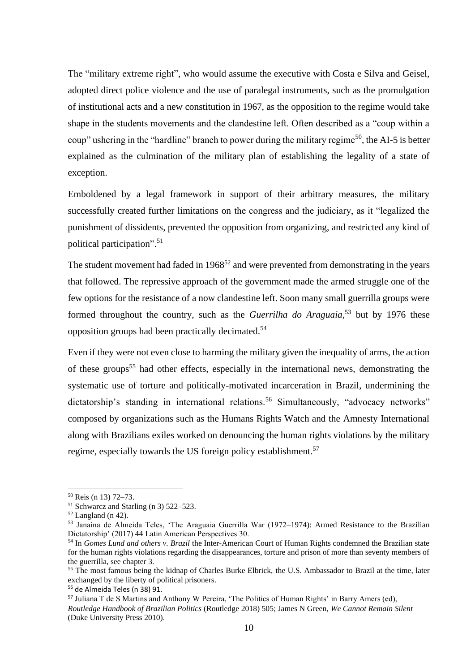The "military extreme right", who would assume the executive with Costa e Silva and Geisel, adopted direct police violence and the use of paralegal instruments, such as the promulgation of institutional acts and a new constitution in 1967, as the opposition to the regime would take shape in the students movements and the clandestine left. Often described as a "coup within a coup" ushering in the "hardline" branch to power during the military regime<sup>50</sup>, the AI-5 is better explained as the culmination of the military plan of establishing the legality of a state of exception.

Emboldened by a legal framework in support of their arbitrary measures, the military successfully created further limitations on the congress and the judiciary, as it "legalized the punishment of dissidents, prevented the opposition from organizing, and restricted any kind of political participation". 51

The student movement had faded in 1968<sup>52</sup> and were prevented from demonstrating in the years that followed. The repressive approach of the government made the armed struggle one of the few options for the resistance of a now clandestine left. Soon many small guerrilla groups were formed throughout the country, such as the *Guerrilha do Araguaia,*<sup>53</sup> but by 1976 these opposition groups had been practically decimated.<sup>54</sup>

Even if they were not even close to harming the military given the inequality of arms, the action of these groups<sup>55</sup> had other effects, especially in the international news, demonstrating the systematic use of torture and politically-motivated incarceration in Brazil, undermining the dictatorship's standing in international relations.<sup>56</sup> Simultaneously, "advocacy networks" composed by organizations such as the Humans Rights Watch and the Amnesty International along with Brazilians exiles worked on denouncing the human rights violations by the military regime, especially towards the US foreign policy establishment.<sup>57</sup>

<sup>50</sup> Reis (n 13) 72–73.

<sup>51</sup> Schwarcz and Starling (n 3) 522–523.

 $52$  Langland (n 42).

<sup>53</sup> Janaína de Almeida Teles, 'The Araguaia Guerrilla War (1972–1974): Armed Resistance to the Brazilian Dictatorship' (2017) 44 Latin American Perspectives 30.

<sup>54</sup> In *Gomes Lund and others v. Brazil* the Inter-American Court of Human Rights condemned the Brazilian state for the human rights violations regarding the disappearances, torture and prison of more than seventy members of the guerrilla, see chapter 3.

<sup>&</sup>lt;sup>55</sup> The most famous being the kidnap of Charles Burke Elbrick, the U.S. Ambassador to Brazil at the time, later exchanged by the liberty of political prisoners.

<sup>56</sup> de Almeida Teles (n 38) 91.

<sup>57</sup> Juliana T de S Martins and Anthony W Pereira, 'The Politics of Human Rights' in Barry Amers (ed), *Routledge Handbook of Brazilian Politics* (Routledge 2018) 505; James N Green, *We Cannot Remain Silent* (Duke University Press 2010).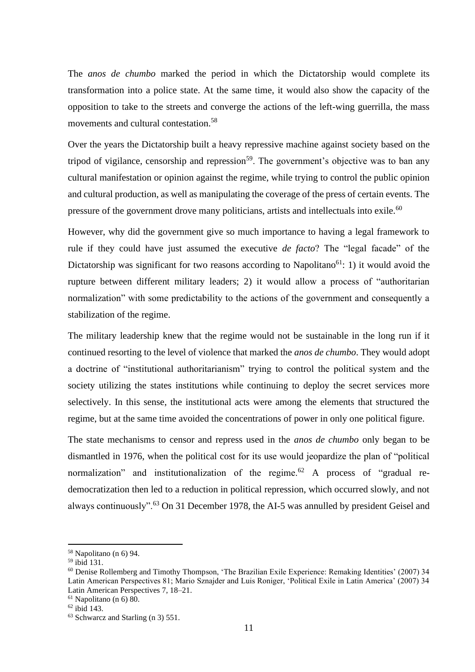The *anos de chumbo* marked the period in which the Dictatorship would complete its transformation into a police state. At the same time, it would also show the capacity of the opposition to take to the streets and converge the actions of the left-wing guerrilla, the mass movements and cultural contestation.<sup>58</sup>

Over the years the Dictatorship built a heavy repressive machine against society based on the tripod of vigilance, censorship and repression<sup>59</sup>. The government's objective was to ban any cultural manifestation or opinion against the regime, while trying to control the public opinion and cultural production, as well as manipulating the coverage of the press of certain events. The pressure of the government drove many politicians, artists and intellectuals into exile.<sup>60</sup>

However, why did the government give so much importance to having a legal framework to rule if they could have just assumed the executive *de facto*? The "legal facade" of the Dictatorship was significant for two reasons according to Napolitano<sup>61</sup>: 1) it would avoid the rupture between different military leaders; 2) it would allow a process of "authoritarian normalization" with some predictability to the actions of the government and consequently a stabilization of the regime.

The military leadership knew that the regime would not be sustainable in the long run if it continued resorting to the level of violence that marked the *anos de chumbo*. They would adopt a doctrine of "institutional authoritarianism" trying to control the political system and the society utilizing the states institutions while continuing to deploy the secret services more selectively. In this sense, the institutional acts were among the elements that structured the regime, but at the same time avoided the concentrations of power in only one political figure.

The state mechanisms to censor and repress used in the *anos de chumbo* only began to be dismantled in 1976, when the political cost for its use would jeopardize the plan of "political normalization" and institutionalization of the regime.<sup>62</sup> A process of "gradual redemocratization then led to a reduction in political repression, which occurred slowly, and not always continuously".<sup>63</sup> On 31 December 1978, the AI-5 was annulled by president Geisel and

<sup>58</sup> Napolitano (n 6) 94.

<sup>59</sup> ibid 131.

<sup>60</sup> Denise Rollemberg and Timothy Thompson, 'The Brazilian Exile Experience: Remaking Identities' (2007) 34 Latin American Perspectives 81; Mario Sznajder and Luis Roniger, 'Political Exile in Latin America' (2007) 34 Latin American Perspectives 7, 18–21.

<sup>61</sup> Napolitano (n 6) 80.

 $62$  ibid 143.

<sup>63</sup> Schwarcz and Starling (n 3) 551.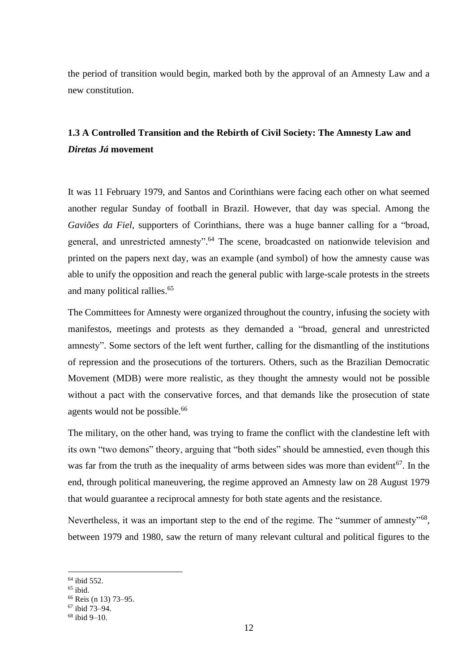the period of transition would begin, marked both by the approval of an Amnesty Law and a new constitution.

# <span id="page-18-0"></span>**1.3 A Controlled Transition and the Rebirth of Civil Society: The Amnesty Law and**  *Diretas Já* **movement**

It was 11 February 1979, and Santos and Corinthians were facing each other on what seemed another regular Sunday of football in Brazil. However, that day was special. Among the *Gaviões da Fiel*, supporters of Corinthians, there was a huge banner calling for a "broad, general, and unrestricted amnesty". <sup>64</sup> The scene, broadcasted on nationwide television and printed on the papers next day, was an example (and symbol) of how the amnesty cause was able to unify the opposition and reach the general public with large-scale protests in the streets and many political rallies.<sup>65</sup>

The Committees for Amnesty were organized throughout the country, infusing the society with manifestos, meetings and protests as they demanded a "broad, general and unrestricted amnesty". Some sectors of the left went further, calling for the dismantling of the institutions of repression and the prosecutions of the torturers. Others, such as the Brazilian Democratic Movement (MDB) were more realistic, as they thought the amnesty would not be possible without a pact with the conservative forces, and that demands like the prosecution of state agents would not be possible.<sup>66</sup>

The military, on the other hand, was trying to frame the conflict with the clandestine left with its own "two demons" theory, arguing that "both sides" should be amnestied, even though this was far from the truth as the inequality of arms between sides was more than evident  $67$ . In the end, through political maneuvering, the regime approved an Amnesty law on 28 August 1979 that would guarantee a reciprocal amnesty for both state agents and the resistance.

Nevertheless, it was an important step to the end of the regime. The "summer of amnesty"<sup>68</sup>, between 1979 and 1980, saw the return of many relevant cultural and political figures to the

<sup>64</sup> ibid 552.

 $65$  ibid.

<sup>66</sup> Reis (n 13) 73–95.

 $67$  ibid  $73-94$ .

 $68$  ibid 9–10.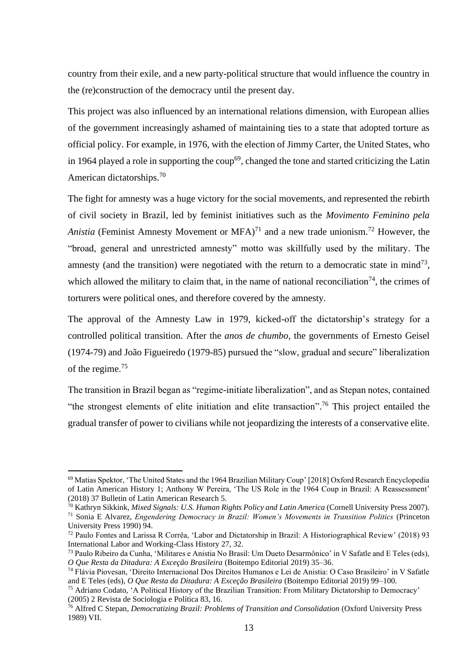country from their exile, and a new party-political structure that would influence the country in the (re)construction of the democracy until the present day.

This project was also influenced by an international relations dimension, with European allies of the government increasingly ashamed of maintaining ties to a state that adopted torture as official policy. For example, in 1976, with the election of Jimmy Carter, the United States, who in 1964 played a role in supporting the coup<sup>69</sup>, changed the tone and started criticizing the Latin American dictatorships.<sup>70</sup>

The fight for amnesty was a huge victory for the social movements, and represented the rebirth of civil society in Brazil, led by feminist initiatives such as the *Movimento Feminino pela Anistia* (Feminist Amnesty Movement or  $MFA$ )<sup>71</sup> and a new trade unionism.<sup>72</sup> However, the "broad, general and unrestricted amnesty" motto was skillfully used by the military. The amnesty (and the transition) were negotiated with the return to a democratic state in mind<sup>73</sup>, which allowed the military to claim that, in the name of national reconciliation<sup>74</sup>, the crimes of torturers were political ones, and therefore covered by the amnesty.

The approval of the Amnesty Law in 1979, kicked-off the dictatorship's strategy for a controlled political transition. After the *anos de chumbo*, the governments of Ernesto Geisel (1974-79) and João Figueiredo (1979-85) pursued the "slow, gradual and secure" liberalization of the regime.<sup>75</sup>

The transition in Brazil began as "regime-initiate liberalization", and as Stepan notes, contained "the strongest elements of elite initiation and elite transaction".<sup>76</sup> This project entailed the gradual transfer of power to civilians while not jeopardizing the interests of a conservative elite.

<sup>69</sup> Matias Spektor, 'The United States and the 1964 Brazilian Military Coup' [2018] Oxford Research Encyclopedia of Latin American History 1; Anthony W Pereira, 'The US Role in the 1964 Coup in Brazil: A Reassessment' (2018) 37 Bulletin of Latin American Research 5.

<sup>70</sup> Kathryn Sikkink, *Mixed Signals: U.S. Human Rights Policy and Latin America* (Cornell University Press 2007).

<sup>71</sup> Sonia E Alvarez, *Engendering Democracy in Brazil: Women's Movements in Transition Politics* (Princeton University Press 1990) 94.

<sup>72</sup> Paulo Fontes and Larissa R Corrêa, 'Labor and Dictatorship in Brazil: A Historiographical Review' (2018) 93 International Labor and Working-Class History 27, 32.

<sup>73</sup> Paulo Ribeiro da Cunha, 'Militares e Anistia No Brasil: Um Dueto Desarmônico' in V Safatle and E Teles (eds), *O Que Resta da Ditadura: A Exceção Brasileira* (Boitempo Editorial 2019) 35–36.

<sup>74</sup> Flávia Piovesan, 'Direito Internacional Dos Direitos Humanos e Lei de Anistia: O Caso Brasileiro' in V Safatle and E Teles (eds), *O Que Resta da Ditadura: A Exceção Brasileira* (Boitempo Editorial 2019) 99–100.

<sup>75</sup> Adriano Codato, 'A Political History of the Brazilian Transition: From Military Dictatorship to Democracy' (2005) 2 Revista de Sociologia e Política 83, 16.

<sup>76</sup> Alfred C Stepan, *Democratizing Brazil: Problems of Transition and Consolidation* (Oxford University Press 1989) VII.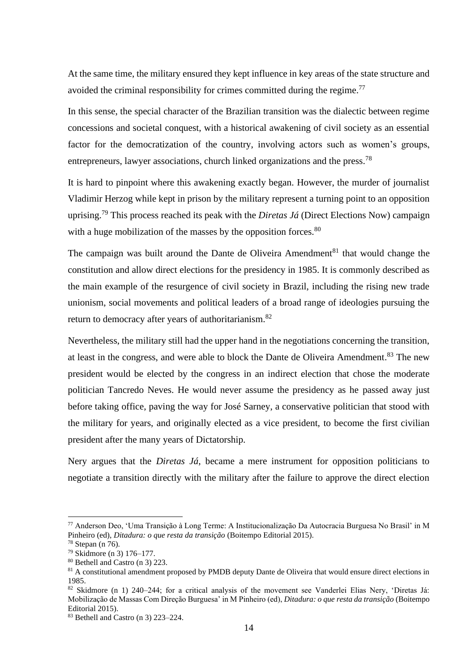At the same time, the military ensured they kept influence in key areas of the state structure and avoided the criminal responsibility for crimes committed during the regime.<sup>77</sup>

In this sense, the special character of the Brazilian transition was the dialectic between regime concessions and societal conquest, with a historical awakening of civil society as an essential factor for the democratization of the country, involving actors such as women's groups, entrepreneurs, lawyer associations, church linked organizations and the press.<sup>78</sup>

It is hard to pinpoint where this awakening exactly began. However, the murder of journalist Vladimir Herzog while kept in prison by the military represent a turning point to an opposition uprising.<sup>79</sup> This process reached its peak with the *Diretas Já* (Direct Elections Now) campaign with a huge mobilization of the masses by the opposition forces. $80$ 

The campaign was built around the Dante de Oliveira Amendment<sup>81</sup> that would change the constitution and allow direct elections for the presidency in 1985. It is commonly described as the main example of the resurgence of civil society in Brazil, including the rising new trade unionism, social movements and political leaders of a broad range of ideologies pursuing the return to democracy after years of authoritarianism.<sup>82</sup>

Nevertheless, the military still had the upper hand in the negotiations concerning the transition, at least in the congress, and were able to block the Dante de Oliveira Amendment.<sup>83</sup> The new president would be elected by the congress in an indirect election that chose the moderate politician Tancredo Neves. He would never assume the presidency as he passed away just before taking office, paving the way for José Sarney, a conservative politician that stood with the military for years, and originally elected as a vice president, to become the first civilian president after the many years of Dictatorship.

Nery argues that the *Diretas Já*, became a mere instrument for opposition politicians to negotiate a transition directly with the military after the failure to approve the direct election

<sup>77</sup> Anderson Deo, 'Uma Transição à Long Terme: A Institucionalização Da Autocracia Burguesa No Brasil' in M Pinheiro (ed), *Ditadura: o que resta da transição* (Boitempo Editorial 2015).

<sup>78</sup> Stepan (n 76).

<sup>79</sup> Skidmore (n 3) 176–177.

<sup>80</sup> Bethell and Castro (n 3) 223.

<sup>&</sup>lt;sup>81</sup> A constitutional amendment proposed by PMDB deputy Dante de Oliveira that would ensure direct elections in 1985.

 $82$  Skidmore (n 1) 240–244; for a critical analysis of the movement see Vanderlei Elias Nery, 'Diretas Já: Mobilização de Massas Com Direção Burguesa' in M Pinheiro (ed), *Ditadura: o que resta da transição* (Boitempo Editorial 2015).

<sup>83</sup> Bethell and Castro (n 3) 223–224.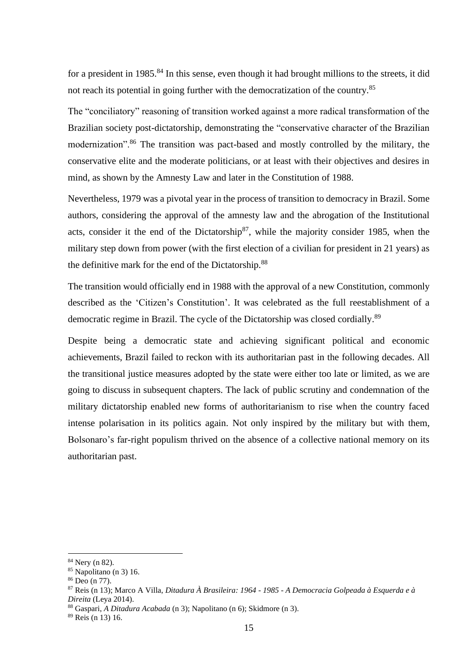for a president in 1985.<sup>84</sup> In this sense, even though it had brought millions to the streets, it did not reach its potential in going further with the democratization of the country.<sup>85</sup>

The "conciliatory" reasoning of transition worked against a more radical transformation of the Brazilian society post-dictatorship, demonstrating the "conservative character of the Brazilian modernization".<sup>86</sup> The transition was pact-based and mostly controlled by the military, the conservative elite and the moderate politicians, or at least with their objectives and desires in mind, as shown by the Amnesty Law and later in the Constitution of 1988.

Nevertheless, 1979 was a pivotal year in the process of transition to democracy in Brazil. Some authors, considering the approval of the amnesty law and the abrogation of the Institutional acts, consider it the end of the Dictatorship<sup>87</sup>, while the majority consider 1985, when the military step down from power (with the first election of a civilian for president in 21 years) as the definitive mark for the end of the Dictatorship.<sup>88</sup>

The transition would officially end in 1988 with the approval of a new Constitution, commonly described as the 'Citizen's Constitution'. It was celebrated as the full reestablishment of a democratic regime in Brazil. The cycle of the Dictatorship was closed cordially.<sup>89</sup>

Despite being a democratic state and achieving significant political and economic achievements, Brazil failed to reckon with its authoritarian past in the following decades. All the transitional justice measures adopted by the state were either too late or limited, as we are going to discuss in subsequent chapters. The lack of public scrutiny and condemnation of the military dictatorship enabled new forms of authoritarianism to rise when the country faced intense polarisation in its politics again. Not only inspired by the military but with them, Bolsonaro's far-right populism thrived on the absence of a collective national memory on its authoritarian past.

<sup>84</sup> Nery (n 82).

 $85$  Napolitano (n 3) 16.

<sup>86</sup> Deo (n 77).

<sup>87</sup> Reis (n 13); Marco A Villa, *Ditadura À Brasileira: 1964 - 1985 - A Democracia Golpeada à Esquerda e à Direita* (Leya 2014).

<sup>88</sup> Gaspari, *A Ditadura Acabada* (n 3); Napolitano (n 6); Skidmore (n 3).

<sup>89</sup> Reis (n 13) 16.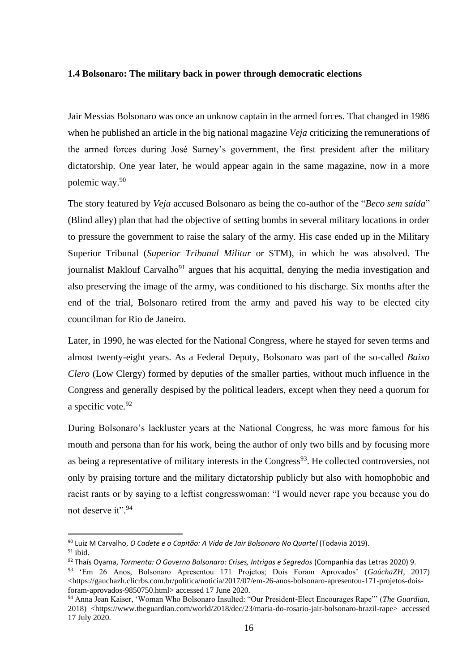#### <span id="page-22-0"></span>**1.4 Bolsonaro: The military back in power through democratic elections**

Jair Messias Bolsonaro was once an unknow captain in the armed forces. That changed in 1986 when he published an article in the big national magazine *Veja* criticizing the remunerations of the armed forces during José Sarney's government, the first president after the military dictatorship. One year later, he would appear again in the same magazine, now in a more polemic way.<sup>90</sup>

The story featured by *Veja* accused Bolsonaro as being the co-author of the "*Beco sem saída*" (Blind alley) plan that had the objective of setting bombs in several military locations in order to pressure the government to raise the salary of the army. His case ended up in the Military Superior Tribunal (*Superior Tribunal Militar* or STM), in which he was absolved. The journalist Maklouf Carvalho<sup>91</sup> argues that his acquittal, denying the media investigation and also preserving the image of the army, was conditioned to his discharge. Six months after the end of the trial, Bolsonaro retired from the army and paved his way to be elected city councilman for Rio de Janeiro.

Later, in 1990, he was elected for the National Congress, where he stayed for seven terms and almost twenty-eight years. As a Federal Deputy, Bolsonaro was part of the so-called *Baixo Clero* (Low Clergy) formed by deputies of the smaller parties, without much influence in the Congress and generally despised by the political leaders, except when they need a quorum for a specific vote.<sup>92</sup>

During Bolsonaro's lackluster years at the National Congress, he was more famous for his mouth and persona than for his work, being the author of only two bills and by focusing more as being a representative of military interests in the Congress<sup>93</sup>. He collected controversies, not only by praising torture and the military dictatorship publicly but also with homophobic and racist rants or by saying to a leftist congresswoman: "I would never rape you because you do not deserve it".<sup>94</sup>

<sup>93</sup> 'Em 26 Anos, Bolsonaro Apresentou 171 Projetos; Dois Foram Aprovados' (*GaúchaZH*, 2017) <https://gauchazh.clicrbs.com.br/politica/noticia/2017/07/em-26-anos-bolsonaro-apresentou-171-projetos-doisforam-aprovados-9850750.html> accessed 17 June 2020.

<sup>90</sup> Luiz M Carvalho, *O Cadete e o Capitão: A Vida de Jair Bolsonaro No Quartel* (Todavia 2019).  $91$  ibid.

<sup>92</sup> Thaís Oyama, *Tormenta: O Governo Bolsonaro: Crises, Intrigas e Segredos* (Companhia das Letras 2020) 9.

<sup>94</sup> Anna Jean Kaiser, 'Woman Who Bolsonaro Insulted: "Our President-Elect Encourages Rape"' (*The Guardian*, 2018) <https://www.theguardian.com/world/2018/dec/23/maria-do-rosario-jair-bolsonaro-brazil-rape> accessed 17 July 2020.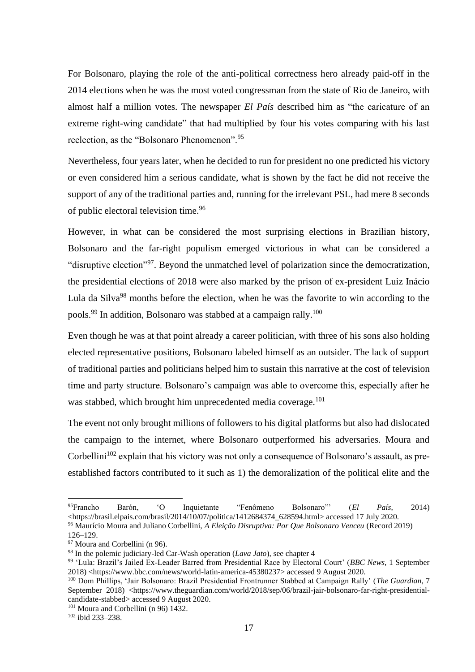For Bolsonaro, playing the role of the anti-political correctness hero already paid-off in the 2014 elections when he was the most voted congressman from the state of Rio de Janeiro, with almost half a million votes. The newspaper *El País* described him as "the caricature of an extreme right-wing candidate" that had multiplied by four his votes comparing with his last reelection, as the "Bolsonaro Phenomenon".<sup>95</sup>

Nevertheless, four years later, when he decided to run for president no one predicted his victory or even considered him a serious candidate, what is shown by the fact he did not receive the support of any of the traditional parties and, running for the irrelevant PSL, had mere 8 seconds of public electoral television time.<sup>96</sup>

However, in what can be considered the most surprising elections in Brazilian history, Bolsonaro and the far-right populism emerged victorious in what can be considered a "disruptive election"<sup>97</sup>. Beyond the unmatched level of polarization since the democratization, the presidential elections of 2018 were also marked by the prison of ex-president Luiz Inácio Lula da Silva<sup>98</sup> months before the election, when he was the favorite to win according to the pools.<sup>99</sup> In addition, Bolsonaro was stabbed at a campaign rally.<sup>100</sup>

Even though he was at that point already a career politician, with three of his sons also holding elected representative positions, Bolsonaro labeled himself as an outsider. The lack of support of traditional parties and politicians helped him to sustain this narrative at the cost of television time and party structure. Bolsonaro's campaign was able to overcome this, especially after he was stabbed, which brought him unprecedented media coverage.<sup>101</sup>

The event not only brought millions of followers to his digital platforms but also had dislocated the campaign to the internet, where Bolsonaro outperformed his adversaries. Moura and Corbellini<sup>102</sup> explain that his victory was not only a consequence of Bolsonaro's assault, as preestablished factors contributed to it such as 1) the demoralization of the political elite and the

<sup>95</sup>Francho Barón, 'O Inquietante "Fenômeno Bolsonaro"' (*El País*, 2014) <https://brasil.elpais.com/brasil/2014/10/07/politica/1412684374\_628594.html> accessed 17 July 2020. <sup>96</sup> Maurício Moura and Juliano Corbellini, *A Eleição Disruptiva: Por Que Bolsonaro Venceu* (Record 2019)

<sup>126–129.</sup>

<sup>97</sup> Moura and Corbellini (n 96).

<sup>98</sup> In the polemic judiciary-led Car-Wash operation (*Lava Jato*), see chapter 4

<sup>99</sup> 'Lula: Brazil's Jailed Ex-Leader Barred from Presidential Race by Electoral Court' (*BBC News*, 1 September 2018) <https://www.bbc.com/news/world-latin-america-45380237> accessed 9 August 2020.

<sup>100</sup> Dom Phillips, 'Jair Bolsonaro: Brazil Presidential Frontrunner Stabbed at Campaign Rally' (*The Guardian*, 7 September 2018) <https://www.theguardian.com/world/2018/sep/06/brazil-jair-bolsonaro-far-right-presidentialcandidate-stabbed> accessed 9 August 2020.

 $101$  Moura and Corbellini (n 96) 1432.

<sup>102</sup> ibid 233–238.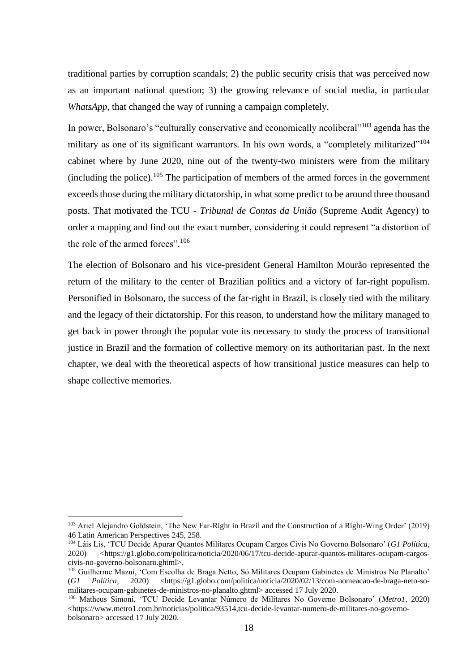traditional parties by corruption scandals; 2) the public security crisis that was perceived now as an important national question; 3) the growing relevance of social media, in particular *WhatsApp,* that changed the way of running a campaign completely.

In power, Bolsonaro's "culturally conservative and economically neoliberal"<sup>103</sup> agenda has the military as one of its significant warrantors. In his own words, a "completely militarized"<sup>104</sup> cabinet where by June 2020, nine out of the twenty-two ministers were from the military (including the police). <sup>105</sup> The participation of members of the armed forces in the government exceeds those during the military dictatorship, in what some predict to be around three thousand posts. That motivated the TCU - *Tribunal de Contas da União* (Supreme Audit Agency) to order a mapping and find out the exact number, considering it could represent "a distortion of the role of the armed forces".<sup>106</sup>

The election of Bolsonaro and his vice-president General Hamilton Mourão represented the return of the military to the center of Brazilian politics and a victory of far-right populism. Personified in Bolsonaro, the success of the far-right in Brazil, is closely tied with the military and the legacy of their dictatorship. For this reason, to understand how the military managed to get back in power through the popular vote its necessary to study the process of transitional justice in Brazil and the formation of collective memory on its authoritarian past. In the next chapter, we deal with the theoretical aspects of how transitional justice measures can help to shape collective memories.

<sup>103</sup> Ariel Alejandro Goldstein, 'The New Far-Right in Brazil and the Construction of a Right-Wing Order' (2019) 46 Latin American Perspectives 245, 258.

<sup>104</sup> Láis Lis, 'TCU Decide Apurar Quantos Militares Ocupam Cargos Civis No Governo Bolsonaro' (*G1 Política*, 2020) <https://g1.globo.com/politica/noticia/2020/06/17/tcu-decide-apurar-quantos-militares-ocupam-cargoscivis-no-governo-bolsonaro.ghtml>.

<sup>105</sup> Guilherme Mazui, 'Com Escolha de Braga Netto, Só Militares Ocupam Gabinetes de Ministros No Planalto' (*G1 Política*, 2020) <https://g1.globo.com/politica/noticia/2020/02/13/com-nomeacao-de-braga-neto-somilitares-ocupam-gabinetes-de-ministros-no-planalto.ghtml> accessed 17 July 2020.

<sup>106</sup> Matheus Simoni, 'TCU Decide Levantar Número de Militares No Governo Bolsonaro' (*Metro1*, 2020) <https://www.metro1.com.br/noticias/politica/93514,tcu-decide-levantar-numero-de-militares-no-governobolsonaro> accessed 17 July 2020.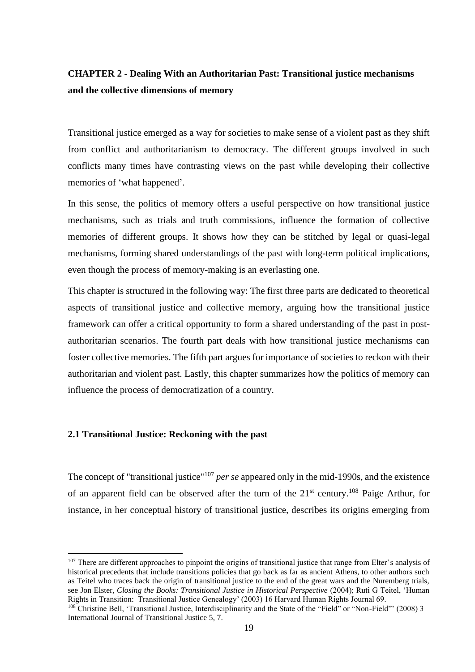# <span id="page-25-0"></span>**CHAPTER 2 - Dealing With an Authoritarian Past: Transitional justice mechanisms and the collective dimensions of memory**

Transitional justice emerged as a way for societies to make sense of a violent past as they shift from conflict and authoritarianism to democracy. The different groups involved in such conflicts many times have contrasting views on the past while developing their collective memories of 'what happened'.

In this sense, the politics of memory offers a useful perspective on how transitional justice mechanisms, such as trials and truth commissions, influence the formation of collective memories of different groups. It shows how they can be stitched by legal or quasi-legal mechanisms, forming shared understandings of the past with long-term political implications, even though the process of memory-making is an everlasting one.

This chapter is structured in the following way: The first three parts are dedicated to theoretical aspects of transitional justice and collective memory, arguing how the transitional justice framework can offer a critical opportunity to form a shared understanding of the past in postauthoritarian scenarios. The fourth part deals with how transitional justice mechanisms can foster collective memories. The fifth part argues for importance of societies to reckon with their authoritarian and violent past. Lastly, this chapter summarizes how the politics of memory can influence the process of democratization of a country.

#### <span id="page-25-1"></span>**2.1 Transitional Justice: Reckoning with the past**

The concept of "transitional justice"<sup>107</sup> *per se* appeared only in the mid-1990s, and the existence of an apparent field can be observed after the turn of the  $21<sup>st</sup>$  century.<sup>108</sup> Paige Arthur, for instance, in her conceptual history of transitional justice, describes its origins emerging from

<sup>&</sup>lt;sup>107</sup> There are different approaches to pinpoint the origins of transitional justice that range from Elter's analysis of historical precedents that include transitions policies that go back as far as ancient Athens, to other authors such as Teitel who traces back the origin of transitional justice to the end of the great wars and the Nuremberg trials, see Jon Elster, *Closing the Books: Transitional Justice in Historical Perspective* (2004); Ruti G Teitel, 'Human Rights in Transition: Transitional Justice Genealogy' (2003) 16 Harvard Human Rights Journal 69.

<sup>&</sup>lt;sup>108</sup> Christine Bell, 'Transitional Justice, Interdisciplinarity and the State of the "Field" or "Non-Field"' (2008) 3 International Journal of Transitional Justice 5, 7.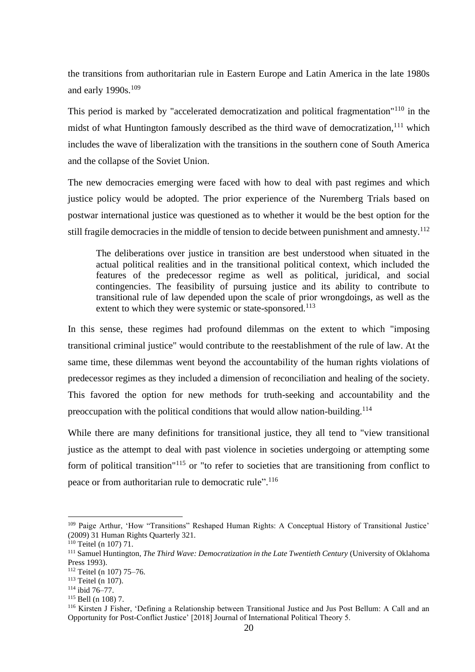the transitions from authoritarian rule in Eastern Europe and Latin America in the late 1980s and early 1990s.<sup>109</sup>

This period is marked by "accelerated democratization and political fragmentation"<sup>110</sup> in the midst of what Huntington famously described as the third wave of democratization, <sup>111</sup> which includes the wave of liberalization with the transitions in the southern cone of South America and the collapse of the Soviet Union.

The new democracies emerging were faced with how to deal with past regimes and which justice policy would be adopted. The prior experience of the Nuremberg Trials based on postwar international justice was questioned as to whether it would be the best option for the still fragile democracies in the middle of tension to decide between punishment and amnesty.<sup>112</sup>

The deliberations over justice in transition are best understood when situated in the actual political realities and in the transitional political context, which included the features of the predecessor regime as well as political, juridical, and social contingencies. The feasibility of pursuing justice and its ability to contribute to transitional rule of law depended upon the scale of prior wrongdoings, as well as the extent to which they were systemic or state-sponsored.<sup>113</sup>

In this sense, these regimes had profound dilemmas on the extent to which "imposing transitional criminal justice" would contribute to the reestablishment of the rule of law. At the same time, these dilemmas went beyond the accountability of the human rights violations of predecessor regimes as they included a dimension of reconciliation and healing of the society. This favored the option for new methods for truth-seeking and accountability and the preoccupation with the political conditions that would allow nation-building.<sup>114</sup>

While there are many definitions for transitional justice, they all tend to "view transitional justice as the attempt to deal with past violence in societies undergoing or attempting some form of political transition"<sup>115</sup> or "to refer to societies that are transitioning from conflict to peace or from authoritarian rule to democratic rule".<sup>116</sup>

<sup>109</sup> Paige Arthur, 'How "Transitions" Reshaped Human Rights: A Conceptual History of Transitional Justice' (2009) 31 Human Rights Quarterly 321.

<sup>110</sup> Teitel (n 107) 71.

<sup>111</sup> Samuel Huntington, *The Third Wave: Democratization in the Late Twentieth Century* (University of Oklahoma Press 1993).

<sup>112</sup> Teitel (n 107) 75–76.

<sup>113</sup> Teitel (n 107).

<sup>114</sup> ibid 76–77.

<sup>115</sup> Bell (n 108) 7.

<sup>116</sup> Kirsten J Fisher, 'Defining a Relationship between Transitional Justice and Jus Post Bellum: A Call and an Opportunity for Post-Conflict Justice' [2018] Journal of International Political Theory 5.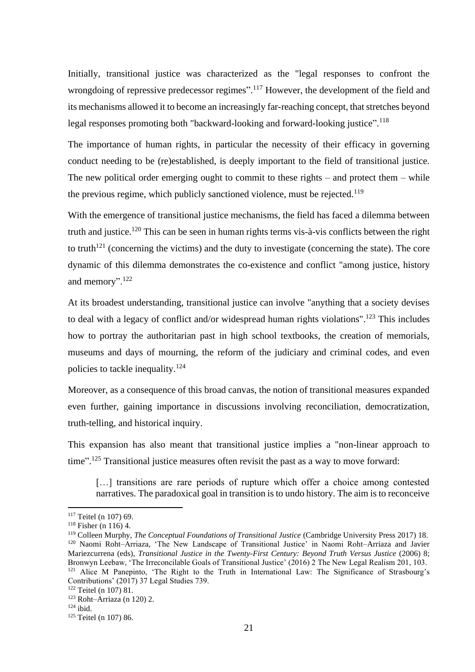Initially, transitional justice was characterized as the "legal responses to confront the wrongdoing of repressive predecessor regimes".<sup>117</sup> However, the development of the field and its mechanisms allowed it to become an increasingly far-reaching concept, that stretches beyond legal responses promoting both "backward-looking and forward-looking justice".<sup>118</sup>

The importance of human rights, in particular the necessity of their efficacy in governing conduct needing to be (re)established, is deeply important to the field of transitional justice. The new political order emerging ought to commit to these rights – and protect them – while the previous regime, which publicly sanctioned violence, must be rejected.<sup>119</sup>

With the emergence of transitional justice mechanisms, the field has faced a dilemma between truth and justice.<sup>120</sup> This can be seen in human rights terms vis- $\hat{a}$ -vis conflicts between the right to truth<sup>121</sup> (concerning the victims) and the duty to investigate (concerning the state). The core dynamic of this dilemma demonstrates the co-existence and conflict "among justice, history and memory".<sup>122</sup>

At its broadest understanding, transitional justice can involve "anything that a society devises to deal with a legacy of conflict and/or widespread human rights violations".<sup>123</sup> This includes how to portray the authoritarian past in high school textbooks, the creation of memorials, museums and days of mourning, the reform of the judiciary and criminal codes, and even policies to tackle inequality.<sup>124</sup>

Moreover, as a consequence of this broad canvas, the notion of transitional measures expanded even further, gaining importance in discussions involving reconciliation, democratization, truth-telling, and historical inquiry.

This expansion has also meant that transitional justice implies a "non-linear approach to time".<sup>125</sup> Transitional justice measures often revisit the past as a way to move forward:

[...] transitions are rare periods of rupture which offer a choice among contested narratives. The paradoxical goal in transition is to undo history. The aim is to reconceive

<sup>&</sup>lt;sup>117</sup> Teitel (n 107) 69.

 $118$  Fisher (n 116) 4.

<sup>119</sup> Colleen Murphy, *The Conceptual Foundations of Transitional Justice* (Cambridge University Press 2017) 18. <sup>120</sup> Naomi Roht–Arriaza, 'The New Landscape of Transitional Justice' in Naomi Roht–Arriaza and Javier Mariezcurrena (eds), *Transitional Justice in the Twenty-First Century: Beyond Truth Versus Justice* (2006) 8; Bronwyn Leebaw, 'The Irreconcilable Goals of Transitional Justice' (2016) 2 The New Legal Realism 201, 103. <sup>121</sup> Alice M Panepinto, 'The Right to the Truth in International Law: The Significance of Strasbourg's

Contributions' (2017) 37 Legal Studies 739. <sup>122</sup> Teitel (n 107) 81.

<sup>123</sup> Roht–Arriaza (n 120) 2.

 $124$  ibid.

<sup>125</sup> Teitel (n 107) 86.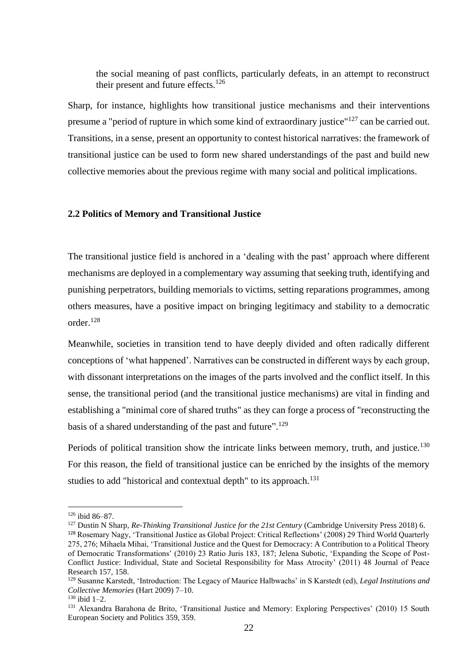the social meaning of past conflicts, particularly defeats, in an attempt to reconstruct their present and future effects.<sup>126</sup>

Sharp, for instance, highlights how transitional justice mechanisms and their interventions presume a "period of rupture in which some kind of extraordinary justice"<sup>127</sup> can be carried out. Transitions, in a sense, present an opportunity to contest historical narratives: the framework of transitional justice can be used to form new shared understandings of the past and build new collective memories about the previous regime with many social and political implications.

## <span id="page-28-0"></span>**2.2 Politics of Memory and Transitional Justice**

The transitional justice field is anchored in a 'dealing with the past' approach where different mechanisms are deployed in a complementary way assuming that seeking truth, identifying and punishing perpetrators, building memorials to victims, setting reparations programmes, among others measures, have a positive impact on bringing legitimacy and stability to a democratic order.<sup>128</sup>

Meanwhile, societies in transition tend to have deeply divided and often radically different conceptions of 'what happened'. Narratives can be constructed in different ways by each group, with dissonant interpretations on the images of the parts involved and the conflict itself. In this sense, the transitional period (and the transitional justice mechanisms) are vital in finding and establishing a "minimal core of shared truths" as they can forge a process of "reconstructing the basis of a shared understanding of the past and future".<sup>129</sup>

Periods of political transition show the intricate links between memory, truth, and justice.<sup>130</sup> For this reason, the field of transitional justice can be enriched by the insights of the memory studies to add "historical and contextual depth" to its approach.<sup>131</sup>

<sup>126</sup> ibid 86–87.

<sup>127</sup> Dustin N Sharp, *Re-Thinking Transitional Justice for the 21st Century* (Cambridge University Press 2018) 6.

<sup>128</sup> Rosemary Nagy, 'Transitional Justice as Global Project: Critical Reflections' (2008) 29 Third World Quarterly 275, 276; Mihaela Mihai, 'Transitional Justice and the Quest for Democracy: A Contribution to a Political Theory of Democratic Transformations' (2010) 23 Ratio Juris 183, 187; Jelena Subotic, 'Expanding the Scope of Post-Conflict Justice: Individual, State and Societal Responsibility for Mass Atrocity' (2011) 48 Journal of Peace Research 157, 158.

<sup>129</sup> Susanne Karstedt, 'Introduction: The Legacy of Maurice Halbwachs' in S Karstedt (ed), *Legal Institutions and Collective Memories* (Hart 2009) 7–10.

 $130$  ibid  $1-2$ .

<sup>&</sup>lt;sup>131</sup> Alexandra Barahona de Brito, 'Transitional Justice and Memory: Exploring Perspectives' (2010) 15 South European Society and Politics 359, 359.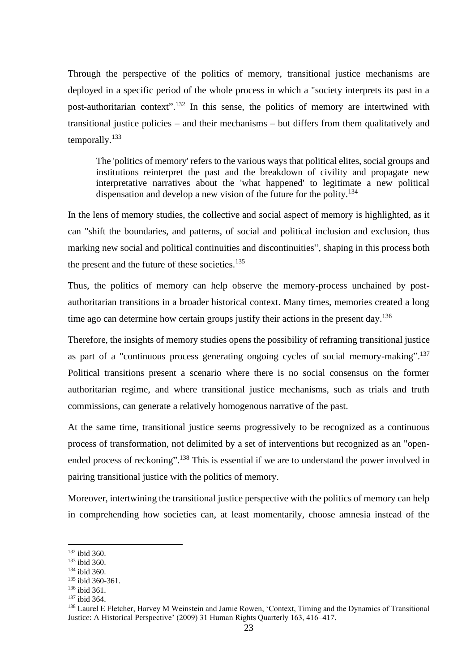Through the perspective of the politics of memory, transitional justice mechanisms are deployed in a specific period of the whole process in which a "society interprets its past in a post-authoritarian context".<sup>132</sup> In this sense, the politics of memory are intertwined with transitional justice policies – and their mechanisms – but differs from them qualitatively and temporally.<sup>133</sup>

The 'politics of memory' refers to the various ways that political elites, social groups and institutions reinterpret the past and the breakdown of civility and propagate new interpretative narratives about the 'what happened' to legitimate a new political dispensation and develop a new vision of the future for the polity.<sup>134</sup>

In the lens of memory studies, the collective and social aspect of memory is highlighted, as it can "shift the boundaries, and patterns, of social and political inclusion and exclusion, thus marking new social and political continuities and discontinuities", shaping in this process both the present and the future of these societies.<sup>135</sup>

Thus, the politics of memory can help observe the memory-process unchained by postauthoritarian transitions in a broader historical context. Many times, memories created a long time ago can determine how certain groups justify their actions in the present day.<sup>136</sup>

Therefore, the insights of memory studies opens the possibility of reframing transitional justice as part of a "continuous process generating ongoing cycles of social memory-making".<sup>137</sup> Political transitions present a scenario where there is no social consensus on the former authoritarian regime, and where transitional justice mechanisms, such as trials and truth commissions, can generate a relatively homogenous narrative of the past.

At the same time, transitional justice seems progressively to be recognized as a continuous process of transformation, not delimited by a set of interventions but recognized as an "openended process of reckoning".<sup>138</sup> This is essential if we are to understand the power involved in pairing transitional justice with the politics of memory.

Moreover, intertwining the transitional justice perspective with the politics of memory can help in comprehending how societies can, at least momentarily, choose amnesia instead of the

<sup>132</sup> ibid 360.

<sup>133</sup> ibid 360.

<sup>134</sup> ibid 360.

<sup>135</sup> ibid 360-361.

<sup>136</sup> ibid 361.

<sup>137</sup> ibid 364.

<sup>&</sup>lt;sup>138</sup> Laurel E Fletcher, Harvey M Weinstein and Jamie Rowen, 'Context, Timing and the Dynamics of Transitional Justice: A Historical Perspective' (2009) 31 Human Rights Quarterly 163, 416–417.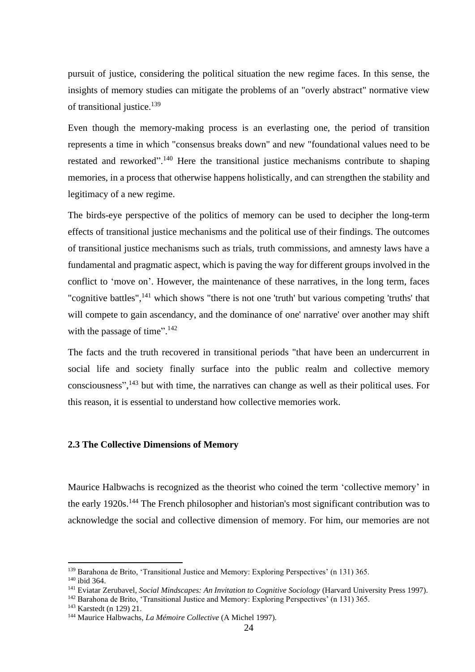pursuit of justice, considering the political situation the new regime faces. In this sense, the insights of memory studies can mitigate the problems of an "overly abstract" normative view of transitional justice.<sup>139</sup>

Even though the memory-making process is an everlasting one, the period of transition represents a time in which "consensus breaks down" and new "foundational values need to be restated and reworked".<sup>140</sup> Here the transitional justice mechanisms contribute to shaping memories, in a process that otherwise happens holistically, and can strengthen the stability and legitimacy of a new regime.

The birds-eye perspective of the politics of memory can be used to decipher the long-term effects of transitional justice mechanisms and the political use of their findings. The outcomes of transitional justice mechanisms such as trials, truth commissions, and amnesty laws have a fundamental and pragmatic aspect, which is paving the way for different groups involved in the conflict to 'move on'. However, the maintenance of these narratives, in the long term, faces "cognitive battles",<sup>141</sup> which shows "there is not one 'truth' but various competing 'truths' that will compete to gain ascendancy, and the dominance of one' narrative' over another may shift with the passage of time".<sup>142</sup>

The facts and the truth recovered in transitional periods "that have been an undercurrent in social life and society finally surface into the public realm and collective memory consciousness",<sup>143</sup> but with time, the narratives can change as well as their political uses. For this reason, it is essential to understand how collective memories work.

## <span id="page-30-0"></span>**2.3 The Collective Dimensions of Memory**

Maurice Halbwachs is recognized as the theorist who coined the term 'collective memory' in the early 1920s.<sup>144</sup> The French philosopher and historian's most significant contribution was to acknowledge the social and collective dimension of memory. For him, our memories are not

<sup>&</sup>lt;sup>139</sup> Barahona de Brito, 'Transitional Justice and Memory: Exploring Perspectives' (n 131) 365.

<sup>140</sup> ibid 364.

<sup>141</sup> Eviatar Zerubavel, *Social Mindscapes: An Invitation to Cognitive Sociology* (Harvard University Press 1997).

<sup>142</sup> Barahona de Brito, 'Transitional Justice and Memory: Exploring Perspectives' (n 131) 365.

<sup>143</sup> Karstedt (n 129) 21.

<sup>144</sup> Maurice Halbwachs, *La Mémoire Collective* (A Michel 1997).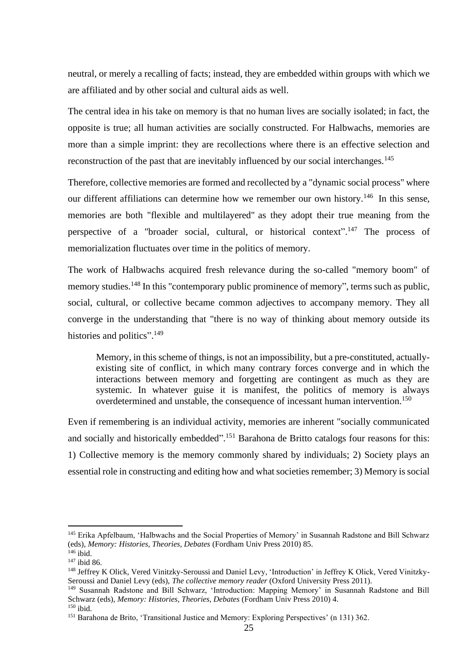neutral, or merely a recalling of facts; instead, they are embedded within groups with which we are affiliated and by other social and cultural aids as well.

The central idea in his take on memory is that no human lives are socially isolated; in fact, the opposite is true; all human activities are socially constructed. For Halbwachs, memories are more than a simple imprint: they are recollections where there is an effective selection and reconstruction of the past that are inevitably influenced by our social interchanges.<sup>145</sup>

Therefore, collective memories are formed and recollected by a "dynamic social process" where our different affiliations can determine how we remember our own history.<sup>146</sup> In this sense, memories are both "flexible and multilayered" as they adopt their true meaning from the perspective of a "broader social, cultural, or historical context".<sup>147</sup> The process of memorialization fluctuates over time in the politics of memory.

The work of Halbwachs acquired fresh relevance during the so-called "memory boom" of memory studies.<sup>148</sup> In this "contemporary public prominence of memory", terms such as public, social, cultural, or collective became common adjectives to accompany memory. They all converge in the understanding that "there is no way of thinking about memory outside its histories and politics".<sup>149</sup>

Memory, in this scheme of things, is not an impossibility, but a pre-constituted, actuallyexisting site of conflict, in which many contrary forces converge and in which the interactions between memory and forgetting are contingent as much as they are systemic. In whatever guise it is manifest, the politics of memory is always overdetermined and unstable, the consequence of incessant human intervention.<sup>150</sup>

Even if remembering is an individual activity, memories are inherent "socially communicated and socially and historically embedded".<sup>151</sup> Barahona de Britto catalogs four reasons for this: 1) Collective memory is the memory commonly shared by individuals; 2) Society plays an essential role in constructing and editing how and what societies remember; 3) Memory is social

<sup>&</sup>lt;sup>145</sup> Erika Apfelbaum, 'Halbwachs and the Social Properties of Memory' in Susannah Radstone and Bill Schwarz (eds), *Memory: Histories, Theories, Debates* (Fordham Univ Press 2010) 85.

<sup>146</sup> ibid.

<sup>147</sup> ibid 86.

<sup>&</sup>lt;sup>148</sup> Jeffrey K Olick, Vered Vinitzky-Seroussi and Daniel Levy, 'Introduction' in Jeffrey K Olick, Vered Vinitzky-Seroussi and Daniel Levy (eds), *The collective memory reader* (Oxford University Press 2011).

<sup>149</sup> Susannah Radstone and Bill Schwarz, 'Introduction: Mapping Memory' in Susannah Radstone and Bill Schwarz (eds), *Memory: Histories, Theories, Debates* (Fordham Univ Press 2010) 4. <sup>150</sup> ibid.

<sup>&</sup>lt;sup>151</sup> Barahona de Brito, 'Transitional Justice and Memory: Exploring Perspectives' (n 131) 362.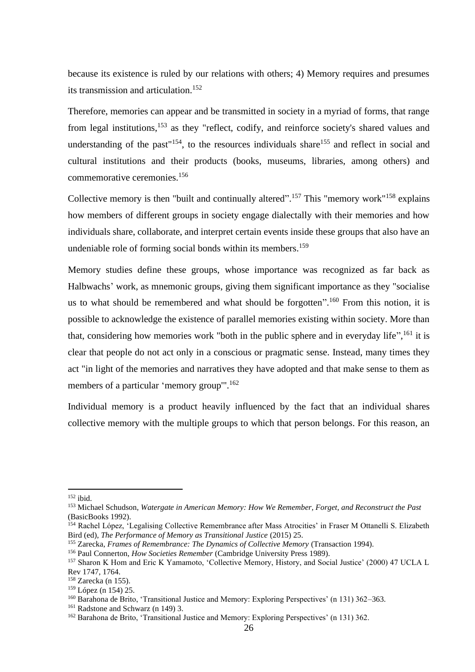because its existence is ruled by our relations with others; 4) Memory requires and presumes its transmission and articulation.<sup>152</sup>

Therefore, memories can appear and be transmitted in society in a myriad of forms, that range from legal institutions,<sup>153</sup> as they "reflect, codify, and reinforce society's shared values and understanding of the past<sup> $154$ </sup>, to the resources individuals share<sup>155</sup> and reflect in social and cultural institutions and their products (books, museums, libraries, among others) and commemorative ceremonies.<sup>156</sup>

Collective memory is then "built and continually altered".<sup>157</sup> This "memory work"<sup>158</sup> explains how members of different groups in society engage dialectally with their memories and how individuals share, collaborate, and interpret certain events inside these groups that also have an undeniable role of forming social bonds within its members.<sup>159</sup>

Memory studies define these groups, whose importance was recognized as far back as Halbwachs' work, as mnemonic groups, giving them significant importance as they "socialise us to what should be remembered and what should be forgotten".<sup>160</sup> From this notion, it is possible to acknowledge the existence of parallel memories existing within society. More than that, considering how memories work "both in the public sphere and in everyday life", <sup>161</sup> it is clear that people do not act only in a conscious or pragmatic sense. Instead, many times they act "in light of the memories and narratives they have adopted and that make sense to them as members of a particular 'memory group'".<sup>162</sup>

Individual memory is a product heavily influenced by the fact that an individual shares collective memory with the multiple groups to which that person belongs. For this reason, an

 $152$  ibid.

<sup>153</sup> Michael Schudson, *Watergate in American Memory: How We Remember, Forget, and Reconstruct the Past* (BasicBooks 1992).

<sup>154</sup> Rachel López, 'Legalising Collective Remembrance after Mass Atrocities' in Fraser M Ottanelli S. Elizabeth Bird (ed), *The Performance of Memory as Transitional Justice* (2015) 25.

<sup>155</sup> Zarecka, *Frames of Remembrance: The Dynamics of Collective Memory* (Transaction 1994).

<sup>156</sup> Paul Connerton, *How Societies Remember* (Cambridge University Press 1989).

<sup>157</sup> Sharon K Hom and Eric K Yamamoto, 'Collective Memory, History, and Social Justice' (2000) 47 UCLA L Rev 1747, 1764.

<sup>158</sup> Zarecka (n 155).

<sup>159</sup> López (n 154) 25.

<sup>160</sup> Barahona de Brito, 'Transitional Justice and Memory: Exploring Perspectives' (n 131) 362–363.

<sup>&</sup>lt;sup>161</sup> Radstone and Schwarz (n 149) 3.

<sup>162</sup> Barahona de Brito, 'Transitional Justice and Memory: Exploring Perspectives' (n 131) 362.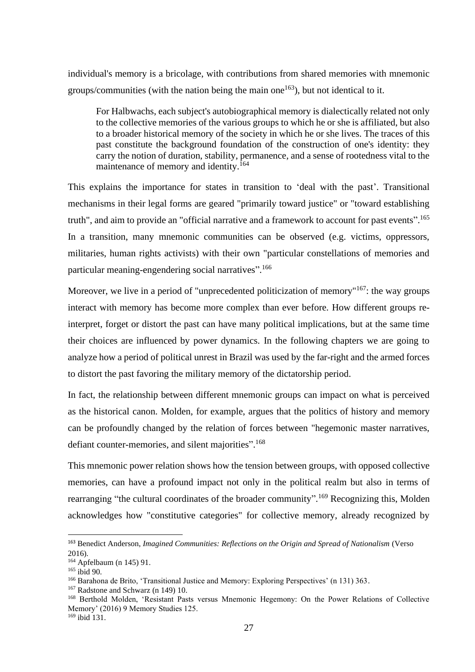individual's memory is a bricolage, with contributions from shared memories with mnemonic groups/communities (with the nation being the main one<sup>163</sup>), but not identical to it.

For Halbwachs, each subject's autobiographical memory is dialectically related not only to the collective memories of the various groups to which he or she is affiliated, but also to a broader historical memory of the society in which he or she lives. The traces of this past constitute the background foundation of the construction of one's identity: they carry the notion of duration, stability, permanence, and a sense of rootedness vital to the maintenance of memory and identity.<sup>164</sup>

This explains the importance for states in transition to 'deal with the past'. Transitional mechanisms in their legal forms are geared "primarily toward justice" or "toward establishing truth", and aim to provide an "official narrative and a framework to account for past events". 165 In a transition, many mnemonic communities can be observed (e.g. victims, oppressors, militaries, human rights activists) with their own "particular constellations of memories and particular meaning-engendering social narratives".<sup>166</sup>

Moreover, we live in a period of "unprecedented politicization of memory"<sup>167</sup>: the way groups interact with memory has become more complex than ever before. How different groups reinterpret, forget or distort the past can have many political implications, but at the same time their choices are influenced by power dynamics. In the following chapters we are going to analyze how a period of political unrest in Brazil was used by the far-right and the armed forces to distort the past favoring the military memory of the dictatorship period.

In fact, the relationship between different mnemonic groups can impact on what is perceived as the historical canon. Molden, for example, argues that the politics of history and memory can be profoundly changed by the relation of forces between "hegemonic master narratives, defiant counter-memories, and silent majorities".<sup>168</sup>

This mnemonic power relation shows how the tension between groups, with opposed collective memories, can have a profound impact not only in the political realm but also in terms of rearranging "the cultural coordinates of the broader community".<sup>169</sup> Recognizing this, Molden acknowledges how "constitutive categories" for collective memory, already recognized by

<sup>163</sup> Benedict Anderson, *Imagined Communities: Reflections on the Origin and Spread of Nationalism* (Verso 2016).

<sup>164</sup> Apfelbaum (n 145) 91.

<sup>165</sup> ibid 90.

<sup>166</sup> Barahona de Brito, 'Transitional Justice and Memory: Exploring Perspectives' (n 131) 363.

<sup>167</sup> Radstone and Schwarz (n 149) 10.

<sup>168</sup> Berthold Molden, 'Resistant Pasts versus Mnemonic Hegemony: On the Power Relations of Collective Memory' (2016) 9 Memory Studies 125.

<sup>169</sup> ibid 131.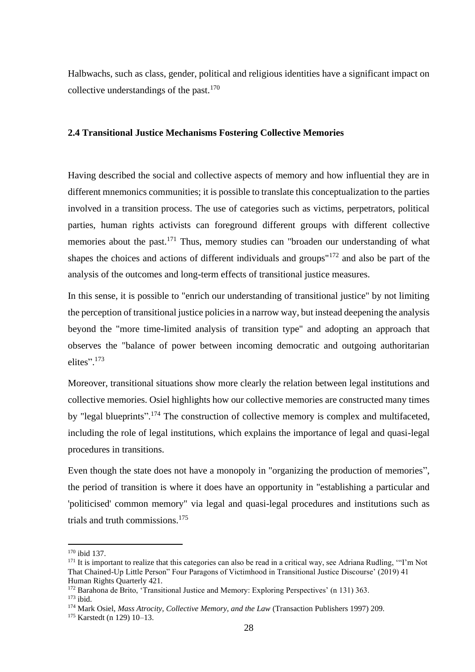Halbwachs, such as class, gender, political and religious identities have a significant impact on collective understandings of the past.<sup>170</sup>

#### <span id="page-34-0"></span>**2.4 Transitional Justice Mechanisms Fostering Collective Memories**

Having described the social and collective aspects of memory and how influential they are in different mnemonics communities; it is possible to translate this conceptualization to the parties involved in a transition process. The use of categories such as victims, perpetrators, political parties, human rights activists can foreground different groups with different collective memories about the past.<sup>171</sup> Thus, memory studies can "broaden our understanding of what shapes the choices and actions of different individuals and groups"<sup>172</sup> and also be part of the analysis of the outcomes and long-term effects of transitional justice measures.

In this sense, it is possible to "enrich our understanding of transitional justice" by not limiting the perception of transitional justice policies in a narrow way, but instead deepening the analysis beyond the "more time-limited analysis of transition type" and adopting an approach that observes the "balance of power between incoming democratic and outgoing authoritarian elites".<sup>173</sup>

Moreover, transitional situations show more clearly the relation between legal institutions and collective memories. Osiel highlights how our collective memories are constructed many times by "legal blueprints".<sup>174</sup> The construction of collective memory is complex and multifaceted, including the role of legal institutions, which explains the importance of legal and quasi-legal procedures in transitions.

Even though the state does not have a monopoly in "organizing the production of memories", the period of transition is where it does have an opportunity in "establishing a particular and 'politicised' common memory" via legal and quasi-legal procedures and institutions such as trials and truth commissions.<sup>175</sup>

<sup>170</sup> ibid 137.

<sup>&</sup>lt;sup>171</sup> It is important to realize that this categories can also be read in a critical way, see Adriana Rudling, "T'm Not That Chained-Up Little Person" Four Paragons of Victimhood in Transitional Justice Discourse' (2019) 41 Human Rights Quarterly 421.

<sup>172</sup> Barahona de Brito, 'Transitional Justice and Memory: Exploring Perspectives' (n 131) 363.

 $173$  ibid.

<sup>174</sup> Mark Osiel, *Mass Atrocity, Collective Memory, and the Law* (Transaction Publishers 1997) 209.

<sup>175</sup> Karstedt (n 129) 10–13.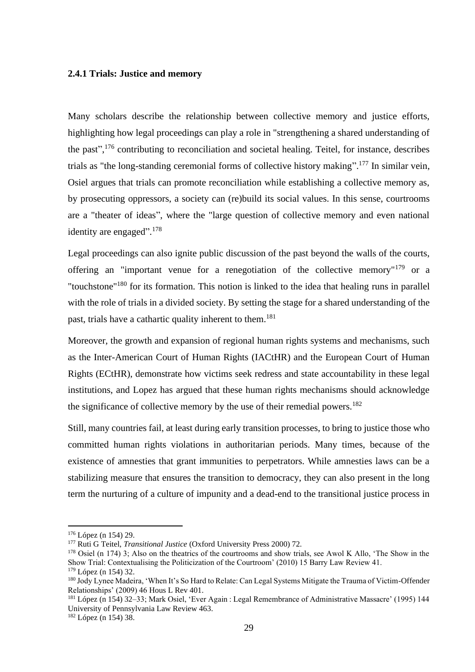#### <span id="page-35-0"></span>**2.4.1 Trials: Justice and memory**

Many scholars describe the relationship between collective memory and justice efforts, highlighting how legal proceedings can play a role in "strengthening a shared understanding of the past",<sup>176</sup> contributing to reconciliation and societal healing. Teitel, for instance, describes trials as "the long-standing ceremonial forms of collective history making".<sup>177</sup> In similar vein, Osiel argues that trials can promote reconciliation while establishing a collective memory as, by prosecuting oppressors, a society can (re)build its social values. In this sense, courtrooms are a "theater of ideas", where the "large question of collective memory and even national identity are engaged".<sup>178</sup>

Legal proceedings can also ignite public discussion of the past beyond the walls of the courts, offering an "important venue for a renegotiation of the collective memory"<sup>179</sup> or a "touchstone"<sup>180</sup> for its formation. This notion is linked to the idea that healing runs in parallel with the role of trials in a divided society. By setting the stage for a shared understanding of the past, trials have a cathartic quality inherent to them.<sup>181</sup>

Moreover, the growth and expansion of regional human rights systems and mechanisms, such as the Inter-American Court of Human Rights (IACtHR) and the European Court of Human Rights (ECtHR), demonstrate how victims seek redress and state accountability in these legal institutions, and Lopez has argued that these human rights mechanisms should acknowledge the significance of collective memory by the use of their remedial powers.<sup>182</sup>

Still, many countries fail, at least during early transition processes, to bring to justice those who committed human rights violations in authoritarian periods. Many times, because of the existence of amnesties that grant immunities to perpetrators. While amnesties laws can be a stabilizing measure that ensures the transition to democracy, they can also present in the long term the nurturing of a culture of impunity and a dead-end to the transitional justice process in

<sup>176</sup> López (n 154) 29.

<sup>177</sup> Ruti G Teitel, *Transitional Justice* (Oxford University Press 2000) 72.

<sup>&</sup>lt;sup>178</sup> Osiel (n 174) 3; Also on the theatrics of the courtrooms and show trials, see Awol K Allo, 'The Show in the Show Trial: Contextualising the Politicization of the Courtroom' (2010) 15 Barry Law Review 41.  $179$  López (n 154) 32.

<sup>&</sup>lt;sup>180</sup> Jody Lynee Madeira, 'When It's So Hard to Relate: Can Legal Systems Mitigate the Trauma of Victim-Offender Relationships' (2009) 46 Hous L Rev 401.

<sup>181</sup> López (n 154) 32–33; Mark Osiel, 'Ever Again : Legal Remembrance of Administrative Massacre' (1995) 144 University of Pennsylvania Law Review 463.

<sup>182</sup> López (n 154) 38.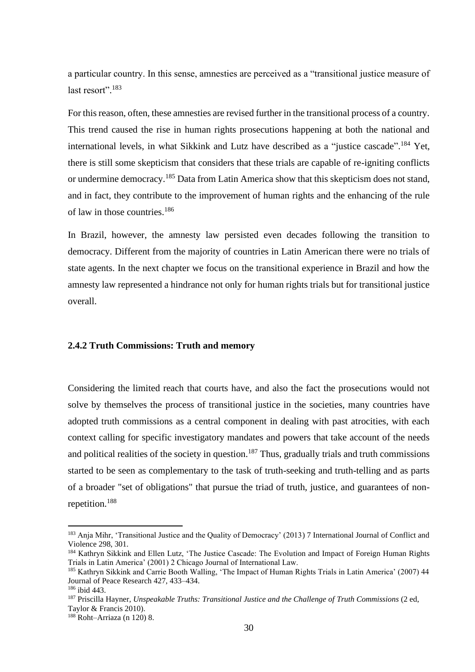a particular country. In this sense, amnesties are perceived as a "transitional justice measure of last resort". 183

For this reason, often, these amnesties are revised further in the transitional process of a country. This trend caused the rise in human rights prosecutions happening at both the national and international levels, in what Sikkink and Lutz have described as a "justice cascade".<sup>184</sup> Yet, there is still some skepticism that considers that these trials are capable of re-igniting conflicts or undermine democracy.<sup>185</sup> Data from Latin America show that this skepticism does not stand, and in fact, they contribute to the improvement of human rights and the enhancing of the rule of law in those countries.<sup>186</sup>

In Brazil, however, the amnesty law persisted even decades following the transition to democracy. Different from the majority of countries in Latin American there were no trials of state agents. In the next chapter we focus on the transitional experience in Brazil and how the amnesty law represented a hindrance not only for human rights trials but for transitional justice overall.

## **2.4.2 Truth Commissions: Truth and memory**

Considering the limited reach that courts have, and also the fact the prosecutions would not solve by themselves the process of transitional justice in the societies, many countries have adopted truth commissions as a central component in dealing with past atrocities, with each context calling for specific investigatory mandates and powers that take account of the needs and political realities of the society in question.<sup>187</sup> Thus, gradually trials and truth commissions started to be seen as complementary to the task of truth-seeking and truth-telling and as parts of a broader "set of obligations" that pursue the triad of truth, justice, and guarantees of nonrepetition.<sup>188</sup>

<sup>183</sup> Anja Mihr, 'Transitional Justice and the Quality of Democracy' (2013) 7 International Journal of Conflict and Violence 298, 301.

<sup>&</sup>lt;sup>184</sup> Kathryn Sikkink and Ellen Lutz, 'The Justice Cascade: The Evolution and Impact of Foreign Human Rights Trials in Latin America' (2001) 2 Chicago Journal of International Law.

<sup>&</sup>lt;sup>185</sup> Kathryn Sikkink and Carrie Booth Walling, 'The Impact of Human Rights Trials in Latin America' (2007) 44 Journal of Peace Research 427, 433–434.

<sup>186</sup> ibid 443.

<sup>187</sup> Priscilla Hayner, *Unspeakable Truths: Transitional Justice and the Challenge of Truth Commissions* (2 ed, Taylor & Francis 2010).

<sup>188</sup> Roht–Arriaza (n 120) 8.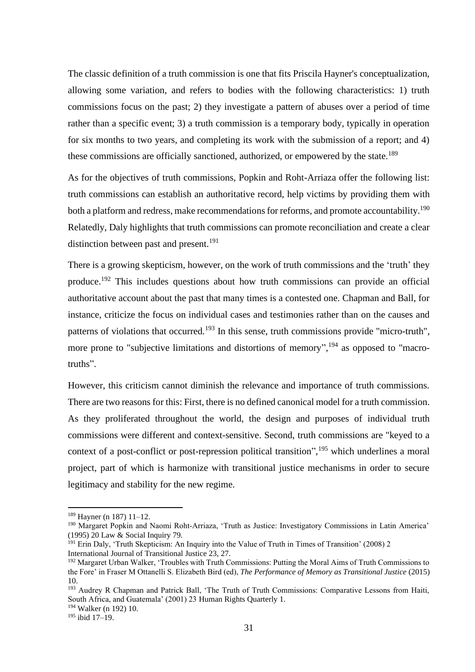The classic definition of a truth commission is one that fits Priscila Hayner's conceptualization, allowing some variation, and refers to bodies with the following characteristics: 1) truth commissions focus on the past; 2) they investigate a pattern of abuses over a period of time rather than a specific event; 3) a truth commission is a temporary body, typically in operation for six months to two years, and completing its work with the submission of a report; and 4) these commissions are officially sanctioned, authorized, or empowered by the state.<sup>189</sup>

As for the objectives of truth commissions, Popkin and Roht-Arriaza offer the following list: truth commissions can establish an authoritative record, help victims by providing them with both a platform and redress, make recommendations for reforms, and promote accountability.<sup>190</sup> Relatedly, Daly highlights that truth commissions can promote reconciliation and create a clear distinction between past and present.<sup>191</sup>

There is a growing skepticism, however, on the work of truth commissions and the 'truth' they produce.<sup>192</sup> This includes questions about how truth commissions can provide an official authoritative account about the past that many times is a contested one. Chapman and Ball, for instance, criticize the focus on individual cases and testimonies rather than on the causes and patterns of violations that occurred.<sup>193</sup> In this sense, truth commissions provide "micro-truth", more prone to "subjective limitations and distortions of memory",<sup>194</sup> as opposed to "macrotruths".

However, this criticism cannot diminish the relevance and importance of truth commissions. There are two reasons for this: First, there is no defined canonical model for a truth commission. As they proliferated throughout the world, the design and purposes of individual truth commissions were different and context-sensitive. Second, truth commissions are "keyed to a context of a post-conflict or post-repression political transition",<sup>195</sup> which underlines a moral project, part of which is harmonize with transitional justice mechanisms in order to secure legitimacy and stability for the new regime.

<sup>194</sup> Walker (n 192) 10.

<sup>189</sup> Hayner (n 187) 11–12.

<sup>190</sup> Margaret Popkin and Naomi Roht‐Arriaza, 'Truth as Justice: Investigatory Commissions in Latin America' (1995) 20 Law & Social Inquiry 79.

<sup>&</sup>lt;sup>191</sup> Erin Daly, 'Truth Skepticism: An Inquiry into the Value of Truth in Times of Transition' (2008) 2 International Journal of Transitional Justice 23, 27.

<sup>&</sup>lt;sup>192</sup> Margaret Urban Walker, 'Troubles with Truth Commissions: Putting the Moral Aims of Truth Commissions to the Fore' in Fraser M Ottanelli S. Elizabeth Bird (ed), *The Performance of Memory as Transitional Justice* (2015) 10.

<sup>&</sup>lt;sup>193</sup> Audrey R Chapman and Patrick Ball, 'The Truth of Truth Commissions: Comparative Lessons from Haiti, South Africa, and Guatemala' (2001) 23 Human Rights Quarterly 1.

<sup>195</sup> ibid 17–19.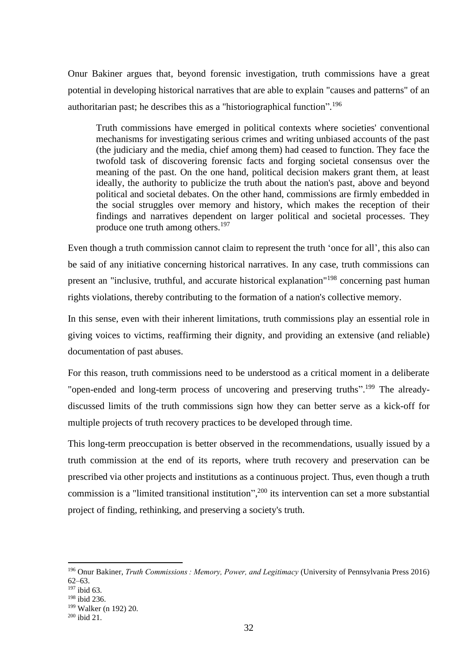Onur Bakiner argues that, beyond forensic investigation, truth commissions have a great potential in developing historical narratives that are able to explain "causes and patterns" of an authoritarian past; he describes this as a "historiographical function". 196

Truth commissions have emerged in political contexts where societies' conventional mechanisms for investigating serious crimes and writing unbiased accounts of the past (the judiciary and the media, chief among them) had ceased to function. They face the twofold task of discovering forensic facts and forging societal consensus over the meaning of the past. On the one hand, political decision makers grant them, at least ideally, the authority to publicize the truth about the nation's past, above and beyond political and societal debates. On the other hand, commissions are firmly embedded in the social struggles over memory and history, which makes the reception of their findings and narratives dependent on larger political and societal processes. They produce one truth among others.<sup>197</sup>

Even though a truth commission cannot claim to represent the truth 'once for all', this also can be said of any initiative concerning historical narratives. In any case, truth commissions can present an "inclusive, truthful, and accurate historical explanation"<sup>198</sup> concerning past human rights violations, thereby contributing to the formation of a nation's collective memory.

In this sense, even with their inherent limitations, truth commissions play an essential role in giving voices to victims, reaffirming their dignity, and providing an extensive (and reliable) documentation of past abuses.

For this reason, truth commissions need to be understood as a critical moment in a deliberate "open-ended and long-term process of uncovering and preserving truths".<sup>199</sup> The alreadydiscussed limits of the truth commissions sign how they can better serve as a kick-off for multiple projects of truth recovery practices to be developed through time.

This long-term preoccupation is better observed in the recommendations, usually issued by a truth commission at the end of its reports, where truth recovery and preservation can be prescribed via other projects and institutions as a continuous project. Thus, even though a truth commission is a "limited transitional institution",<sup>200</sup> its intervention can set a more substantial project of finding, rethinking, and preserving a society's truth.

<sup>196</sup> Onur Bakiner, *Truth Commissions : Memory, Power, and Legitimacy* (University of Pennsylvania Press 2016) 62–63.

<sup>197</sup> ibid 63.

<sup>198</sup> ibid 236.

<sup>199</sup> Walker (n 192) 20.

<sup>200</sup> ibid 21.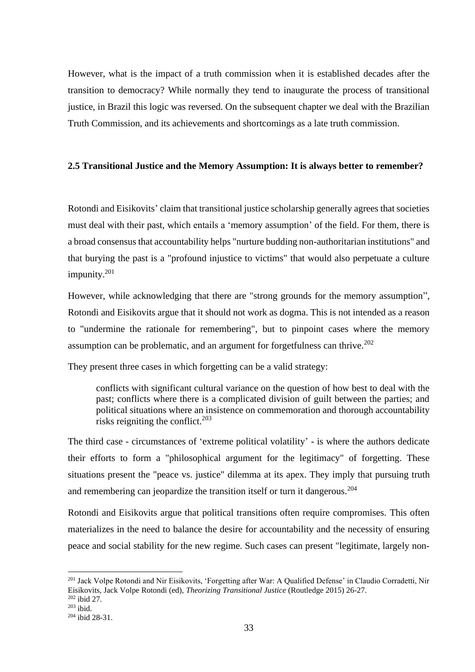However, what is the impact of a truth commission when it is established decades after the transition to democracy? While normally they tend to inaugurate the process of transitional justice, in Brazil this logic was reversed. On the subsequent chapter we deal with the Brazilian Truth Commission, and its achievements and shortcomings as a late truth commission.

#### **2.5 Transitional Justice and the Memory Assumption: It is always better to remember?**

Rotondi and Eisikovits' claim that transitional justice scholarship generally agrees that societies must deal with their past, which entails a 'memory assumption' of the field. For them, there is a broad consensus that accountability helps "nurture budding non-authoritarian institutions" and that burying the past is a "profound injustice to victims" that would also perpetuate a culture impunity.<sup>201</sup>

However, while acknowledging that there are "strong grounds for the memory assumption", Rotondi and Eisikovits argue that it should not work as dogma. This is not intended as a reason to "undermine the rationale for remembering", but to pinpoint cases where the memory assumption can be problematic, and an argument for forgetfulness can thrive.<sup>202</sup>

They present three cases in which forgetting can be a valid strategy:

conflicts with significant cultural variance on the question of how best to deal with the past; conflicts where there is a complicated division of guilt between the parties; and political situations where an insistence on commemoration and thorough accountability risks reigniting the conflict.<sup>203</sup>

The third case - circumstances of 'extreme political volatility' - is where the authors dedicate their efforts to form a "philosophical argument for the legitimacy" of forgetting. These situations present the "peace vs. justice" dilemma at its apex. They imply that pursuing truth and remembering can jeopardize the transition itself or turn it dangerous.<sup>204</sup>

Rotondi and Eisikovits argue that political transitions often require compromises. This often materializes in the need to balance the desire for accountability and the necessity of ensuring peace and social stability for the new regime. Such cases can present "legitimate, largely non-

<sup>201</sup> Jack Volpe Rotondi and Nir Eisikovits, 'Forgetting after War: A Qualified Defense' in Claudio Corradetti, Nir Eisikovits, Jack Volpe Rotondi (ed), *Theorizing Transitional Justice* (Routledge 2015) 26-27. <sup>202</sup> ibid 27.

 $203$  ibid.

<sup>204</sup> ibid 28-31.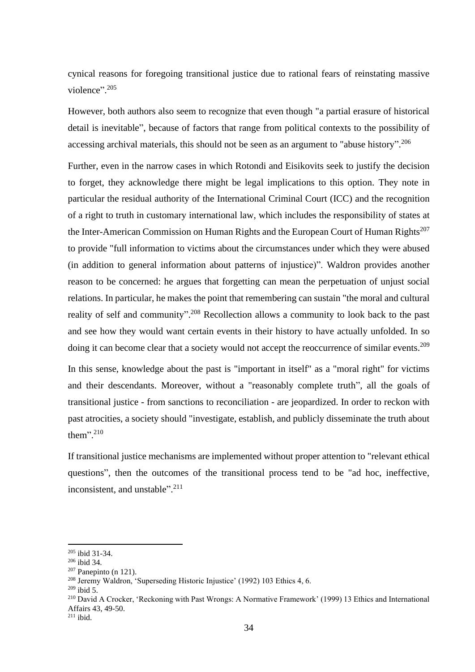cynical reasons for foregoing transitional justice due to rational fears of reinstating massive violence".<sup>205</sup>

However, both authors also seem to recognize that even though "a partial erasure of historical detail is inevitable", because of factors that range from political contexts to the possibility of accessing archival materials, this should not be seen as an argument to "abuse history".<sup>206</sup>

Further, even in the narrow cases in which Rotondi and Eisikovits seek to justify the decision to forget, they acknowledge there might be legal implications to this option. They note in particular the residual authority of the International Criminal Court (ICC) and the recognition of a right to truth in customary international law, which includes the responsibility of states at the Inter-American Commission on Human Rights and the European Court of Human Rights<sup>207</sup> to provide "full information to victims about the circumstances under which they were abused (in addition to general information about patterns of injustice)". Waldron provides another reason to be concerned: he argues that forgetting can mean the perpetuation of unjust social relations. In particular, he makes the point that remembering can sustain "the moral and cultural reality of self and community".<sup>208</sup> Recollection allows a community to look back to the past and see how they would want certain events in their history to have actually unfolded. In so doing it can become clear that a society would not accept the reoccurrence of similar events.<sup>209</sup>

In this sense, knowledge about the past is "important in itself" as a "moral right" for victims and their descendants. Moreover, without a "reasonably complete truth", all the goals of transitional justice - from sanctions to reconciliation - are jeopardized. In order to reckon with past atrocities, a society should "investigate, establish, and publicly disseminate the truth about them". 210

If transitional justice mechanisms are implemented without proper attention to "relevant ethical questions", then the outcomes of the transitional process tend to be "ad hoc, ineffective, inconsistent, and unstable".<sup>211</sup>

<sup>205</sup> ibid 31-34.

<sup>206</sup> ibid 34.

 $207$  Panepinto (n 121).

<sup>208</sup> Jeremy Waldron, 'Superseding Historic Injustice' (1992) 103 Ethics 4, 6.

<sup>209</sup> ibid 5.

<sup>210</sup> David A Crocker, 'Reckoning with Past Wrongs: A Normative Framework' (1999) 13 Ethics and International Affairs 43, 49-50.

 $211$  ibid.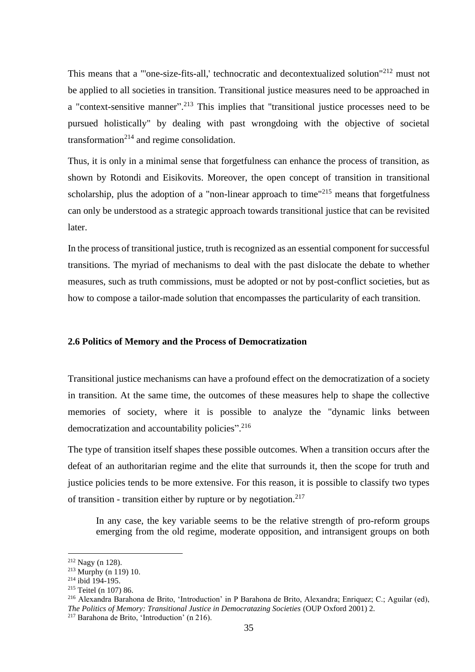This means that a "'one-size-fits-all,' technocratic and decontextualized solution"<sup>212</sup> must not be applied to all societies in transition. Transitional justice measures need to be approached in a "context-sensitive manner".<sup>213</sup> This implies that "transitional justice processes need to be pursued holistically" by dealing with past wrongdoing with the objective of societal transformation<sup>214</sup> and regime consolidation.

Thus, it is only in a minimal sense that forgetfulness can enhance the process of transition, as shown by Rotondi and Eisikovits. Moreover, the open concept of transition in transitional scholarship, plus the adoption of a "non-linear approach to time"<sup>215</sup> means that forgetfulness can only be understood as a strategic approach towards transitional justice that can be revisited later.

In the process of transitional justice, truth is recognized as an essential component for successful transitions. The myriad of mechanisms to deal with the past dislocate the debate to whether measures, such as truth commissions, must be adopted or not by post-conflict societies, but as how to compose a tailor-made solution that encompasses the particularity of each transition.

### **2.6 Politics of Memory and the Process of Democratization**

Transitional justice mechanisms can have a profound effect on the democratization of a society in transition. At the same time, the outcomes of these measures help to shape the collective memories of society, where it is possible to analyze the "dynamic links between democratization and accountability policies".<sup>216</sup>

The type of transition itself shapes these possible outcomes. When a transition occurs after the defeat of an authoritarian regime and the elite that surrounds it, then the scope for truth and justice policies tends to be more extensive. For this reason, it is possible to classify two types of transition - transition either by rupture or by negotiation. 217

In any case, the key variable seems to be the relative strength of pro-reform groups emerging from the old regime, moderate opposition, and intransigent groups on both

<sup>212</sup> Nagy (n 128).

<sup>213</sup> Murphy (n 119) 10.

<sup>214</sup> ibid 194-195.

<sup>215</sup> Teitel (n 107) 86.

<sup>216</sup> Alexandra Barahona de Brito, 'Introduction' in P Barahona de Brito, Alexandra; Enriquez; C.; Aguilar (ed), *The Politics of Memory: Transitional Justice in Democratazing Societies* (OUP Oxford 2001) 2.

<sup>217</sup> Barahona de Brito, 'Introduction' (n 216).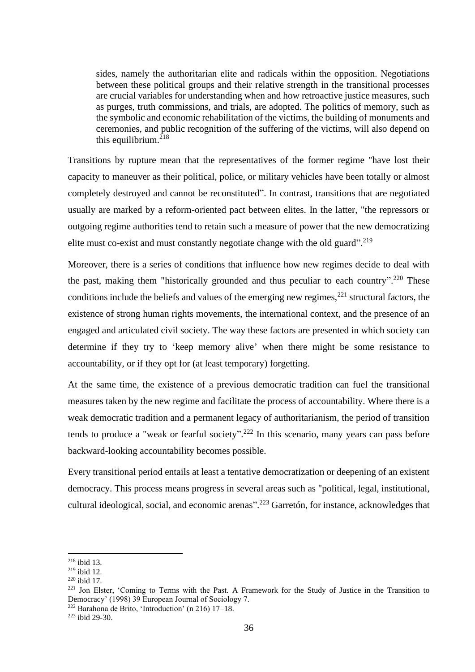sides, namely the authoritarian elite and radicals within the opposition. Negotiations between these political groups and their relative strength in the transitional processes are crucial variables for understanding when and how retroactive justice measures, such as purges, truth commissions, and trials, are adopted. The politics of memory, such as the symbolic and economic rehabilitation of the victims, the building of monuments and ceremonies, and public recognition of the suffering of the victims, will also depend on this equilibrium.<sup>218</sup>

Transitions by rupture mean that the representatives of the former regime "have lost their capacity to maneuver as their political, police, or military vehicles have been totally or almost completely destroyed and cannot be reconstituted". In contrast, transitions that are negotiated usually are marked by a reform-oriented pact between elites. In the latter, "the repressors or outgoing regime authorities tend to retain such a measure of power that the new democratizing elite must co-exist and must constantly negotiate change with the old guard".<sup>219</sup>

Moreover, there is a series of conditions that influence how new regimes decide to deal with the past, making them "historically grounded and thus peculiar to each country".<sup>220</sup> These conditions include the beliefs and values of the emerging new regimes, $^{221}$  structural factors, the existence of strong human rights movements, the international context, and the presence of an engaged and articulated civil society. The way these factors are presented in which society can determine if they try to 'keep memory alive' when there might be some resistance to accountability, or if they opt for (at least temporary) forgetting.

At the same time, the existence of a previous democratic tradition can fuel the transitional measures taken by the new regime and facilitate the process of accountability. Where there is a weak democratic tradition and a permanent legacy of authoritarianism, the period of transition tends to produce a "weak or fearful society".<sup>222</sup> In this scenario, many years can pass before backward-looking accountability becomes possible.

Every transitional period entails at least a tentative democratization or deepening of an existent democracy. This process means progress in several areas such as "political, legal, institutional, cultural ideological, social, and economic arenas".<sup>223</sup> Garretón, for instance, acknowledges that

<sup>218</sup> ibid 13.

<sup>219</sup> ibid 12.

 $220$  ibid 17.

<sup>&</sup>lt;sup>221</sup> Jon Elster, 'Coming to Terms with the Past. A Framework for the Study of Justice in the Transition to Democracy' (1998) 39 European Journal of Sociology 7.

 $222$  Barahona de Brito, 'Introduction' (n 216) 17–18.

<sup>223</sup> ibid 29-30.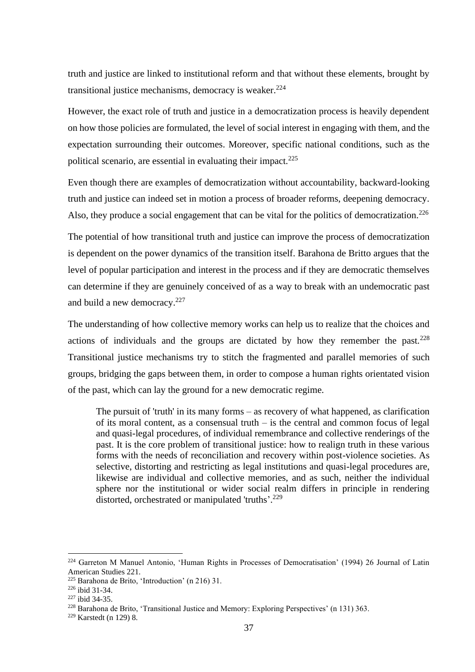truth and justice are linked to institutional reform and that without these elements, brought by transitional justice mechanisms, democracy is weaker.<sup>224</sup>

However, the exact role of truth and justice in a democratization process is heavily dependent on how those policies are formulated, the level of social interest in engaging with them, and the expectation surrounding their outcomes. Moreover, specific national conditions, such as the political scenario, are essential in evaluating their impact.<sup>225</sup>

Even though there are examples of democratization without accountability, backward-looking truth and justice can indeed set in motion a process of broader reforms, deepening democracy. Also, they produce a social engagement that can be vital for the politics of democratization.<sup>226</sup>

The potential of how transitional truth and justice can improve the process of democratization is dependent on the power dynamics of the transition itself. Barahona de Britto argues that the level of popular participation and interest in the process and if they are democratic themselves can determine if they are genuinely conceived of as a way to break with an undemocratic past and build a new democracy.<sup>227</sup>

The understanding of how collective memory works can help us to realize that the choices and actions of individuals and the groups are dictated by how they remember the past.<sup>228</sup> Transitional justice mechanisms try to stitch the fragmented and parallel memories of such groups, bridging the gaps between them, in order to compose a human rights orientated vision of the past, which can lay the ground for a new democratic regime.

The pursuit of 'truth' in its many forms – as recovery of what happened, as clarification of its moral content, as a consensual truth – is the central and common focus of legal and quasi-legal procedures, of individual remembrance and collective renderings of the past. It is the core problem of transitional justice: how to realign truth in these various forms with the needs of reconciliation and recovery within post-violence societies. As selective, distorting and restricting as legal institutions and quasi-legal procedures are, likewise are individual and collective memories, and as such, neither the individual sphere nor the institutional or wider social realm differs in principle in rendering distorted, orchestrated or manipulated 'truths'.<sup>229</sup>

<sup>224</sup> Garreton M Manuel Antonio, 'Human Rights in Processes of Democratisation' (1994) 26 Journal of Latin American Studies 221.

<sup>225</sup> Barahona de Brito, 'Introduction' (n 216) 31.

<sup>226</sup> ibid 31-34.

<sup>227</sup> ibid 34-35.

 $228$  Barahona de Brito, 'Transitional Justice and Memory: Exploring Perspectives' (n 131) 363.

<sup>229</sup> Karstedt (n 129) 8.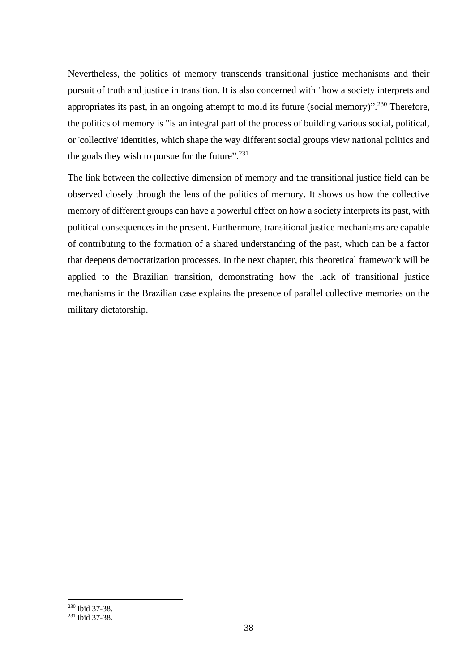Nevertheless, the politics of memory transcends transitional justice mechanisms and their pursuit of truth and justice in transition. It is also concerned with "how a society interprets and appropriates its past, in an ongoing attempt to mold its future (social memory)".<sup>230</sup> Therefore, the politics of memory is "is an integral part of the process of building various social, political, or 'collective' identities, which shape the way different social groups view national politics and the goals they wish to pursue for the future".<sup>231</sup>

The link between the collective dimension of memory and the transitional justice field can be observed closely through the lens of the politics of memory. It shows us how the collective memory of different groups can have a powerful effect on how a society interprets its past, with political consequences in the present. Furthermore, transitional justice mechanisms are capable of contributing to the formation of a shared understanding of the past, which can be a factor that deepens democratization processes. In the next chapter, this theoretical framework will be applied to the Brazilian transition, demonstrating how the lack of transitional justice mechanisms in the Brazilian case explains the presence of parallel collective memories on the military dictatorship.

<sup>230</sup> ibid 37-38.

<sup>231</sup> ibid 37-38.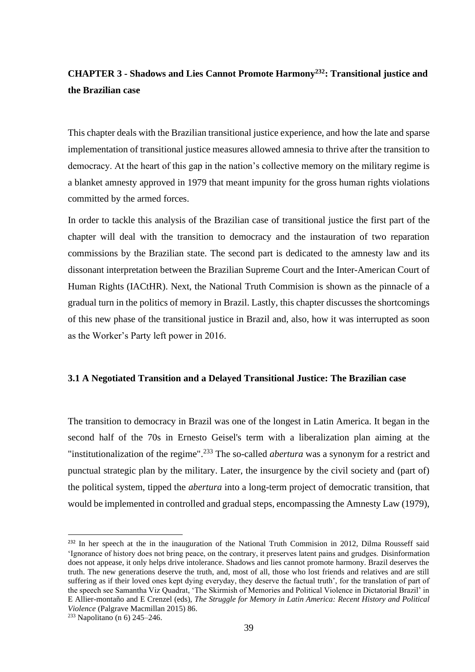# **CHAPTER 3 - Shadows and Lies Cannot Promote Harmony<sup>232</sup>: Transitional justice and the Brazilian case**

This chapter deals with the Brazilian transitional justice experience, and how the late and sparse implementation of transitional justice measures allowed amnesia to thrive after the transition to democracy. At the heart of this gap in the nation's collective memory on the military regime is a blanket amnesty approved in 1979 that meant impunity for the gross human rights violations committed by the armed forces.

In order to tackle this analysis of the Brazilian case of transitional justice the first part of the chapter will deal with the transition to democracy and the instauration of two reparation commissions by the Brazilian state. The second part is dedicated to the amnesty law and its dissonant interpretation between the Brazilian Supreme Court and the Inter-American Court of Human Rights (IACtHR). Next, the National Truth Commision is shown as the pinnacle of a gradual turn in the politics of memory in Brazil. Lastly, this chapter discusses the shortcomings of this new phase of the transitional justice in Brazil and, also, how it was interrupted as soon as the Worker's Party left power in 2016.

### **3.1 A Negotiated Transition and a Delayed Transitional Justice: The Brazilian case**

The transition to democracy in Brazil was one of the longest in Latin America. It began in the second half of the 70s in Ernesto Geisel's term with a liberalization plan aiming at the "institutionalization of the regime".<sup>233</sup> The so-called *abertura* was a synonym for a restrict and punctual strategic plan by the military. Later, the insurgence by the civil society and (part of) the political system, tipped the *abertura* into a long-term project of democratic transition, that would be implemented in controlled and gradual steps, encompassing the Amnesty Law (1979),

<sup>&</sup>lt;sup>232</sup> In her speech at the in the inauguration of the National Truth Commision in 2012, Dilma Rousseff said 'Ignorance of history does not bring peace, on the contrary, it preserves latent pains and grudges. Disinformation does not appease, it only helps drive intolerance. Shadows and lies cannot promote harmony. Brazil deserves the truth. The new generations deserve the truth, and, most of all, those who lost friends and relatives and are still suffering as if their loved ones kept dying everyday, they deserve the factual truth', for the translation of part of the speech see Samantha Viz Quadrat, 'The Skirmish of Memories and Political Violence in Dictatorial Brazil' in E Allier-montaño and E Crenzel (eds), *The Struggle for Memory in Latin America: Recent History and Political Violence* (Palgrave Macmillan 2015) 86.

<sup>233</sup> Napolitano (n 6) 245–246.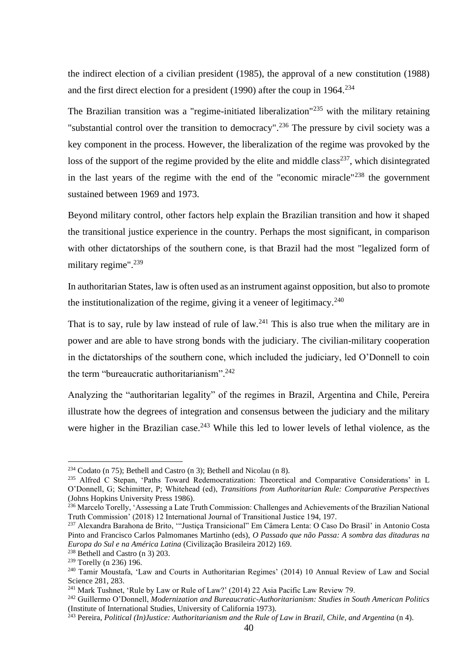the indirect election of a civilian president (1985), the approval of a new constitution (1988) and the first direct election for a president (1990) after the coup in  $1964$ <sup>234</sup>

The Brazilian transition was a "regime-initiated liberalization"<sup>235</sup> with the military retaining "substantial control over the transition to democracy".<sup>236</sup> The pressure by civil society was a key component in the process. However, the liberalization of the regime was provoked by the loss of the support of the regime provided by the elite and middle class<sup>237</sup>, which disintegrated in the last years of the regime with the end of the "economic miracle"<sup>238</sup> the government sustained between 1969 and 1973.

Beyond military control, other factors help explain the Brazilian transition and how it shaped the transitional justice experience in the country. Perhaps the most significant, in comparison with other dictatorships of the southern cone, is that Brazil had the most "legalized form of military regime".<sup>239</sup>

In authoritarian States, law is often used as an instrument against opposition, but also to promote the institutionalization of the regime, giving it a veneer of legitimacy.<sup>240</sup>

That is to say, rule by law instead of rule of law.<sup>241</sup> This is also true when the military are in power and are able to have strong bonds with the judiciary. The civilian-military cooperation in the dictatorships of the southern cone, which included the judiciary, led O'Donnell to coin the term "bureaucratic authoritarianism".<sup>242</sup>

Analyzing the "authoritarian legality" of the regimes in Brazil, Argentina and Chile, Pereira illustrate how the degrees of integration and consensus between the judiciary and the military were higher in the Brazilian case.<sup>243</sup> While this led to lower levels of lethal violence, as the

<sup>&</sup>lt;sup>234</sup> Codato (n 75); Bethell and Castro (n 3); Bethell and Nicolau (n 8).

<sup>235</sup> Alfred C Stepan, 'Paths Toward Redemocratization: Theoretical and Comparative Considerations' in L O'Donnell, G; Schimitter, P; Whitehead (ed), *Transitions from Authoritarian Rule: Comparative Perspectives* (Johns Hopkins University Press 1986).

<sup>&</sup>lt;sup>236</sup> Marcelo Torelly, 'Assessing a Late Truth Commission: Challenges and Achievements of the Brazilian National Truth Commission' (2018) 12 International Journal of Transitional Justice 194, 197.

<sup>237</sup> Alexandra Barahona de Brito, '"Justiça Transicional" Em Câmera Lenta: O Caso Do Brasil' in Antonio Costa Pinto and Francisco Carlos Palmomanes Martinho (eds), *O Passado que não Passa: A sombra das ditaduras na Europa do Sul e na América Latina* (Civilização Brasileira 2012) 169.

<sup>238</sup> Bethell and Castro (n 3) 203.

<sup>239</sup> Torelly (n 236) 196.

<sup>240</sup> Tamir Moustafa, 'Law and Courts in Authoritarian Regimes' (2014) 10 Annual Review of Law and Social Science 281, 283.

<sup>241</sup> Mark Tushnet, 'Rule by Law or Rule of Law?' (2014) 22 Asia Pacific Law Review 79.

<sup>242</sup> Guillermo O'Donnell, *Modernization and Bureaucratic-Authoritarianism: Studies in South American Politics* (Institute of International Studies, University of California 1973).

<sup>&</sup>lt;sup>243</sup> Pereira, *Political (In)Justice: Authoritarianism and the Rule of Law in Brazil, Chile, and Argentina (n 4).*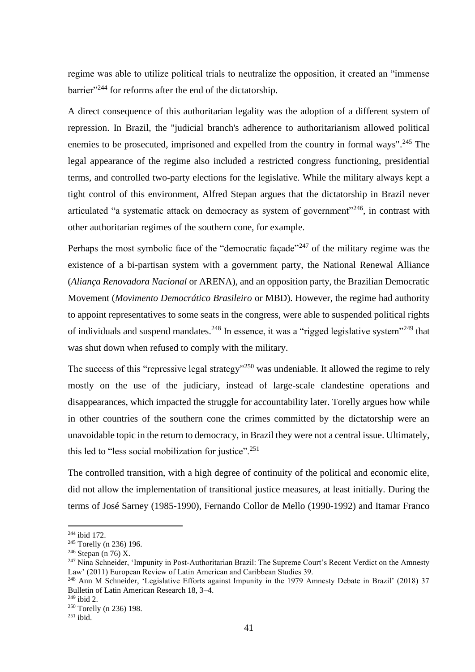regime was able to utilize political trials to neutralize the opposition, it created an "immense barrier"<sup>244</sup> for reforms after the end of the dictatorship.

A direct consequence of this authoritarian legality was the adoption of a different system of repression. In Brazil, the "judicial branch's adherence to authoritarianism allowed political enemies to be prosecuted, imprisoned and expelled from the country in formal ways".<sup>245</sup> The legal appearance of the regime also included a restricted congress functioning, presidential terms, and controlled two-party elections for the legislative. While the military always kept a tight control of this environment, Alfred Stepan argues that the dictatorship in Brazil never articulated "a systematic attack on democracy as system of government"<sup>246</sup>, in contrast with other authoritarian regimes of the southern cone, for example.

Perhaps the most symbolic face of the "democratic façade"<sup>247</sup> of the military regime was the existence of a bi-partisan system with a government party, the National Renewal Alliance (*Aliança Renovadora Nacional* or ARENA), and an opposition party, the Brazilian Democratic Movement (*Movimento Democrático Brasileiro* or MBD). However, the regime had authority to appoint representatives to some seats in the congress, were able to suspended political rights of individuals and suspend mandates.<sup>248</sup> In essence, it was a "rigged legislative system"<sup>249</sup> that was shut down when refused to comply with the military.

The success of this "repressive legal strategy"<sup>250</sup> was undeniable. It allowed the regime to rely mostly on the use of the judiciary, instead of large-scale clandestine operations and disappearances, which impacted the struggle for accountability later. Torelly argues how while in other countries of the southern cone the crimes committed by the dictatorship were an unavoidable topic in the return to democracy, in Brazil they were not a central issue. Ultimately, this led to "less social mobilization for justice".<sup>251</sup>

The controlled transition, with a high degree of continuity of the political and economic elite, did not allow the implementation of transitional justice measures, at least initially. During the terms of José Sarney (1985-1990), Fernando Collor de Mello (1990-1992) and Itamar Franco

<sup>244</sup> ibid 172.

<sup>245</sup> Torelly (n 236) 196.

 $246$  Stepan (n 76) X.

<sup>&</sup>lt;sup>247</sup> Nina Schneider, 'Impunity in Post-Authoritarian Brazil: The Supreme Court's Recent Verdict on the Amnesty Law' (2011) European Review of Latin American and Caribbean Studies 39.

<sup>&</sup>lt;sup>248</sup> Ann M Schneider, 'Legislative Efforts against Impunity in the 1979 Amnesty Debate in Brazil' (2018) 37 Bulletin of Latin American Research 18, 3–4.

 $249$  ibid 2.

<sup>&</sup>lt;sup>250</sup> Torelly (n 236) 198.

<sup>251</sup> ibid.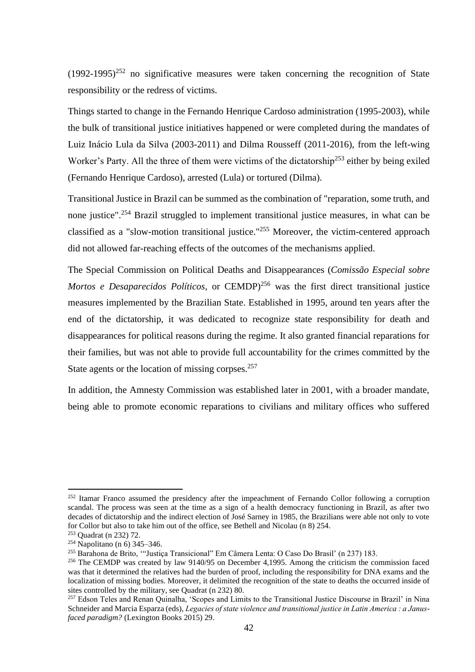$(1992-1995)^{252}$  no significative measures were taken concerning the recognition of State responsibility or the redress of victims.

Things started to change in the Fernando Henrique Cardoso administration (1995-2003), while the bulk of transitional justice initiatives happened or were completed during the mandates of Luiz Inácio Lula da Silva (2003-2011) and Dilma Rousseff (2011-2016), from the left-wing Worker's Party. All the three of them were victims of the dictatorship<sup>253</sup> either by being exiled (Fernando Henrique Cardoso), arrested (Lula) or tortured (Dilma).

Transitional Justice in Brazil can be summed as the combination of "reparation, some truth, and none justice".<sup>254</sup> Brazil struggled to implement transitional justice measures, in what can be classified as a "slow-motion transitional justice." <sup>255</sup> Moreover, the victim-centered approach did not allowed far-reaching effects of the outcomes of the mechanisms applied.

The Special Commission on Political Deaths and Disappearances (*Comissão Especial sobre Mortos e Desaparecidos Políticos*, or CEMDP)<sup>256</sup> was the first direct transitional justice measures implemented by the Brazilian State. Established in 1995, around ten years after the end of the dictatorship, it was dedicated to recognize state responsibility for death and disappearances for political reasons during the regime. It also granted financial reparations for their families, but was not able to provide full accountability for the crimes committed by the State agents or the location of missing corpses.<sup>257</sup>

In addition, the Amnesty Commission was established later in 2001, with a broader mandate, being able to promote economic reparations to civilians and military offices who suffered

<sup>&</sup>lt;sup>252</sup> Itamar Franco assumed the presidency after the impeachment of Fernando Collor following a corruption scandal. The process was seen at the time as a sign of a health democracy functioning in Brazil, as after two decades of dictatorship and the indirect election of José Sarney in 1985, the Brazilians were able not only to vote for Collor but also to take him out of the office, see Bethell and Nicolau (n 8) 254.

<sup>253</sup> Quadrat (n 232) 72.

<sup>254</sup> Napolitano (n 6) 345–346.

<sup>255</sup> Barahona de Brito, '"Justiça Transicional" Em Câmera Lenta: O Caso Do Brasil' (n 237) 183.

<sup>256</sup> The CEMDP was created by law 9140/95 on December 4,1995. Among the criticism the commission faced was that it determined the relatives had the burden of proof, including the responsibility for DNA exams and the localization of missing bodies. Moreover, it delimited the recognition of the state to deaths the occurred inside of sites controlled by the military, see Quadrat (n 232) 80.

<sup>257</sup> Edson Teles and Renan Quinalha, 'Scopes and Limits to the Transitional Justice Discourse in Brazil' in Nina Schneider and Marcia Esparza (eds), *Legacies of state violence and transitional justice in Latin America : a Janusfaced paradigm?* (Lexington Books 2015) 29.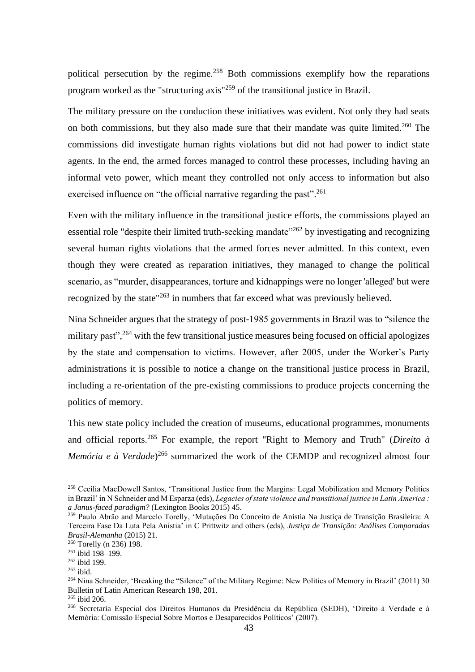political persecution by the regime.<sup>258</sup> Both commissions exemplify how the reparations program worked as the "structuring axis"<sup>259</sup> of the transitional justice in Brazil.

The military pressure on the conduction these initiatives was evident. Not only they had seats on both commissions, but they also made sure that their mandate was quite limited.<sup>260</sup> The commissions did investigate human rights violations but did not had power to indict state agents. In the end, the armed forces managed to control these processes, including having an informal veto power, which meant they controlled not only access to information but also exercised influence on "the official narrative regarding the past".<sup>261</sup>

Even with the military influence in the transitional justice efforts, the commissions played an essential role "despite their limited truth-seeking mandate"<sup>262</sup> by investigating and recognizing several human rights violations that the armed forces never admitted. In this context, even though they were created as reparation initiatives, they managed to change the political scenario, as "murder, disappearances, torture and kidnappings were no longer 'alleged' but were recognized by the state"<sup>263</sup> in numbers that far exceed what was previously believed.

Nina Schneider argues that the strategy of post-1985 governments in Brazil was to "silence the military past",<sup>264</sup> with the few transitional justice measures being focused on official apologizes by the state and compensation to victims. However, after 2005, under the Worker's Party administrations it is possible to notice a change on the transitional justice process in Brazil, including a re-orientation of the pre-existing commissions to produce projects concerning the politics of memory.

This new state policy included the creation of museums, educational programmes, monuments and official reports.<sup>265</sup> For example, the report "Right to Memory and Truth" (*Direito à Memória e à Verdade*)<sup>266</sup> summarized the work of the CEMDP and recognized almost four

<sup>&</sup>lt;sup>258</sup> Cecília MacDowell Santos, 'Transitional Justice from the Margins: Legal Mobilization and Memory Politics in Brazil' in N Schneider and M Esparza (eds), *Legacies of state violence and transitional justice in Latin America : a Janus-faced paradigm?* (Lexington Books 2015) 45.

<sup>259</sup> Paulo Abrão and Marcelo Torelly, 'Mutações Do Conceito de Anistia Na Justiça de Transição Brasileira: A Terceira Fase Da Luta Pela Anistia' in C Prittwitz and others (eds), *Justiça de Transição: Análises Comparadas Brasil-Alemanha* (2015) 21.

<sup>&</sup>lt;sup>260</sup> Torelly (n 236) 198.

<sup>261</sup> ibid 198–199.

<sup>262</sup> ibid 199.

 $263$  ibid.

<sup>&</sup>lt;sup>264</sup> Nina Schneider, 'Breaking the "Silence" of the Military Regime: New Politics of Memory in Brazil' (2011) 30 Bulletin of Latin American Research 198, 201.

<sup>265</sup> ibid 206.

<sup>266</sup> Secretaria Especial dos Direitos Humanos da Presidência da República (SEDH), 'Direito à Verdade e à Memória: Comissão Especial Sobre Mortos e Desaparecidos Políticos' (2007).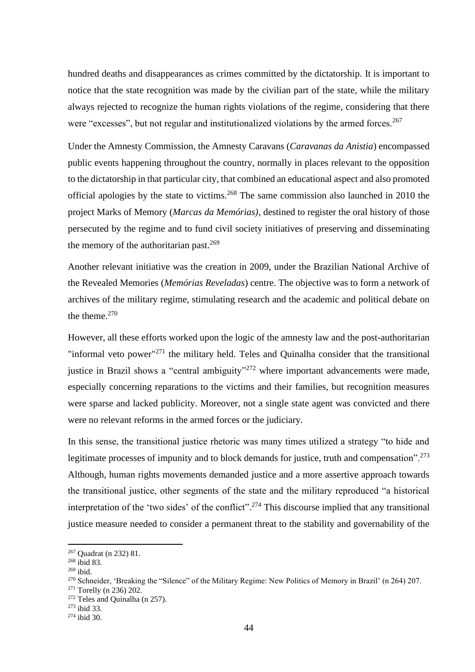hundred deaths and disappearances as crimes committed by the dictatorship. It is important to notice that the state recognition was made by the civilian part of the state, while the military always rejected to recognize the human rights violations of the regime, considering that there were "excesses", but not regular and institutionalized violations by the armed forces.<sup>267</sup>

Under the Amnesty Commission, the Amnesty Caravans (*Caravanas da Anistia*) encompassed public events happening throughout the country, normally in places relevant to the opposition to the dictatorship in that particular city, that combined an educational aspect and also promoted official apologies by the state to victims.<sup>268</sup> The same commission also launched in 2010 the project Marks of Memory (*Marcas da Memórias),* destined to register the oral history of those persecuted by the regime and to fund civil society initiatives of preserving and disseminating the memory of the authoritarian past.  $269$ 

Another relevant initiative was the creation in 2009, under the Brazilian National Archive of the Revealed Memories (*Memórias Reveladas*) centre. The objective was to form a network of archives of the military regime, stimulating research and the academic and political debate on the theme. $270$ 

However, all these efforts worked upon the logic of the amnesty law and the post-authoritarian "informal veto power"<sup>271</sup> the military held. Teles and Quinalha consider that the transitional justice in Brazil shows a "central ambiguity"<sup>272</sup> where important advancements were made, especially concerning reparations to the victims and their families, but recognition measures were sparse and lacked publicity. Moreover, not a single state agent was convicted and there were no relevant reforms in the armed forces or the judiciary.

In this sense, the transitional justice rhetoric was many times utilized a strategy "to hide and legitimate processes of impunity and to block demands for justice, truth and compensation".<sup>273</sup> Although, human rights movements demanded justice and a more assertive approach towards the transitional justice, other segments of the state and the military reproduced "a historical interpretation of the 'two sides' of the conflict".<sup>274</sup> This discourse implied that any transitional justice measure needed to consider a permanent threat to the stability and governability of the

<sup>267</sup> Quadrat (n 232) 81.

<sup>268</sup> ibid 83.

<sup>269</sup> ibid.

<sup>&</sup>lt;sup>270</sup> Schneider, 'Breaking the "Silence" of the Military Regime: New Politics of Memory in Brazil' (n 264) 207.

<sup>&</sup>lt;sup>271</sup> Torelly (n 236) 202.

<sup>272</sup> Teles and Quinalha (n 257).

<sup>273</sup> ibid 33.

<sup>274</sup> ibid 30.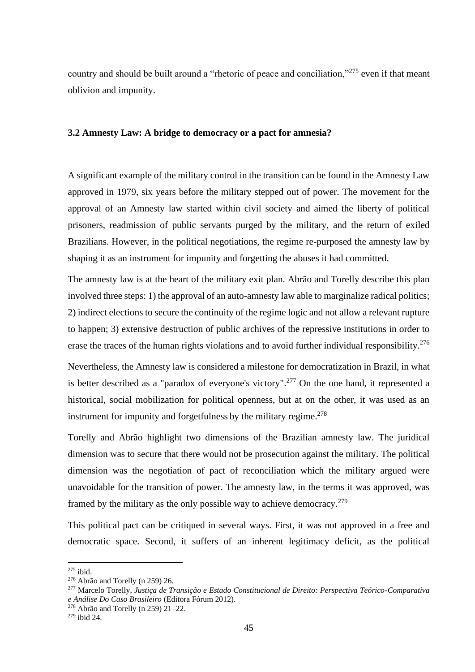country and should be built around a "rhetoric of peace and conciliation,"<sup>275</sup> even if that meant oblivion and impunity.

#### **3.2 Amnesty Law: A bridge to democracy or a pact for amnesia?**

A significant example of the military control in the transition can be found in the Amnesty Law approved in 1979, six years before the military stepped out of power. The movement for the approval of an Amnesty law started within civil society and aimed the liberty of political prisoners, readmission of public servants purged by the military, and the return of exiled Brazilians. However, in the political negotiations, the regime re-purposed the amnesty law by shaping it as an instrument for impunity and forgetting the abuses it had committed.

The amnesty law is at the heart of the military exit plan. Abrão and Torelly describe this plan involved three steps: 1) the approval of an auto-amnesty law able to marginalize radical politics; 2) indirect elections to secure the continuity of the regime logic and not allow a relevant rupture to happen; 3) extensive destruction of public archives of the repressive institutions in order to erase the traces of the human rights violations and to avoid further individual responsibility.<sup>276</sup>

Nevertheless, the Amnesty law is considered a milestone for democratization in Brazil, in what is better described as a "paradox of everyone's victory".<sup>277</sup> On the one hand, it represented a historical, social mobilization for political openness, but at on the other, it was used as an instrument for impunity and forgetfulness by the military regime. $278$ 

Torelly and Abrão highlight two dimensions of the Brazilian amnesty law. The juridical dimension was to secure that there would not be prosecution against the military. The political dimension was the negotiation of pact of reconciliation which the military argued were unavoidable for the transition of power. The amnesty law, in the terms it was approved, was framed by the military as the only possible way to achieve democracy.<sup>279</sup>

This political pact can be critiqued in several ways. First, it was not approved in a free and democratic space. Second, it suffers of an inherent legitimacy deficit, as the political

<sup>275</sup> ibid.

<sup>276</sup> Abrão and Torelly (n 259) 26.

<sup>277</sup> Marcelo Torelly, *Justiça de Transição e Estado Constitucional de Direito: Perspectiva Teórico-Comparativa e Análise Do Caso Brasileiro* (Editora Fórum 2012).

<sup>&</sup>lt;sup>278</sup> Abrão and Torelly (n 259)  $21-22$ .

<sup>279</sup> ibid 24.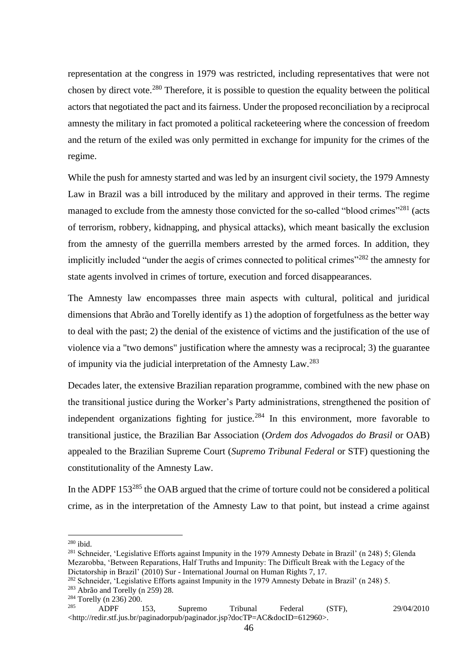representation at the congress in 1979 was restricted, including representatives that were not chosen by direct vote.<sup>280</sup> Therefore, it is possible to question the equality between the political actors that negotiated the pact and its fairness. Under the proposed reconciliation by a reciprocal amnesty the military in fact promoted a political racketeering where the concession of freedom and the return of the exiled was only permitted in exchange for impunity for the crimes of the regime.

While the push for amnesty started and was led by an insurgent civil society, the 1979 Amnesty Law in Brazil was a bill introduced by the military and approved in their terms. The regime managed to exclude from the amnesty those convicted for the so-called "blood crimes"<sup>281</sup> (acts of terrorism, robbery, kidnapping, and physical attacks), which meant basically the exclusion from the amnesty of the guerrilla members arrested by the armed forces. In addition, they implicitly included "under the aegis of crimes connected to political crimes"<sup>282</sup> the amnesty for state agents involved in crimes of torture, execution and forced disappearances.

The Amnesty law encompasses three main aspects with cultural, political and juridical dimensions that Abrão and Torelly identify as 1) the adoption of forgetfulness as the better way to deal with the past; 2) the denial of the existence of victims and the justification of the use of violence via a "two demons" justification where the amnesty was a reciprocal; 3) the guarantee of impunity via the judicial interpretation of the Amnesty Law.<sup>283</sup>

Decades later, the extensive Brazilian reparation programme, combined with the new phase on the transitional justice during the Worker's Party administrations, strengthened the position of independent organizations fighting for justice.<sup>284</sup> In this environment, more favorable to transitional justice, the Brazilian Bar Association (*Ordem dos Advogados do Brasil* or OAB) appealed to the Brazilian Supreme Court (*Supremo Tribunal Federal* or STF) questioning the constitutionality of the Amnesty Law.

In the ADPF 153<sup>285</sup> the OAB argued that the crime of torture could not be considered a political crime, as in the interpretation of the Amnesty Law to that point, but instead a crime against

 $\frac{^{284}}{^{285}}$  Torelly (n 236) 200.<br>ADPF

<sup>280</sup> ibid.

<sup>&</sup>lt;sup>281</sup> Schneider, 'Legislative Efforts against Impunity in the 1979 Amnesty Debate in Brazil' (n 248) 5; Glenda Mezarobba, 'Between Reparations, Half Truths and Impunity: The Difficult Break with the Legacy of the Dictatorship in Brazil' (2010) Sur - International Journal on Human Rights 7, 17.

<sup>&</sup>lt;sup>282</sup> Schneider, 'Legislative Efforts against Impunity in the 1979 Amnesty Debate in Brazil' (n 248) 5.

<sup>283</sup> Abrão and Torelly (n 259) 28.

 $285$  ADPF 153, Supremo Tribunal Federal (STF), 29/04/2010 <http://redir.stf.jus.br/paginadorpub/paginador.jsp?docTP=AC&docID=612960>.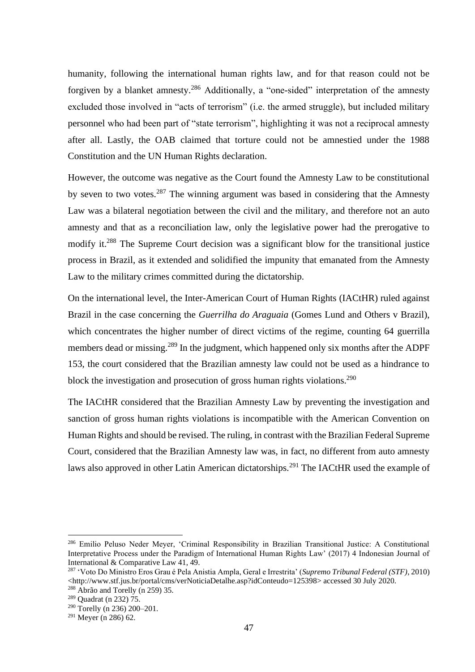humanity, following the international human rights law, and for that reason could not be forgiven by a blanket amnesty.<sup>286</sup> Additionally, a "one-sided" interpretation of the amnesty excluded those involved in "acts of terrorism" (i.e. the armed struggle), but included military personnel who had been part of "state terrorism", highlighting it was not a reciprocal amnesty after all. Lastly, the OAB claimed that torture could not be amnestied under the 1988 Constitution and the UN Human Rights declaration.

However, the outcome was negative as the Court found the Amnesty Law to be constitutional by seven to two votes.<sup>287</sup> The winning argument was based in considering that the Amnesty Law was a bilateral negotiation between the civil and the military, and therefore not an auto amnesty and that as a reconciliation law, only the legislative power had the prerogative to modify it.<sup>288</sup> The Supreme Court decision was a significant blow for the transitional justice process in Brazil, as it extended and solidified the impunity that emanated from the Amnesty Law to the military crimes committed during the dictatorship.

On the international level, the Inter-American Court of Human Rights (IACtHR) ruled against Brazil in the case concerning the *Guerrilha do Araguaia* (Gomes Lund and Others v Brazil), which concentrates the higher number of direct victims of the regime, counting 64 guerrilla members dead or missing.<sup>289</sup> In the judgment, which happened only six months after the ADPF 153, the court considered that the Brazilian amnesty law could not be used as a hindrance to block the investigation and prosecution of gross human rights violations.<sup>290</sup>

The IACtHR considered that the Brazilian Amnesty Law by preventing the investigation and sanction of gross human rights violations is incompatible with the American Convention on Human Rights and should be revised. The ruling, in contrast with the Brazilian Federal Supreme Court, considered that the Brazilian Amnesty law was, in fact, no different from auto amnesty laws also approved in other Latin American dictatorships.<sup>291</sup> The IACtHR used the example of

<sup>286</sup> Emilio Peluso Neder Meyer, 'Criminal Responsibility in Brazilian Transitional Justice: A Constitutional Interpretative Process under the Paradigm of International Human Rights Law' (2017) 4 Indonesian Journal of International & Comparative Law 41, 49.

<sup>287</sup> 'Voto Do Ministro Eros Grau é Pela Anistia Ampla, Geral e Irrestrita' (*Supremo Tribunal Federal (STF)*, 2010) <http://www.stf.jus.br/portal/cms/verNoticiaDetalhe.asp?idConteudo=125398> accessed 30 July 2020.

<sup>288</sup> Abrão and Torelly (n 259) 35.

<sup>289</sup> Quadrat (n 232) 75.

<sup>290</sup> Torelly (n 236) 200–201.

<sup>291</sup> Meyer (n 286) 62.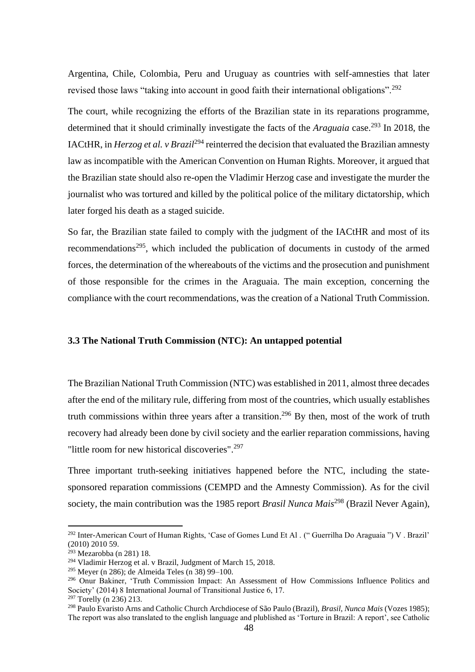Argentina, Chile, Colombia, Peru and Uruguay as countries with self-amnesties that later revised those laws "taking into account in good faith their international obligations".<sup>292</sup>

The court, while recognizing the efforts of the Brazilian state in its reparations programme, determined that it should criminally investigate the facts of the *Araguaia* case.<sup>293</sup> In 2018, the IACtHR, in *Herzog et al. v Brazil*<sup>294</sup> reinterred the decision that evaluated the Brazilian amnesty law as incompatible with the American Convention on Human Rights. Moreover, it argued that the Brazilian state should also re-open the Vladimir Herzog case and investigate the murder the journalist who was tortured and killed by the [political police](https://en.wikipedia.org/wiki/Political_police) of the military dictatorship, which later forged his death as a staged suicide.

So far, the Brazilian state failed to comply with the judgment of the IACtHR and most of its recommendations<sup>295</sup>, which included the publication of documents in custody of the armed forces, the determination of the whereabouts of the victims and the prosecution and punishment of those responsible for the crimes in the Araguaia. The main exception, concerning the compliance with the court recommendations, was the creation of a National Truth Commission.

### **3.3 The National Truth Commission (NTC): An untapped potential**

The Brazilian National Truth Commission (NTC) was established in 2011, almost three decades after the end of the military rule, differing from most of the countries, which usually establishes truth commissions within three years after a transition.<sup>296</sup> By then, most of the work of truth recovery had already been done by civil society and the earlier reparation commissions, having "little room for new historical discoveries".<sup>297</sup>

Three important truth-seeking initiatives happened before the NTC, including the statesponsored reparation commissions (CEMPD and the Amnesty Commission). As for the civil society, the main contribution was the 1985 report *Brasil Nunca Mais*<sup>298</sup> (Brazil Never Again),

<sup>&</sup>lt;sup>292</sup> Inter-American Court of Human Rights, 'Case of Gomes Lund Et Al . (" Guerrilha Do Araguaia ") V . Brazil' (2010) 2010 59.

<sup>293</sup> Mezarobba (n 281) 18.

<sup>294</sup> Vladimir Herzog et al. v Brazil, Judgment of March 15, 2018.

<sup>295</sup> Meyer (n 286); de Almeida Teles (n 38) 99–100.

<sup>296</sup> Onur Bakiner, 'Truth Commission Impact: An Assessment of How Commissions Influence Politics and Society' (2014) 8 International Journal of Transitional Justice 6, 17.

<sup>&</sup>lt;sup>297</sup> Torelly (n 236) 213.

<sup>298</sup> Paulo Evaristo Arns and Catholic Church Archdiocese of São Paulo (Brazil), *Brasil, Nunca Mais* (Vozes 1985); The report was also translated to the english language and plublished as 'Torture in Brazil: A report', see Catholic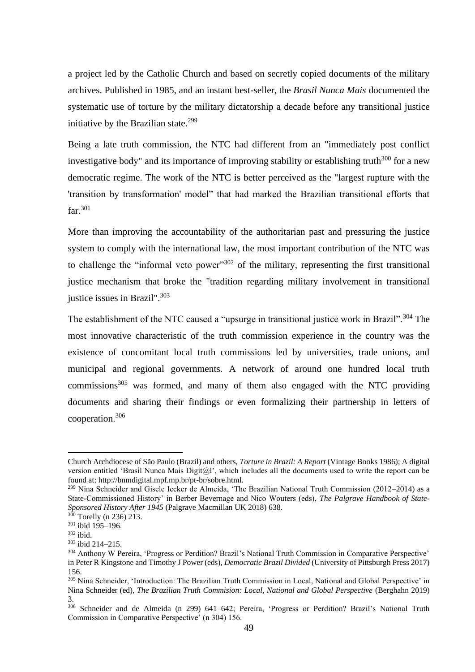a project led by the Catholic Church and based on secretly copied documents of the military archives. Published in 1985, and an instant best-seller, the *Brasil Nunca Mais* documented the systematic use of torture by the military dictatorship a decade before any transitional justice initiative by the Brazilian state.<sup>299</sup>

Being a late truth commission, the NTC had different from an "immediately post conflict investigative body" and its importance of improving stability or establishing truth<sup>300</sup> for a new democratic regime. The work of the NTC is better perceived as the "largest rupture with the 'transition by transformation' model" that had marked the Brazilian transitional efforts that far.<sup>301</sup>

More than improving the accountability of the authoritarian past and pressuring the justice system to comply with the international law, the most important contribution of the NTC was to challenge the "informal veto power"<sup>302</sup> of the military, representing the first transitional justice mechanism that broke the "tradition regarding military involvement in transitional justice issues in Brazil".<sup>303</sup>

The establishment of the NTC caused a "upsurge in transitional justice work in Brazil".<sup>304</sup> The most innovative characteristic of the truth commission experience in the country was the existence of concomitant local truth commissions led by universities, trade unions, and municipal and regional governments. A network of around one hundred local truth  $commissions<sup>305</sup>$  was formed, and many of them also engaged with the NTC providing documents and sharing their findings or even formalizing their partnership in letters of cooperation.<sup>306</sup>

Church Archdiocese of São Paulo (Brazil) and others, *Torture in Brazil: A Report* (Vintage Books 1986); A digital version entitled 'Brasil Nunca Mais Digit@l', which includes all the documents used to write the report can be found at: http://bnmdigital.mpf.mp.br/pt-br/sobre.html.

<sup>&</sup>lt;sup>299</sup> Nina Schneider and Gisele Iecker de Almeida, 'The Brazilian National Truth Commission (2012–2014) as a State-Commissioned History' in Berber Bevernage and Nico Wouters (eds), *The Palgrave Handbook of State-Sponsored History After 1945* (Palgrave Macmillan UK 2018) 638.

 $300$  Torelly (n 236) 213.

<sup>301</sup> ibid 195–196.

<sup>302</sup> ibid.

<sup>303</sup> ibid 214–215.

<sup>304</sup> Anthony W Pereira, 'Progress or Perdition? Brazil's National Truth Commission in Comparative Perspective' in Peter R Kingstone and Timothy J Power (eds), *Democratic Brazil Divided* (University of Pittsburgh Press 2017) 156.

<sup>305</sup> Nina Schneider, 'Introduction: The Brazilian Truth Commission in Local, National and Global Perspective' in Nina Schneider (ed), *The Brazilian Truth Commision: Local, National and Global Perspective* (Berghahn 2019) 3.

<sup>306</sup> Schneider and de Almeida (n 299) 641–642; Pereira, 'Progress or Perdition? Brazil's National Truth Commission in Comparative Perspective' (n 304) 156.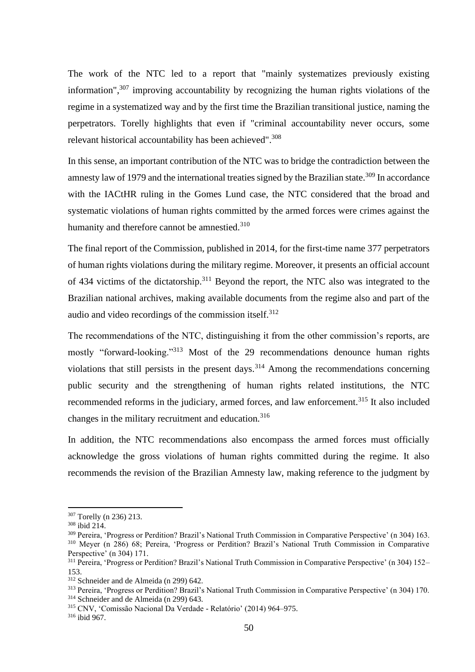The work of the NTC led to a report that "mainly systematizes previously existing information",<sup>307</sup> improving accountability by recognizing the human rights violations of the regime in a systematized way and by the first time the Brazilian transitional justice, naming the perpetrators. Torelly highlights that even if "criminal accountability never occurs, some relevant historical accountability has been achieved".<sup>308</sup>

In this sense, an important contribution of the NTC was to bridge the contradiction between the amnesty law of 1979 and the international treaties signed by the Brazilian state.<sup>309</sup> In accordance with the IACtHR ruling in the Gomes Lund case, the NTC considered that the broad and systematic violations of human rights committed by the armed forces were crimes against the humanity and therefore cannot be amnestied.<sup>310</sup>

The final report of the Commission, published in 2014, for the first-time name 377 perpetrators of human rights violations during the military regime. Moreover, it presents an official account of 434 victims of the dictatorship.<sup>311</sup> Beyond the report, the NTC also was integrated to the Brazilian national archives, making available documents from the regime also and part of the audio and video recordings of the commission itself. $312$ 

The recommendations of the NTC, distinguishing it from the other commission's reports, are mostly "forward-looking."<sup>313</sup> Most of the 29 recommendations denounce human rights violations that still persists in the present days.<sup>314</sup> Among the recommendations concerning public security and the strengthening of human rights related institutions, the NTC recommended reforms in the judiciary, armed forces, and law enforcement.<sup>315</sup> It also included changes in the military recruitment and education.<sup>316</sup>

In addition, the NTC recommendations also encompass the armed forces must officially acknowledge the gross violations of human rights committed during the regime. It also recommends the revision of the Brazilian Amnesty law, making reference to the judgment by

<sup>&</sup>lt;sup>307</sup> Torelly (n 236) 213.

<sup>308</sup> ibid 214.

<sup>309</sup> Pereira, 'Progress or Perdition? Brazil's National Truth Commission in Comparative Perspective' (n 304) 163. <sup>310</sup> Meyer (n 286) 68; Pereira, 'Progress or Perdition? Brazil's National Truth Commission in Comparative Perspective' (n 304) 171.

<sup>311</sup> Pereira, 'Progress or Perdition? Brazil's National Truth Commission in Comparative Perspective' (n 304) 152– 153.

<sup>312</sup> Schneider and de Almeida (n 299) 642.

<sup>313</sup> Pereira, 'Progress or Perdition? Brazil's National Truth Commission in Comparative Perspective' (n 304) 170.

<sup>314</sup> Schneider and de Almeida (n 299) 643.

<sup>315</sup> CNV, 'Comissão Nacional Da Verdade - Relatório' (2014) 964–975.

<sup>316</sup> ibid 967.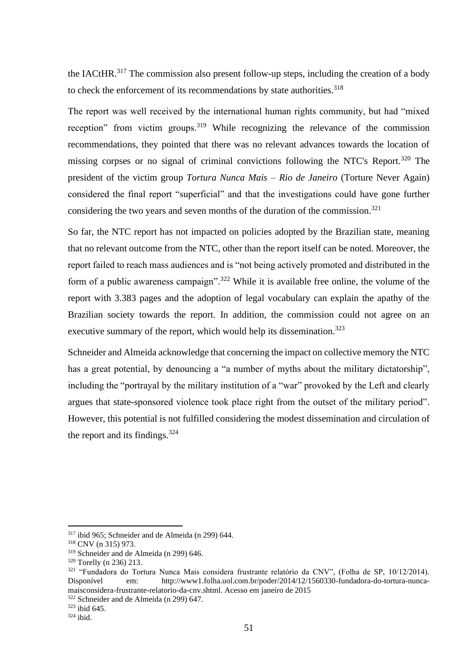the IACtHR.<sup>317</sup> The commission also present follow-up steps, including the creation of a body to check the enforcement of its recommendations by state authorities.<sup>318</sup>

The report was well received by the international human rights community, but had "mixed reception" from victim groups.<sup>319</sup> While recognizing the relevance of the commission recommendations, they pointed that there was no relevant advances towards the location of missing corpses or no signal of criminal convictions following the NTC's Report.<sup>320</sup> The president of the victim group *Tortura Nunca Mais – Rio de Janeiro* (Torture Never Again) considered the final report "superficial" and that the investigations could have gone further considering the two years and seven months of the duration of the commission.<sup>321</sup>

So far, the NTC report has not impacted on policies adopted by the Brazilian state, meaning that no relevant outcome from the NTC, other than the report itself can be noted. Moreover, the report failed to reach mass audiences and is "not being actively promoted and distributed in the form of a public awareness campaign".<sup>322</sup> While it is available free online, the volume of the report with 3.383 pages and the adoption of legal vocabulary can explain the apathy of the Brazilian society towards the report. In addition, the commission could not agree on an executive summary of the report, which would help its dissemination.<sup>323</sup>

Schneider and Almeida acknowledge that concerning the impact on collective memory the NTC has a great potential, by denouncing a "a number of myths about the military dictatorship", including the "portrayal by the military institution of a "war" provoked by the Left and clearly argues that state-sponsored violence took place right from the outset of the military period". However, this potential is not fulfilled considering the modest dissemination and circulation of the report and its findings.  $324$ 

<sup>317</sup> ibid 965; Schneider and de Almeida (n 299) 644.

<sup>318</sup> CNV (n 315) 973.

<sup>319</sup> Schneider and de Almeida (n 299) 646.

<sup>320</sup> Torelly (n 236) 213.

<sup>321</sup> "Fundadora do Tortura Nunca Mais considera frustrante relatório da CNV", (Folha de SP, 10/12/2014). Disponível em: http://www1.folha.uol.com.br/poder/2014/12/1560330-fundadora-do-tortura-nuncamaisconsidera-frustrante-relatorio-da-cnv.shtml. Acesso em janeiro de 2015

<sup>322</sup> Schneider and de Almeida (n 299) 647.

 $323$  ibid 645.

<sup>324</sup> ibid.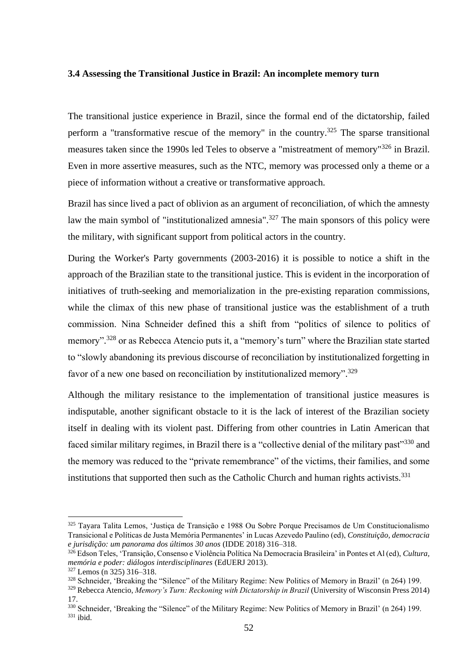#### **3.4 Assessing the Transitional Justice in Brazil: An incomplete memory turn**

The transitional justice experience in Brazil, since the formal end of the dictatorship, failed perform a "transformative rescue of the memory" in the country.<sup>325</sup> The sparse transitional measures taken since the 1990s led Teles to observe a "mistreatment of memory"<sup>326</sup> in Brazil. Even in more assertive measures, such as the NTC, memory was processed only a theme or a piece of information without a creative or transformative approach.

Brazil has since lived a pact of oblivion as an argument of reconciliation, of which the amnesty law the main symbol of "institutionalized amnesia".<sup>327</sup> The main sponsors of this policy were the military, with significant support from political actors in the country.

During the Worker's Party governments (2003-2016) it is possible to notice a shift in the approach of the Brazilian state to the transitional justice. This is evident in the incorporation of initiatives of truth-seeking and memorialization in the pre-existing reparation commissions, while the climax of this new phase of transitional justice was the establishment of a truth commission. Nina Schneider defined this a shift from "politics of silence to politics of memory".<sup>328</sup> or as Rebecca Atencio puts it, a "memory's turn" where the Brazilian state started to "slowly abandoning its previous discourse of reconciliation by institutionalized forgetting in favor of a new one based on reconciliation by institutionalized memory".<sup>329</sup>

Although the military resistance to the implementation of transitional justice measures is indisputable, another significant obstacle to it is the lack of interest of the Brazilian society itself in dealing with its violent past. Differing from other countries in Latin American that faced similar military regimes, in Brazil there is a "collective denial of the military past"<sup>330</sup> and the memory was reduced to the "private remembrance" of the victims, their families, and some institutions that supported then such as the Catholic Church and human rights activists.<sup>331</sup>

<sup>325</sup> Tayara Talita Lemos, 'Justiça de Transição e 1988 Ou Sobre Porque Precisamos de Um Constitucionalismo Transicional e Políticas de Justa Memória Permanentes' in Lucas Azevedo Paulino (ed), *Constituição, democracia e jurisdição: um panorama dos últimos 30 anos* (IDDE 2018) 316–318.

<sup>326</sup> Edson Teles, 'Transição, Consenso e Violência Política Na Democracia Brasileira' in Pontes et Al (ed), *Cultura, memória e poder: diálogos interdisciplinares* (EdUERJ 2013).

<sup>327</sup> Lemos (n 325) 316–318.

<sup>&</sup>lt;sup>328</sup> Schneider, 'Breaking the "Silence" of the Military Regime: New Politics of Memory in Brazil' (n 264) 199.

<sup>329</sup> Rebecca Atencio, *Memory's Turn: Reckoning with Dictatorship in Brazil* (University of Wisconsin Press 2014) 17.

<sup>&</sup>lt;sup>330</sup> Schneider, 'Breaking the "Silence" of the Military Regime: New Politics of Memory in Brazil' (n 264) 199. <sup>331</sup> ibid.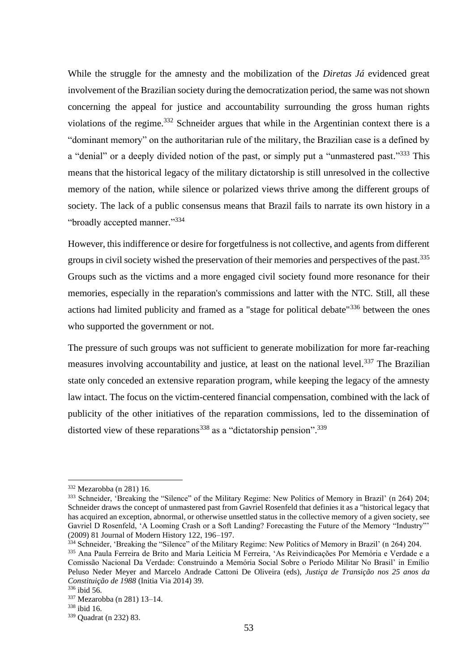While the struggle for the amnesty and the mobilization of the *Diretas Já* evidenced great involvement of the Brazilian society during the democratization period, the same was not shown concerning the appeal for justice and accountability surrounding the gross human rights violations of the regime.<sup>332</sup> Schneider argues that while in the Argentinian context there is a "dominant memory" on the authoritarian rule of the military, the Brazilian case is a defined by a "denial" or a deeply divided notion of the past, or simply put a "unmastered past."<sup>333</sup> This means that the historical legacy of the military dictatorship is still unresolved in the collective memory of the nation, while silence or polarized views thrive among the different groups of society. The lack of a public consensus means that Brazil fails to narrate its own history in a "broadly accepted manner."334

However, this indifference or desire for forgetfulness is not collective, and agents from different groups in civil society wished the preservation of their memories and perspectives of the past.<sup>335</sup> Groups such as the victims and a more engaged civil society found more resonance for their memories, especially in the reparation's commissions and latter with the NTC. Still, all these actions had limited publicity and framed as a "stage for political debate"<sup>336</sup> between the ones who supported the government or not.

The pressure of such groups was not sufficient to generate mobilization for more far-reaching measures involving accountability and justice, at least on the national level.<sup>337</sup> The Brazilian state only conceded an extensive reparation program, while keeping the legacy of the amnesty law intact. The focus on the victim-centered financial compensation, combined with the lack of publicity of the other initiatives of the reparation commissions, led to the dissemination of distorted view of these reparations<sup>338</sup> as a "dictatorship pension".<sup>339</sup>

<sup>332</sup> Mezarobba (n 281) 16.

<sup>&</sup>lt;sup>333</sup> Schneider, 'Breaking the "Silence" of the Military Regime: New Politics of Memory in Brazil' (n 264) 204; Schneider draws the concept of unmastered past from Gavriel Rosenfeld that definies it as a "historical legacy that has acquired an exception, abnormal, or otherwise unsettled status in the collective memory of a given society, see Gavriel D Rosenfeld, 'A Looming Crash or a Soft Landing? Forecasting the Future of the Memory "Industry"' (2009) 81 Journal of Modern History 122, 196–197.

<sup>&</sup>lt;sup>334</sup> Schneider, 'Breaking the "Silence" of the Military Regime: New Politics of Memory in Brazil' (n 264) 204. <sup>335</sup> Ana Paula Ferreira de Brito and Maria Leiticia M Ferreira, 'As Reivindicações Por Memória e Verdade e a Comissão Nacional Da Verdade: Construindo a Memória Social Sobre o Período Militar No Brasil' in Emílio Peluso Neder Meyer and Marcelo Andrade Cattoni De Oliveira (eds), *Justiça de Transição nos 25 anos da Constituição de 1988* (Initia Via 2014) 39. <sup>336</sup> ibid 56.

<sup>337</sup> Mezarobba (n 281) 13–14.

 $338$  ibid 16.

<sup>339</sup> Quadrat (n 232) 83.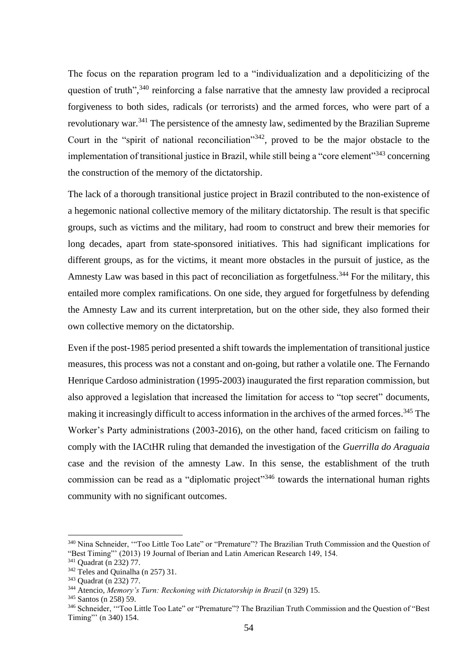The focus on the reparation program led to a "individualization and a depoliticizing of the question of truth",<sup>340</sup> reinforcing a false narrative that the amnesty law provided a reciprocal forgiveness to both sides, radicals (or terrorists) and the armed forces, who were part of a revolutionary war.<sup>341</sup> The persistence of the amnesty law, sedimented by the Brazilian Supreme Court in the "spirit of national reconciliation"<sup>342</sup>, proved to be the major obstacle to the implementation of transitional justice in Brazil, while still being a "core element"<sup>343</sup> concerning the construction of the memory of the dictatorship.

The lack of a thorough transitional justice project in Brazil contributed to the non-existence of a hegemonic national collective memory of the military dictatorship. The result is that specific groups, such as victims and the military, had room to construct and brew their memories for long decades, apart from state-sponsored initiatives. This had significant implications for different groups, as for the victims, it meant more obstacles in the pursuit of justice, as the Amnesty Law was based in this pact of reconciliation as forgetfulness.<sup>344</sup> For the military, this entailed more complex ramifications. On one side, they argued for forgetfulness by defending the Amnesty Law and its current interpretation, but on the other side, they also formed their own collective memory on the dictatorship.

Even if the post-1985 period presented a shift towards the implementation of transitional justice measures, this process was not a constant and on-going, but rather a volatile one. The Fernando Henrique Cardoso administration (1995-2003) inaugurated the first reparation commission, but also approved a legislation that increased the limitation for access to "top secret" documents, making it increasingly difficult to access information in the archives of the armed forces. <sup>345</sup> The Worker's Party administrations (2003-2016), on the other hand, faced criticism on failing to comply with the IACtHR ruling that demanded the investigation of the *Guerrilla do Araguaia* case and the revision of the amnesty Law. In this sense, the establishment of the truth commission can be read as a "diplomatic project"<sup>346</sup> towards the international human rights community with no significant outcomes.

<sup>340</sup> Nina Schneider, '"Too Little Too Late" or "Premature"? The Brazilian Truth Commission and the Question of "Best Timing"' (2013) 19 Journal of Iberian and Latin American Research 149, 154.

<sup>341</sup> Quadrat (n 232) 77.

<sup>&</sup>lt;sup>342</sup> Teles and Quinalha (n 257) 31.

<sup>343</sup> Quadrat (n 232) 77.

<sup>344</sup> Atencio, *Memory's Turn: Reckoning with Dictatorship in Brazil* (n 329) 15.

<sup>345</sup> Santos (n 258) 59.

<sup>&</sup>lt;sup>346</sup> Schneider, "Too Little Too Late" or "Premature"? The Brazilian Truth Commission and the Question of "Best Timing"' (n 340) 154.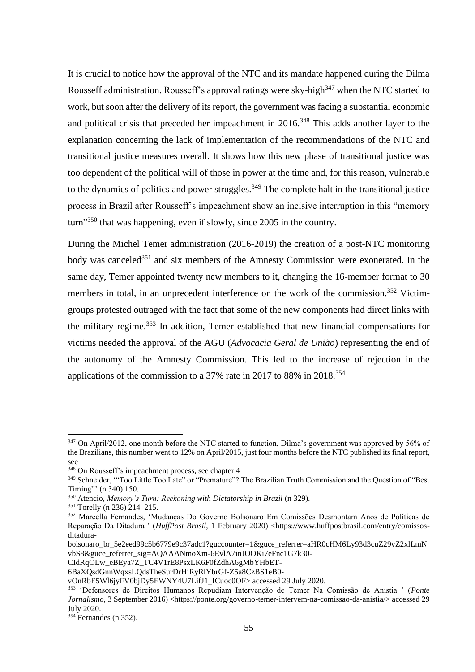It is crucial to notice how the approval of the NTC and its mandate happened during the Dilma Rousseff administration. Rousseff's approval ratings were sky-high<sup>347</sup> when the NTC started to work, but soon after the delivery of its report, the government was facing a substantial economic and political crisis that preceded her impeachment in  $2016$ <sup>348</sup> This adds another layer to the explanation concerning the lack of implementation of the recommendations of the NTC and transitional justice measures overall. It shows how this new phase of transitional justice was too dependent of the political will of those in power at the time and, for this reason, vulnerable to the dynamics of politics and power struggles.<sup>349</sup> The complete halt in the transitional justice process in Brazil after Rousseff's impeachment show an incisive interruption in this "memory turn<sup>350</sup> that was happening, even if slowly, since 2005 in the country.

During the Michel Temer administration (2016-2019) the creation of a post-NTC monitoring body was canceled<sup>351</sup> and six members of the Amnesty Commission were exonerated. In the same day, Temer appointed twenty new members to it, changing the 16-member format to 30 members in total, in an unprecedent interference on the work of the commission.<sup>352</sup> Victimgroups protested outraged with the fact that some of the new components had direct links with the military regime.<sup>353</sup> In addition, Temer established that new financial compensations for victims needed the approval of the AGU (*Advocacia Geral de União*) representing the end of the autonomy of the Amnesty Commission. This led to the increase of rejection in the applications of the commission to a  $37\%$  rate in 2017 to 88% in 2018.<sup>354</sup>

<sup>&</sup>lt;sup>347</sup> On April/2012, one month before the NTC started to function, Dilma's government was approved by 56% of the Brazilians, this number went to 12% on April/2015, just four months before the NTC published its final report, see

<sup>348</sup> On Rousseff's impeachment process, see chapter 4

<sup>349</sup> Schneider, '"Too Little Too Late" or "Premature"? The Brazilian Truth Commission and the Question of "Best Timing"' (n 340) 150.

<sup>350</sup> Atencio, *Memory's Turn: Reckoning with Dictatorship in Brazil* (n 329).

<sup>351</sup> Torelly (n 236) 214–215.

<sup>352</sup> Marcella Fernandes, 'Mudanças Do Governo Bolsonaro Em Comissões Desmontam Anos de Políticas de Reparação Da Ditadura ' (*HuffPost Brasil*, 1 February 2020) <https://www.huffpostbrasil.com/entry/comissosditadura-

bolsonaro\_br\_5e2eed99c5b6779e9c37adc1?guccounter=1&guce\_referrer=aHR0cHM6Ly93d3cuZ29vZ2xlLmN vbS8&guce\_referrer\_sig=AQAAANmoXm-6EvlA7inJOOKi7eFnc1G7k30-

CIdRqOLw\_eBEya7Z\_TC4V1rE8PsxLK6F0fZdhA6gMbYHbET-

<sup>6</sup>BaXQsdGnnWqxsLQdsTheSurDrHiRyRlYbrGf-Z5a8CzBS1eB0-

vOnRbE5Wl6jyFV0bjDy5EWNY4U7LifJ1\_ICuoc0OF> accessed 29 July 2020.

<sup>353</sup> 'Defensores de Direitos Humanos Repudiam Intervenção de Temer Na Comissão de Anistia ' (*Ponte Jornalismo*, 3 September 2016) <https://ponte.org/governo-temer-intervem-na-comissao-da-anistia/> accessed 29 July 2020.

<sup>354</sup> Fernandes (n 352).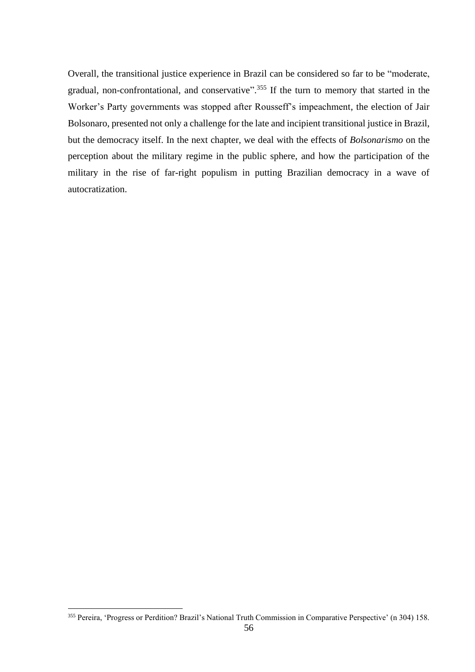Overall, the transitional justice experience in Brazil can be considered so far to be "moderate, gradual, non-confrontational, and conservative".<sup>355</sup> If the turn to memory that started in the Worker's Party governments was stopped after Rousseff's impeachment, the election of Jair Bolsonaro, presented not only a challenge for the late and incipient transitional justice in Brazil, but the democracy itself. In the next chapter, we deal with the effects of *Bolsonarismo* on the perception about the military regime in the public sphere, and how the participation of the military in the rise of far-right populism in putting Brazilian democracy in a wave of autocratization.

<sup>355</sup> Pereira, 'Progress or Perdition? Brazil's National Truth Commission in Comparative Perspective' (n 304) 158.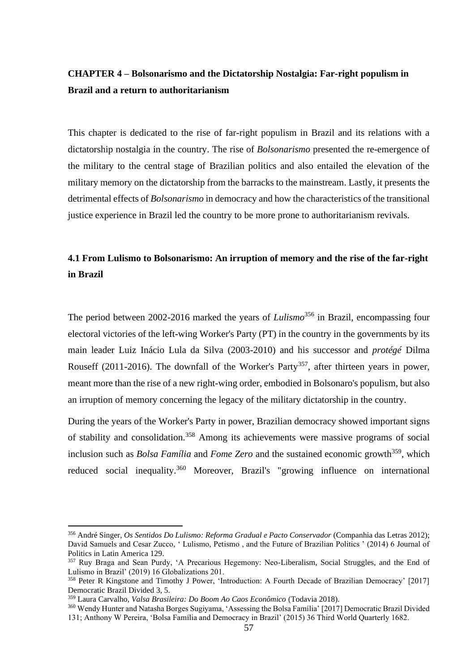# **CHAPTER 4 – Bolsonarismo and the Dictatorship Nostalgia: Far-right populism in Brazil and a return to authoritarianism**

This chapter is dedicated to the rise of far-right populism in Brazil and its relations with a dictatorship nostalgia in the country. The rise of *Bolsonarismo* presented the re-emergence of the military to the central stage of Brazilian politics and also entailed the elevation of the military memory on the dictatorship from the barracks to the mainstream. Lastly, it presents the detrimental effects of *Bolsonarismo* in democracy and how the characteristics of the transitional justice experience in Brazil led the country to be more prone to authoritarianism revivals.

# **4.1 From Lulismo to Bolsonarismo: An irruption of memory and the rise of the far-right in Brazil**

The period between 2002-2016 marked the years of *Lulismo*<sup>356</sup> in Brazil, encompassing four electoral victories of the left-wing Worker's Party (PT) in the country in the governments by its main leader Luiz Inácio Lula da Silva (2003-2010) and his successor and *protégé* Dilma Rouseff (2011-2016). The downfall of the Worker's Party<sup>357</sup>, after thirteen years in power, meant more than the rise of a new right-wing order, embodied in Bolsonaro's populism, but also an irruption of memory concerning the legacy of the military dictatorship in the country.

During the years of the Worker's Party in power, Brazilian democracy showed important signs of stability and consolidation.<sup>358</sup> Among its achievements were massive programs of social inclusion such as *Bolsa Família* and *Fome Zero* and the sustained economic growth<sup>359</sup>, which reduced social inequality.<sup>360</sup> Moreover, Brazil's "growing influence on international

<sup>356</sup> André Singer, *Os Sentidos Do Lulismo: Reforma Gradual e Pacto Conservador* (Companhia das Letras 2012); David Samuels and Cesar Zucco, ' Lulismo, Petismo , and the Future of Brazilian Politics ' (2014) 6 Journal of Politics in Latin America 129.

<sup>357</sup> Ruy Braga and Sean Purdy, 'A Precarious Hegemony: Neo-Liberalism, Social Struggles, and the End of Lulismo in Brazil' (2019) 16 Globalizations 201.

<sup>358</sup> Peter R Kingstone and Timothy J Power, 'Introduction: A Fourth Decade of Brazilian Democracy' [2017] Democratic Brazil Divided 3, 5.

<sup>359</sup> Laura Carvalho, *Valsa Brasileira: Do Boom Ao Caos Econômico* (Todavia 2018).

<sup>360</sup> Wendy Hunter and Natasha Borges Sugiyama, 'Assessing the Bolsa Família' [2017] Democratic Brazil Divided 131; Anthony W Pereira, 'Bolsa Família and Democracy in Brazil' (2015) 36 Third World Quarterly 1682.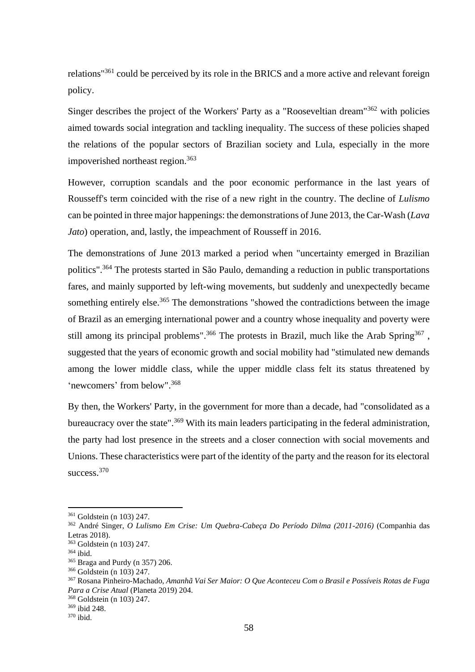relations"<sup>361</sup> could be perceived by its role in the BRICS and a more active and relevant foreign policy.

Singer describes the project of the Workers' Party as a "Rooseveltian dream"<sup>362</sup> with policies aimed towards social integration and tackling inequality. The success of these policies shaped the relations of the popular sectors of Brazilian society and Lula, especially in the more impoverished northeast region.<sup>363</sup>

However, corruption scandals and the poor economic performance in the last years of Rousseff's term coincided with the rise of a new right in the country. The decline of *Lulismo* can be pointed in three major happenings: the demonstrations of June 2013, the Car-Wash (*Lava Jato*) operation, and, lastly, the impeachment of Rousseff in 2016.

The demonstrations of June 2013 marked a period when "uncertainty emerged in Brazilian politics". <sup>364</sup> The protests started in São Paulo, demanding a reduction in public transportations fares, and mainly supported by left-wing movements, but suddenly and unexpectedly became something entirely else.<sup>365</sup> The demonstrations "showed the contradictions between the image of Brazil as an emerging international power and a country whose inequality and poverty were still among its principal problems".<sup>366</sup> The protests in Brazil, much like the Arab Spring<sup>367</sup>, suggested that the years of economic growth and social mobility had "stimulated new demands among the lower middle class, while the upper middle class felt its status threatened by 'newcomers' from below". 368

By then, the Workers' Party, in the government for more than a decade, had "consolidated as a bureaucracy over the state".<sup>369</sup> With its main leaders participating in the federal administration, the party had lost presence in the streets and a closer connection with social movements and Unions. These characteristics were part of the identity of the party and the reason for its electoral success.<sup>370</sup>

<sup>361</sup> Goldstein (n 103) 247.

<sup>362</sup> André Singer, *O Lulismo Em Crise: Um Quebra-Cabeça Do Período Dilma (2011-2016)* (Companhia das Letras 2018).

<sup>363</sup> Goldstein (n 103) 247.

<sup>364</sup> ibid.

<sup>365</sup> Braga and Purdy (n 357) 206.

<sup>366</sup> Goldstein (n 103) 247.

<sup>367</sup> Rosana Pinheiro-Machado, *Amanhã Vai Ser Maior: O Que Aconteceu Com o Brasil e Possíveis Rotas de Fuga Para a Crise Atual* (Planeta 2019) 204.

<sup>368</sup> Goldstein (n 103) 247.

<sup>369</sup> ibid 248.

<sup>370</sup> ibid.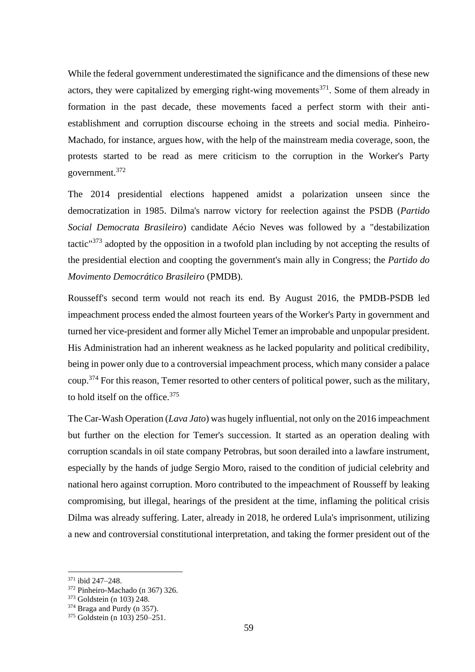While the federal government underestimated the significance and the dimensions of these new actors, they were capitalized by emerging right-wing movements<sup>371</sup>. Some of them already in formation in the past decade, these movements faced a perfect storm with their antiestablishment and corruption discourse echoing in the streets and social media. Pinheiro-Machado, for instance, argues how, with the help of the mainstream media coverage, soon, the protests started to be read as mere criticism to the corruption in the Worker's Party government. 372

The 2014 presidential elections happened amidst a polarization unseen since the democratization in 1985. Dilma's narrow victory for reelection against the PSDB (*Partido Social Democrata Brasileiro*) candidate Aécio Neves was followed by a "destabilization tactic"<sup>373</sup> adopted by the opposition in a twofold plan including by not accepting the results of the presidential election and coopting the government's main ally in Congress; the *Partido do Movimento Democrático Brasileiro* (PMDB).

Rousseff's second term would not reach its end. By August 2016, the PMDB-PSDB led impeachment process ended the almost fourteen years of the Worker's Party in government and turned her vice-president and former ally Michel Temer an improbable and unpopular president. His Administration had an inherent weakness as he lacked popularity and political credibility, being in power only due to a controversial impeachment process, which many consider a palace coup.<sup>374</sup> For this reason, Temer resorted to other centers of political power, such as the military, to hold itself on the office.<sup>375</sup>

The Car-Wash Operation (*Lava Jato*) was hugely influential, not only on the 2016 impeachment but further on the election for Temer's succession. It started as an operation dealing with corruption scandals in oil state company Petrobras, but soon derailed into a lawfare instrument, especially by the hands of judge Sergio Moro, raised to the condition of judicial celebrity and national hero against corruption. Moro contributed to the impeachment of Rousseff by leaking compromising, but illegal, hearings of the president at the time, inflaming the political crisis Dilma was already suffering. Later, already in 2018, he ordered Lula's imprisonment, utilizing a new and controversial constitutional interpretation, and taking the former president out of the

<sup>371</sup> ibid 247–248.

<sup>372</sup> Pinheiro-Machado (n 367) 326.

<sup>373</sup> Goldstein (n 103) 248.

<sup>374</sup> Braga and Purdy (n 357).

<sup>375</sup> Goldstein (n 103) 250–251.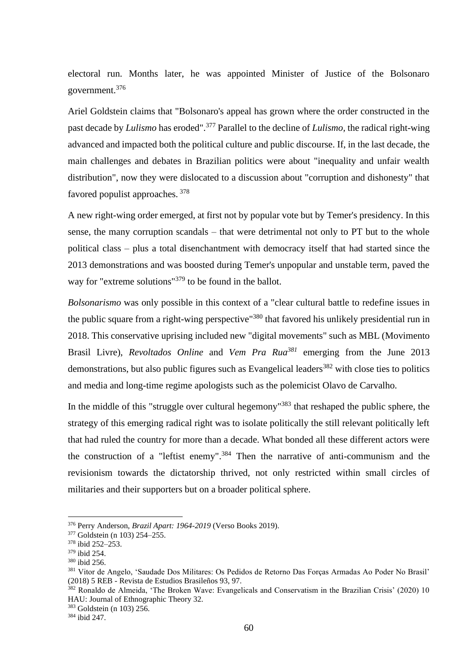electoral run. Months later, he was appointed Minister of Justice of the Bolsonaro government.<sup>376</sup>

Ariel Goldstein claims that "Bolsonaro's appeal has grown where the order constructed in the past decade by *Lulismo* has eroded". <sup>377</sup> Parallel to the decline of *Lulismo,* the radical right-wing advanced and impacted both the political culture and public discourse. If, in the last decade, the main challenges and debates in Brazilian politics were about "inequality and unfair wealth distribution", now they were dislocated to a discussion about "corruption and dishonesty" that favored populist approaches. <sup>378</sup>

A new right-wing order emerged, at first not by popular vote but by Temer's presidency. In this sense, the many corruption scandals – that were detrimental not only to PT but to the whole political class – plus a total disenchantment with democracy itself that had started since the 2013 demonstrations and was boosted during Temer's unpopular and unstable term, paved the way for "extreme solutions"<sup>379</sup> to be found in the ballot.

*Bolsonarismo* was only possible in this context of a "clear cultural battle to redefine issues in the public square from a right-wing perspective<sup>"380</sup> that favored his unlikely presidential run in 2018. This conservative uprising included new "digital movements" such as MBL (Movimento Brasil Livre), *Revoltados Online* and *Vem Pra Rua<sup>381</sup>* emerging from the June 2013 demonstrations, but also public figures such as Evangelical leaders<sup>382</sup> with close ties to politics and media and long-time regime apologists such as the polemicist Olavo de Carvalho.

In the middle of this "struggle over cultural hegemony"<sup>383</sup> that reshaped the public sphere, the strategy of this emerging radical right was to isolate politically the still relevant politically left that had ruled the country for more than a decade. What bonded all these different actors were the construction of a "leftist enemy".<sup>384</sup> Then the narrative of anti-communism and the revisionism towards the dictatorship thrived, not only restricted within small circles of militaries and their supporters but on a broader political sphere.

<sup>376</sup> Perry Anderson, *Brazil Apart: 1964-2019* (Verso Books 2019).

<sup>377</sup> Goldstein (n 103) 254–255.

<sup>378</sup> ibid 252–253.

<sup>379</sup> ibid 254.

<sup>380</sup> ibid 256.

<sup>381</sup> Vitor de Angelo, 'Saudade Dos Militares: Os Pedidos de Retorno Das Forças Armadas Ao Poder No Brasil' (2018) 5 REB - Revista de Estudios Brasileños 93, 97.

<sup>382</sup> Ronaldo de Almeida, 'The Broken Wave: Evangelicals and Conservatism in the Brazilian Crisis' (2020) 10 HAU: Journal of Ethnographic Theory 32.

<sup>383</sup> Goldstein (n 103) 256.

<sup>384</sup> ibid 247.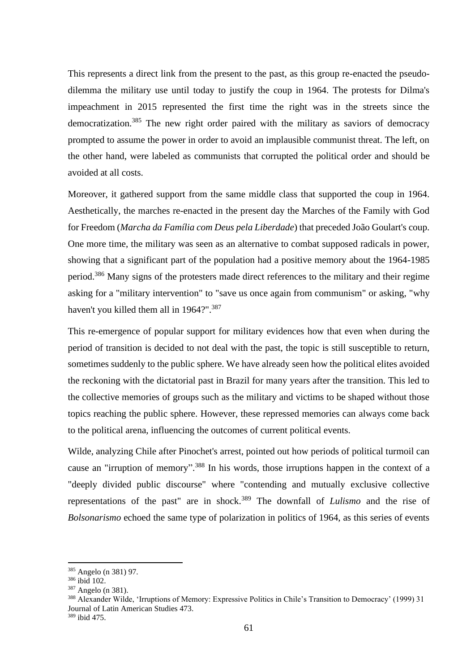This represents a direct link from the present to the past, as this group re-enacted the pseudodilemma the military use until today to justify the coup in 1964. The protests for Dilma's impeachment in 2015 represented the first time the right was in the streets since the democratization.<sup>385</sup> The new right order paired with the military as saviors of democracy prompted to assume the power in order to avoid an implausible communist threat. The left, on the other hand, were labeled as communists that corrupted the political order and should be avoided at all costs.

Moreover, it gathered support from the same middle class that supported the coup in 1964. Aesthetically, the marches re-enacted in the present day the Marches of the Family with God for Freedom (*Marcha da Família com Deus pela Liberdade*) that preceded João Goulart's coup. One more time, the military was seen as an alternative to combat supposed radicals in power, showing that a significant part of the population had a positive memory about the 1964-1985 period.<sup>386</sup> Many signs of the protesters made direct references to the military and their regime asking for a "military intervention" to "save us once again from communism" or asking, "why haven't you killed them all in 1964?".<sup>387</sup>

This re-emergence of popular support for military evidences how that even when during the period of transition is decided to not deal with the past, the topic is still susceptible to return, sometimes suddenly to the public sphere. We have already seen how the political elites avoided the reckoning with the dictatorial past in Brazil for many years after the transition. This led to the collective memories of groups such as the military and victims to be shaped without those topics reaching the public sphere. However, these repressed memories can always come back to the political arena, influencing the outcomes of current political events.

Wilde, analyzing Chile after Pinochet's arrest, pointed out how periods of political turmoil can cause an "irruption of memory".<sup>388</sup> In his words, those irruptions happen in the context of a "deeply divided public discourse" where "contending and mutually exclusive collective representations of the past" are in shock.<sup>389</sup> The downfall of *Lulismo* and the rise of *Bolsonarismo* echoed the same type of polarization in politics of 1964, as this series of events

<sup>385</sup> Angelo (n 381) 97.

<sup>386</sup> ibid 102.

<sup>387</sup> Angelo (n 381).

<sup>&</sup>lt;sup>388</sup> Alexander Wilde, 'Irruptions of Memory: Expressive Politics in Chile's Transition to Democracy' (1999) 31 Journal of Latin American Studies 473.

<sup>389</sup> ibid 475.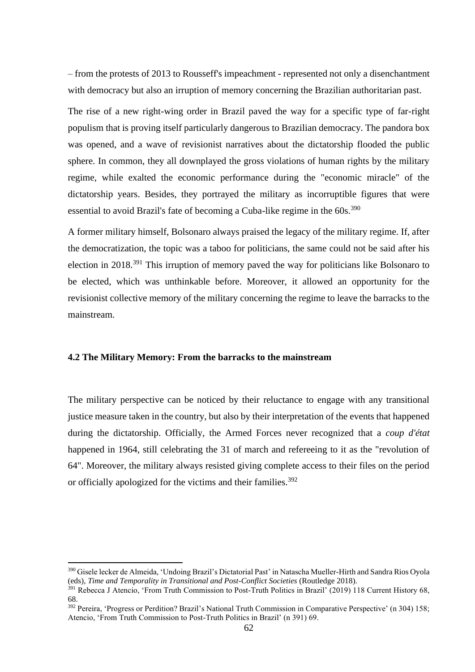– from the protests of 2013 to Rousseff's impeachment - represented not only a disenchantment with democracy but also an irruption of memory concerning the Brazilian authoritarian past.

The rise of a new right-wing order in Brazil paved the way for a specific type of far-right populism that is proving itself particularly dangerous to Brazilian democracy. The pandora box was opened, and a wave of revisionist narratives about the dictatorship flooded the public sphere. In common, they all downplayed the gross violations of human rights by the military regime, while exalted the economic performance during the "economic miracle" of the dictatorship years. Besides, they portrayed the military as incorruptible figures that were essential to avoid Brazil's fate of becoming a Cuba-like regime in the 60s.<sup>390</sup>

A former military himself, Bolsonaro always praised the legacy of the military regime. If, after the democratization, the topic was a taboo for politicians, the same could not be said after his election in 2018.<sup>391</sup> This irruption of memory paved the way for politicians like Bolsonaro to be elected, which was unthinkable before. Moreover, it allowed an opportunity for the revisionist collective memory of the military concerning the regime to leave the barracks to the mainstream.

### **4.2 The Military Memory: From the barracks to the mainstream**

The military perspective can be noticed by their reluctance to engage with any transitional justice measure taken in the country, but also by their interpretation of the events that happened during the dictatorship. Officially, the Armed Forces never recognized that a *coup d'état* happened in 1964, still celebrating the 31 of march and refereeing to it as the "revolution of 64". Moreover, the military always resisted giving complete access to their files on the period or officially apologized for the victims and their families.<sup>392</sup>

<sup>&</sup>lt;sup>390</sup> Gisele lecker de Almeida, 'Undoing Brazil's Dictatorial Past' in Natascha Mueller-Hirth and Sandra Rios Oyola (eds), *Time and Temporality in Transitional and Post-Conflict Societies* (Routledge 2018).

<sup>391</sup> Rebecca J Atencio, 'From Truth Commission to Post-Truth Politics in Brazil' (2019) 118 Current History 68, 68.

<sup>392</sup> Pereira, 'Progress or Perdition? Brazil's National Truth Commission in Comparative Perspective' (n 304) 158; Atencio, 'From Truth Commission to Post-Truth Politics in Brazil' (n 391) 69.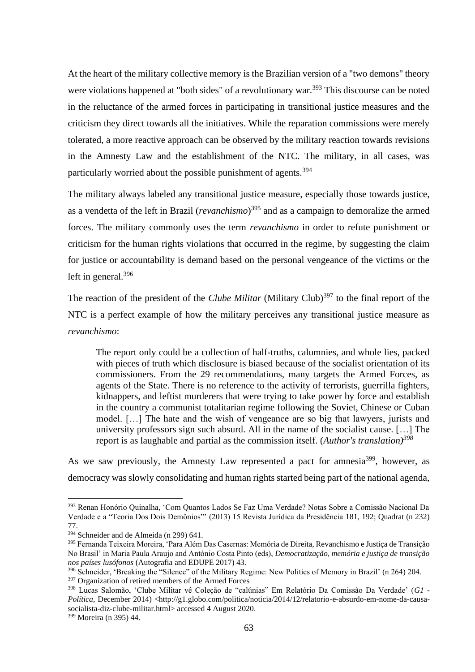At the heart of the military collective memory is the Brazilian version of a "two demons" theory were violations happened at "both sides" of a revolutionary war.<sup>393</sup> This discourse can be noted in the reluctance of the armed forces in participating in transitional justice measures and the criticism they direct towards all the initiatives. While the reparation commissions were merely tolerated, a more reactive approach can be observed by the military reaction towards revisions in the Amnesty Law and the establishment of the NTC. The military, in all cases, was particularly worried about the possible punishment of agents.<sup>394</sup>

The military always labeled any transitional justice measure, especially those towards justice, as a vendetta of the left in Brazil (*revanchismo*) <sup>395</sup> and as a campaign to demoralize the armed forces. The military commonly uses the term *revanchismo* in order to refute punishment or criticism for the human rights violations that occurred in the regime, by suggesting the claim for justice or accountability is demand based on the personal vengeance of the victims or the left in general.<sup>396</sup>

The reaction of the president of the *Clube Militar* (Military Club)<sup>397</sup> to the final report of the NTC is a perfect example of how the military perceives any transitional justice measure as *revanchismo*:

The report only could be a collection of half-truths, calumnies, and whole lies, packed with pieces of truth which disclosure is biased because of the socialist orientation of its commissioners. From the 29 recommendations, many targets the Armed Forces, as agents of the State. There is no reference to the activity of terrorists, guerrilla fighters, kidnappers, and leftist murderers that were trying to take power by force and establish in the country a communist totalitarian regime following the Soviet, Chinese or Cuban model. […] The hate and the wish of vengeance are so big that lawyers, jurists and university professors sign such absurd. All in the name of the socialist cause. […] The report is as laughable and partial as the commission itself. (*Author's translation)<sup>398</sup>*

As we saw previously, the Amnesty Law represented a pact for amnesia<sup>399</sup>, however, as democracy was slowly consolidating and human rights started being part of the national agenda,

<sup>393</sup> Renan Honório Quinalha, 'Com Quantos Lados Se Faz Uma Verdade? Notas Sobre a Comissão Nacional Da Verdade e a "Teoria Dos Dois Demônios"' (2013) 15 Revista Jurídica da Presidência 181, 192; Quadrat (n 232) 77.

<sup>394</sup> Schneider and de Almeida (n 299) 641.

<sup>395</sup> Fernanda Teixeira Moreira, 'Para Além Das Casernas: Memória de Direita, Revanchismo e Justiça de Transição No Brasil' in Maria Paula Araujo and António Costa Pinto (eds), *Democratização, memória e justiça de transição nos países lusófonos* (Autografia and EDUPE 2017) 43.

<sup>&</sup>lt;sup>396</sup> Schneider, 'Breaking the "Silence" of the Military Regime: New Politics of Memory in Brazil' (n 264) 204. <sup>397</sup> Organization of retired members of the Armed Forces

<sup>398</sup> Lucas Salomão, 'Clube Militar vê Coleção de "calúnias" Em Relatório Da Comissão Da Verdade' (*G1 - Política*, December 2014) <http://g1.globo.com/politica/noticia/2014/12/relatorio-e-absurdo-em-nome-da-causasocialista-diz-clube-militar.html> accessed 4 August 2020.

<sup>399</sup> Moreira (n 395) 44.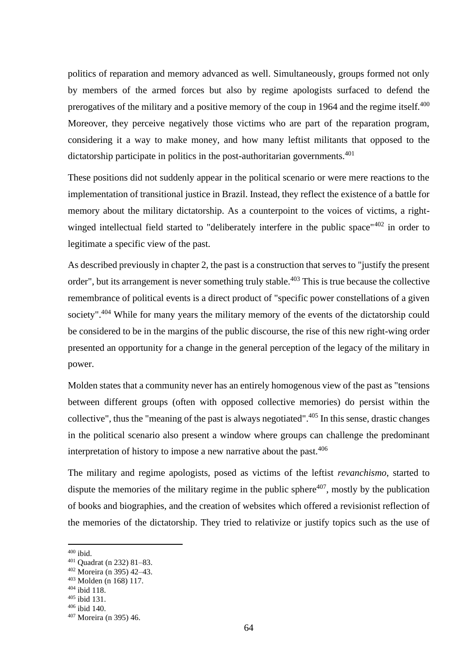politics of reparation and memory advanced as well. Simultaneously, groups formed not only by members of the armed forces but also by regime apologists surfaced to defend the prerogatives of the military and a positive memory of the coup in 1964 and the regime itself.<sup>400</sup> Moreover, they perceive negatively those victims who are part of the reparation program, considering it a way to make money, and how many leftist militants that opposed to the dictatorship participate in politics in the post-authoritarian governments.<sup>401</sup>

These positions did not suddenly appear in the political scenario or were mere reactions to the implementation of transitional justice in Brazil. Instead, they reflect the existence of a battle for memory about the military dictatorship. As a counterpoint to the voices of victims, a rightwinged intellectual field started to "deliberately interfere in the public space"<sup>402</sup> in order to legitimate a specific view of the past.

As described previously in chapter 2, the past is a construction that serves to "justify the present order", but its arrangement is never something truly stable.<sup>403</sup> This is true because the collective remembrance of political events is a direct product of "specific power constellations of a given society".<sup>404</sup> While for many years the military memory of the events of the dictatorship could be considered to be in the margins of the public discourse, the rise of this new right-wing order presented an opportunity for a change in the general perception of the legacy of the military in power.

Molden states that a community never has an entirely homogenous view of the past as "tensions between different groups (often with opposed collective memories) do persist within the collective", thus the "meaning of the past is always negotiated". <sup>405</sup> In this sense, drastic changes in the political scenario also present a window where groups can challenge the predominant interpretation of history to impose a new narrative about the past.  $406$ 

The military and regime apologists, posed as victims of the leftist *revanchismo*, started to dispute the memories of the military regime in the public sphere<sup> $407$ </sup>, mostly by the publication of books and biographies, and the creation of websites which offered a revisionist reflection of the memories of the dictatorship. They tried to relativize or justify topics such as the use of

 $400$  ibid.

<sup>401</sup> Quadrat (n 232) 81–83.

<sup>402</sup> Moreira (n 395) 42–43.

<sup>403</sup> Molden (n 168) 117.

<sup>404</sup> ibid 118.

<sup>405</sup> ibid 131.

 $406$  ibid 140.

<sup>407</sup> Moreira (n 395) 46.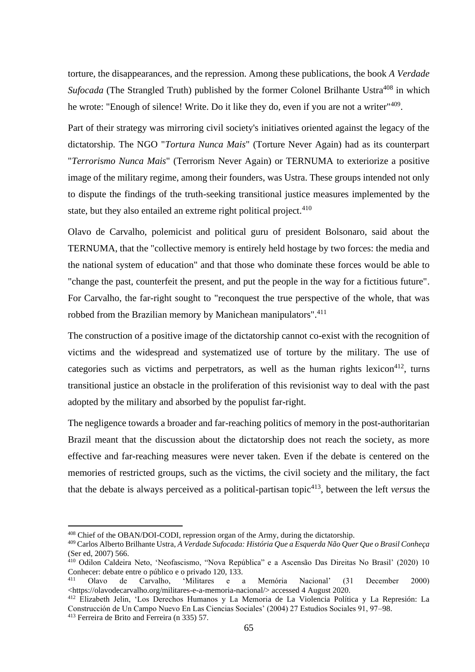torture, the disappearances, and the repression. Among these publications, the book *A Verdade Sufocada* (The Strangled Truth) published by the former Colonel Brilhante Ustra<sup>408</sup> in which he wrote: "Enough of silence! Write. Do it like they do, even if you are not a writer"<sup>409</sup>.

Part of their strategy was mirroring civil society's initiatives oriented against the legacy of the dictatorship. The NGO "*Tortura Nunca Mais*" (Torture Never Again) had as its counterpart "*Terrorismo Nunca Mais*" (Terrorism Never Again) or TERNUMA to exteriorize a positive image of the military regime, among their founders, was Ustra. These groups intended not only to dispute the findings of the truth-seeking transitional justice measures implemented by the state, but they also entailed an extreme right political project.<sup>410</sup>

Olavo de Carvalho, polemicist and political guru of president Bolsonaro, said about the TERNUMA, that the "collective memory is entirely held hostage by two forces: the media and the national system of education" and that those who dominate these forces would be able to "change the past, counterfeit the present, and put the people in the way for a fictitious future". For Carvalho, the far-right sought to "reconquest the true perspective of the whole, that was robbed from the Brazilian memory by Manichean manipulators".<sup>411</sup>

The construction of a positive image of the dictatorship cannot co-exist with the recognition of victims and the widespread and systematized use of torture by the military. The use of categories such as victims and perpetrators, as well as the human rights lexicon $412$ , turns transitional justice an obstacle in the proliferation of this revisionist way to deal with the past adopted by the military and absorbed by the populist far-right.

The negligence towards a broader and far-reaching politics of memory in the post-authoritarian Brazil meant that the discussion about the dictatorship does not reach the society, as more effective and far-reaching measures were never taken. Even if the debate is centered on the memories of restricted groups, such as the victims, the civil society and the military, the fact that the debate is always perceived as a political-partisan topic<sup>413</sup>, between the left *versus* the

<sup>408</sup> Chief of the OBAN/DOI-CODI, repression organ of the Army, during the dictatorship.

<sup>409</sup> Carlos Alberto Brilhante Ustra, *A Verdade Sufocada: História Que a Esquerda Não Quer Que o Brasil Conheça* (Ser ed, 2007) 566.

<sup>410</sup> Odilon Caldeira Neto, 'Neofascismo, "Nova República" e a Ascensão Das Direitas No Brasil' (2020) 10 Conhecer: debate entre o público e o privado 120, 133.<br><sup>411</sup> Olavo de Carvalho, 'Militares e a

<sup>411</sup> Olavo de Carvalho, 'Militares e a Memória Nacional' (31 December 2000) <https://olavodecarvalho.org/militares-e-a-memoria-nacional/> accessed 4 August 2020.

<sup>412</sup> Elizabeth Jelin, 'Los Derechos Humanos y La Memoria de La Violencia Política y La Represión: La Construcción de Un Campo Nuevo En Las Ciencias Sociales' (2004) 27 Estudios Sociales 91, 97–98.

<sup>413</sup> Ferreira de Brito and Ferreira (n 335) 57.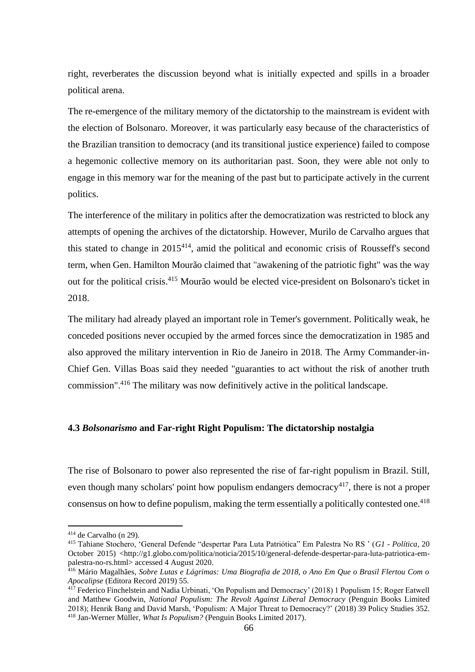right, reverberates the discussion beyond what is initially expected and spills in a broader political arena.

The re-emergence of the military memory of the dictatorship to the mainstream is evident with the election of Bolsonaro. Moreover, it was particularly easy because of the characteristics of the Brazilian transition to democracy (and its transitional justice experience) failed to compose a hegemonic collective memory on its authoritarian past. Soon, they were able not only to engage in this memory war for the meaning of the past but to participate actively in the current politics.

The interference of the military in politics after the democratization was restricted to block any attempts of opening the archives of the dictatorship. However, Murilo de Carvalho argues that this stated to change in 2015<sup>414</sup>, amid the political and economic crisis of Rousseff's second term, when Gen. Hamilton Mourão claimed that "awakening of the patriotic fight" was the way out for the political crisis.<sup>415</sup> Mourão would be elected vice-president on Bolsonaro's ticket in 2018.

The military had already played an important role in Temer's government. Politically weak, he conceded positions never occupied by the armed forces since the democratization in 1985 and also approved the military intervention in Rio de Janeiro in 2018. The Army Commander-in-Chief Gen. Villas Boas said they needed "guaranties to act without the risk of another truth commission". <sup>416</sup> The military was now definitively active in the political landscape.

## **4.3** *Bolsonarismo* **and Far-right Right Populism: The dictatorship nostalgia**

The rise of Bolsonaro to power also represented the rise of far-right populism in Brazil. Still, even though many scholars' point how populism endangers democracy<sup>417</sup>, there is not a proper consensus on how to define populism, making the term essentially a politically contested one. 418

<sup>414</sup> de Carvalho (n 29).

<sup>415</sup> Tahiane Stochero, 'General Defende "despertar Para Luta Patriótica" Em Palestra No RS ' (*G1 - Política*, 20 October 2015) <http://g1.globo.com/politica/noticia/2015/10/general-defende-despertar-para-luta-patriotica-empalestra-no-rs.html> accessed 4 August 2020.

<sup>416</sup> Mário Magalhães, *Sobre Lutas e Lágrimas: Uma Biografia de 2018, o Ano Em Que o Brasil Flertou Com o Apocalipse* (Editora Record 2019) 55.

<sup>&</sup>lt;sup>417</sup> Federico Finchelstein and Nadia Urbinati, 'On Populism and Democracy' (2018) 1 Populism 15; Roger Eatwell and Matthew Goodwin, *National Populism: The Revolt Against Liberal Democracy* (Penguin Books Limited 2018); Henrik Bang and David Marsh, 'Populism: A Major Threat to Democracy?' (2018) 39 Policy Studies 352. <sup>418</sup> Jan-Werner Müller, *What Is Populism?* (Penguin Books Limited 2017).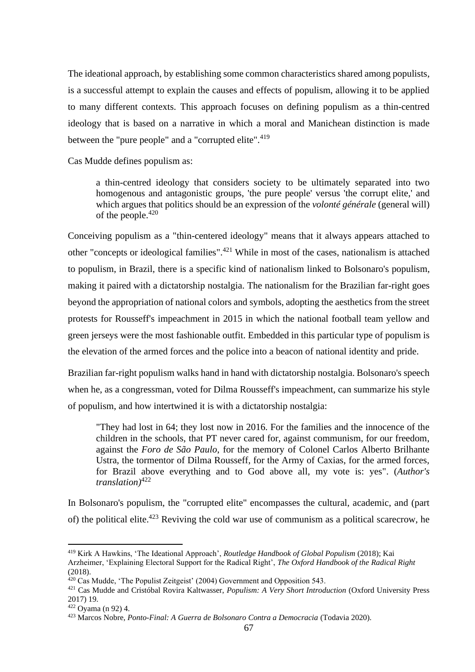The ideational approach, by establishing some common characteristics shared among populists, is a successful attempt to explain the causes and effects of populism, allowing it to be applied to many different contexts. This approach focuses on defining populism as a thin-centred ideology that is based on a narrative in which a moral and Manichean distinction is made between the "pure people" and a "corrupted elite".<sup>419</sup>

Cas Mudde defines populism as:

a thin-centred ideology that considers society to be ultimately separated into two homogenous and antagonistic groups, 'the pure people' versus 'the corrupt elite,' and which argues that politics should be an expression of the *volonté générale* (general will) of the people.<sup>420</sup>

Conceiving populism as a "thin-centered ideology" means that it always appears attached to other "concepts or ideological families".<sup>421</sup> While in most of the cases, nationalism is attached to populism, in Brazil, there is a specific kind of nationalism linked to Bolsonaro's populism, making it paired with a dictatorship nostalgia. The nationalism for the Brazilian far-right goes beyond the appropriation of national colors and symbols, adopting the aesthetics from the street protests for Rousseff's impeachment in 2015 in which the national football team yellow and green jerseys were the most fashionable outfit. Embedded in this particular type of populism is the elevation of the armed forces and the police into a beacon of national identity and pride.

Brazilian far-right populism walks hand in hand with dictatorship nostalgia. Bolsonaro's speech when he, as a congressman, voted for Dilma Rousseff's impeachment, can summarize his style of populism, and how intertwined it is with a dictatorship nostalgia:

"They had lost in 64; they lost now in 2016. For the families and the innocence of the children in the schools, that PT never cared for, against communism, for our freedom, against the *Foro de São Paulo*, for the memory of Colonel Carlos Alberto Brilhante Ustra, the tormentor of Dilma Rousseff, for the Army of Caxias, for the armed forces, for Brazil above everything and to God above all, my vote is: yes". (*Author's translation)*<sup>422</sup>

In Bolsonaro's populism, the "corrupted elite" encompasses the cultural, academic, and (part of) the political elite.<sup>423</sup> Reviving the cold war use of communism as a political scarecrow, he

<sup>419</sup> Kirk A Hawkins, 'The Ideational Approach', *Routledge Handbook of Global Populism* (2018); Kai Arzheimer, 'Explaining Electoral Support for the Radical Right', *The Oxford Handbook of the Radical Right* (2018).

 $420$  Cas Mudde, 'The Populist Zeitgeist' (2004) Government and Opposition 543.

<sup>421</sup> Cas Mudde and Cristóbal Rovira Kaltwasser, *Populism: A Very Short Introduction* (Oxford University Press 2017) 19.

 $422$  Ovama (n 92) 4.

<sup>423</sup> Marcos Nobre, *Ponto-Final: A Guerra de Bolsonaro Contra a Democracia* (Todavia 2020).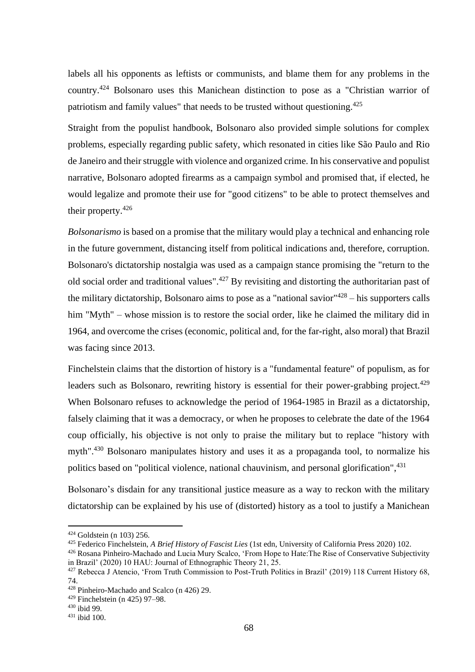labels all his opponents as leftists or communists, and blame them for any problems in the country.<sup>424</sup> Bolsonaro uses this Manichean distinction to pose as a "Christian warrior of patriotism and family values" that needs to be trusted without questioning.<sup>425</sup>

Straight from the populist handbook, Bolsonaro also provided simple solutions for complex problems, especially regarding public safety, which resonated in cities like São Paulo and Rio de Janeiro and their struggle with violence and organized crime. In his conservative and populist narrative, Bolsonaro adopted firearms as a campaign symbol and promised that, if elected, he would legalize and promote their use for "good citizens" to be able to protect themselves and their property.<sup>426</sup>

*Bolsonarismo* is based on a promise that the military would play a technical and enhancing role in the future government, distancing itself from political indications and, therefore, corruption. Bolsonaro's dictatorship nostalgia was used as a campaign stance promising the "return to the old social order and traditional values".<sup>427</sup> By revisiting and distorting the authoritarian past of the military dictatorship, Bolsonaro aims to pose as a "national savior"<sup>428</sup> – his supporters calls him "Myth" – whose mission is to restore the social order, like he claimed the military did in 1964, and overcome the crises (economic, political and, for the far-right, also moral) that Brazil was facing since 2013.

Finchelstein claims that the distortion of history is a "fundamental feature" of populism, as for leaders such as Bolsonaro, rewriting history is essential for their power-grabbing project.<sup>429</sup> When Bolsonaro refuses to acknowledge the period of 1964-1985 in Brazil as a dictatorship, falsely claiming that it was a democracy, or when he proposes to celebrate the date of the 1964 coup officially, his objective is not only to praise the military but to replace "history with myth".<sup>430</sup> Bolsonaro manipulates history and uses it as a propaganda tool, to normalize his politics based on "political violence, national chauvinism, and personal glorification", <sup>431</sup>

Bolsonaro's disdain for any transitional justice measure as a way to reckon with the military dictatorship can be explained by his use of (distorted) history as a tool to justify a Manichean

<sup>424</sup> Goldstein (n 103) 256.

<sup>425</sup> Federico Finchelstein, *A Brief History of Fascist Lies* (1st edn, University of California Press 2020) 102.

<sup>426</sup> Rosana Pinheiro-Machado and Lucia Mury Scalco, 'From Hope to Hate:The Rise of Conservative Subjectivity in Brazil' (2020) 10 HAU: Journal of Ethnographic Theory 21, 25.

<sup>427</sup> Rebecca J Atencio, 'From Truth Commission to Post-Truth Politics in Brazil' (2019) 118 Current History 68, 74.

<sup>428</sup> Pinheiro-Machado and Scalco (n 426) 29.

<sup>429</sup> Finchelstein (n 425) 97–98.

<sup>430</sup> ibid 99.

<sup>431</sup> ibid 100.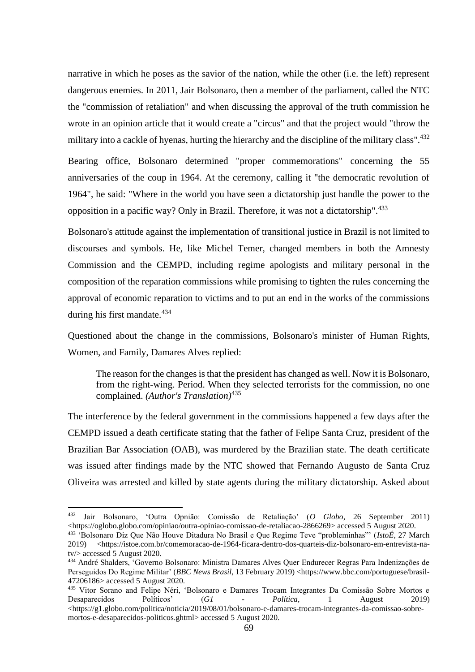narrative in which he poses as the savior of the nation, while the other (i.e. the left) represent dangerous enemies. In 2011, Jair Bolsonaro, then a member of the parliament, called the NTC the "commission of retaliation" and when discussing the approval of the truth commission he wrote in an opinion article that it would create a "circus" and that the project would "throw the military into a cackle of hyenas, hurting the hierarchy and the discipline of the military class". <sup>432</sup>

Bearing office, Bolsonaro determined "proper commemorations" concerning the 55 anniversaries of the coup in 1964. At the ceremony, calling it "the democratic revolution of 1964", he said: "Where in the world you have seen a dictatorship just handle the power to the opposition in a pacific way? Only in Brazil. Therefore, it was not a dictatorship".<sup>433</sup>

Bolsonaro's attitude against the implementation of transitional justice in Brazil is not limited to discourses and symbols. He, like Michel Temer, changed members in both the Amnesty Commission and the CEMPD, including regime apologists and military personal in the composition of the reparation commissions while promising to tighten the rules concerning the approval of economic reparation to victims and to put an end in the works of the commissions during his first mandate. $434$ 

Questioned about the change in the commissions, Bolsonaro's minister of Human Rights, Women, and Family, Damares Alves replied:

The reason for the changes is that the president has changed as well. Now it is Bolsonaro, from the right-wing. Period. When they selected terrorists for the commission, no one complained. *(Author's Translation)*<sup>435</sup>

The interference by the federal government in the commissions happened a few days after the CEMPD issued a death certificate stating that the father of Felipe Santa Cruz, president of the Brazilian Bar Association (OAB), was murdered by the Brazilian state. The death certificate was issued after findings made by the NTC showed that Fernando Augusto de Santa Cruz Oliveira was arrested and killed by state agents during the military dictatorship. Asked about

<sup>432</sup> Jair Bolsonaro, 'Outra Opnião: Comissão de Retaliação' (*O Globo*, 26 September 2011) <https://oglobo.globo.com/opiniao/outra-opiniao-comissao-de-retaliacao-2866269> accessed 5 August 2020.

<sup>433</sup> 'Bolsonaro Diz Que Não Houve Ditadura No Brasil e Que Regime Teve "probleminhas"' (*IstoÉ*, 27 March 2019) <https://istoe.com.br/comemoracao-de-1964-ficara-dentro-dos-quarteis-diz-bolsonaro-em-entrevista-natv/> accessed 5 August 2020.

<sup>434</sup> André Shalders, 'Governo Bolsonaro: Ministra Damares Alves Quer Endurecer Regras Para Indenizações de Perseguidos Do Regime Militar' (*BBC News Brasil*, 13 February 2019) <https://www.bbc.com/portuguese/brasil-47206186> accessed 5 August 2020.

<sup>435</sup> Vitor Sorano and Felipe Néri, 'Bolsonaro e Damares Trocam Integrantes Da Comissão Sobre Mortos e Desaparecidos Políticos' (*G1 - Política*, 1 August 2019) <https://g1.globo.com/politica/noticia/2019/08/01/bolsonaro-e-damares-trocam-integrantes-da-comissao-sobremortos-e-desaparecidos-politicos.ghtml> accessed 5 August 2020.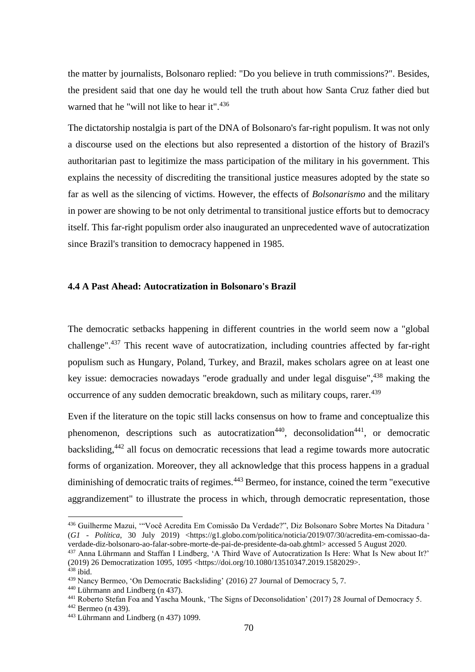the matter by journalists, Bolsonaro replied: "Do you believe in truth commissions?". Besides, the president said that one day he would tell the truth about how Santa Cruz father died but warned that he "will not like to hear it". 436

The dictatorship nostalgia is part of the DNA of Bolsonaro's far-right populism. It was not only a discourse used on the elections but also represented a distortion of the history of Brazil's authoritarian past to legitimize the mass participation of the military in his government. This explains the necessity of discrediting the transitional justice measures adopted by the state so far as well as the silencing of victims. However, the effects of *Bolsonarismo* and the military in power are showing to be not only detrimental to transitional justice efforts but to democracy itself. This far-right populism order also inaugurated an unprecedented wave of autocratization since Brazil's transition to democracy happened in 1985.

## **4.4 A Past Ahead: Autocratization in Bolsonaro's Brazil**

The democratic setbacks happening in different countries in the world seem now a "global challenge".<sup>437</sup> This recent wave of autocratization, including countries affected by far-right populism such as Hungary, Poland, Turkey, and Brazil, makes scholars agree on at least one key issue: democracies nowadays "erode gradually and under legal disguise", <sup>438</sup> making the occurrence of any sudden democratic breakdown, such as military coups, rarer.<sup>439</sup>

Even if the literature on the topic still lacks consensus on how to frame and conceptualize this phenomenon, descriptions such as autocratization<sup>440</sup>, deconsolidation<sup>441</sup>, or democratic backsliding,<sup>442</sup> all focus on democratic recessions that lead a regime towards more autocratic forms of organization. Moreover, they all acknowledge that this process happens in a gradual diminishing of democratic traits of regimes.<sup>443</sup> Bermeo, for instance, coined the term "executive aggrandizement" to illustrate the process in which, through democratic representation, those

<sup>436</sup> Guilherme Mazui, '"Você Acredita Em Comissão Da Verdade?", Diz Bolsonaro Sobre Mortes Na Ditadura ' (*G1 - Política*, 30 July 2019) <https://g1.globo.com/politica/noticia/2019/07/30/acredita-em-comissao-daverdade-diz-bolsonaro-ao-falar-sobre-morte-de-pai-de-presidente-da-oab.ghtml> accessed 5 August 2020.

<sup>437</sup> Anna Lührmann and Staffan I Lindberg, 'A Third Wave of Autocratization Is Here: What Is New about It?' (2019) 26 Democratization 1095, 1095 <https://doi.org/10.1080/13510347.2019.1582029>.

 $438$  ibid.

<sup>439</sup> Nancy Bermeo, 'On Democratic Backsliding' (2016) 27 Journal of Democracy 5, 7.

<sup>440</sup> Lührmann and Lindberg (n 437).

<sup>441</sup> Roberto Stefan Foa and Yascha Mounk, 'The Signs of Deconsolidation' (2017) 28 Journal of Democracy 5.

<sup>442</sup> Bermeo (n 439).

<sup>443</sup> Lührmann and Lindberg (n 437) 1099.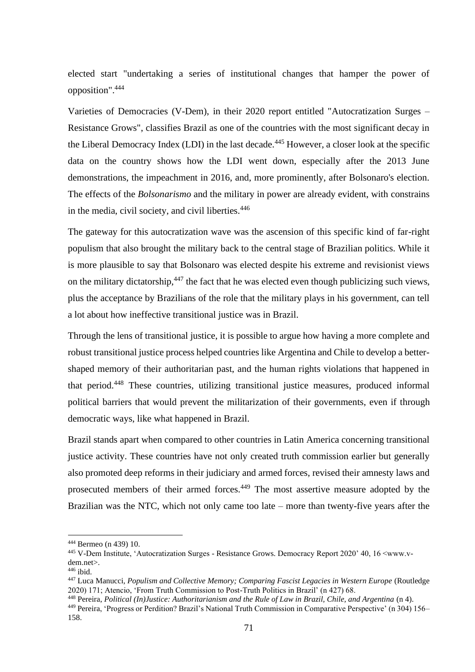elected start "undertaking a series of institutional changes that hamper the power of opposition". 444

Varieties of Democracies (V-Dem), in their 2020 report entitled "Autocratization Surges – Resistance Grows", classifies Brazil as one of the countries with the most significant decay in the Liberal Democracy Index (LDI) in the last decade.<sup>445</sup> However, a closer look at the specific data on the country shows how the LDI went down, especially after the 2013 June demonstrations, the impeachment in 2016, and, more prominently, after Bolsonaro's election. The effects of the *Bolsonarismo* and the military in power are already evident, with constrains in the media, civil society, and civil liberties.<sup>446</sup>

The gateway for this autocratization wave was the ascension of this specific kind of far-right populism that also brought the military back to the central stage of Brazilian politics. While it is more plausible to say that Bolsonaro was elected despite his extreme and revisionist views on the military dictatorship,  $447$  the fact that he was elected even though publicizing such views, plus the acceptance by Brazilians of the role that the military plays in his government, can tell a lot about how ineffective transitional justice was in Brazil.

Through the lens of transitional justice, it is possible to argue how having a more complete and robust transitional justice process helped countries like Argentina and Chile to develop a bettershaped memory of their authoritarian past, and the human rights violations that happened in that period.<sup>448</sup> These countries, utilizing transitional justice measures, produced informal political barriers that would prevent the militarization of their governments, even if through democratic ways, like what happened in Brazil.

Brazil stands apart when compared to other countries in Latin America concerning transitional justice activity. These countries have not only created truth commission earlier but generally also promoted deep reforms in their judiciary and armed forces, revised their amnesty laws and prosecuted members of their armed forces.<sup>449</sup> The most assertive measure adopted by the Brazilian was the NTC, which not only came too late – more than twenty-five years after the

<sup>444</sup> Bermeo (n 439) 10.

<sup>445</sup> V-Dem Institute, 'Autocratization Surges - Resistance Grows. Democracy Report 2020' 40, 16 <www.vdem.net>.

<sup>446</sup> ibid.

<sup>447</sup> Luca Manucci, *Populism and Collective Memory; Comparing Fascist Legacies in Western Europe* (Routledge 2020) 171; Atencio, 'From Truth Commission to Post-Truth Politics in Brazil' (n 427) 68.

<sup>448</sup> Pereira, *Political (In)Justice: Authoritarianism and the Rule of Law in Brazil, Chile, and Argentina* (n 4).

<sup>449</sup> Pereira, 'Progress or Perdition? Brazil's National Truth Commission in Comparative Perspective' (n 304) 156– 158.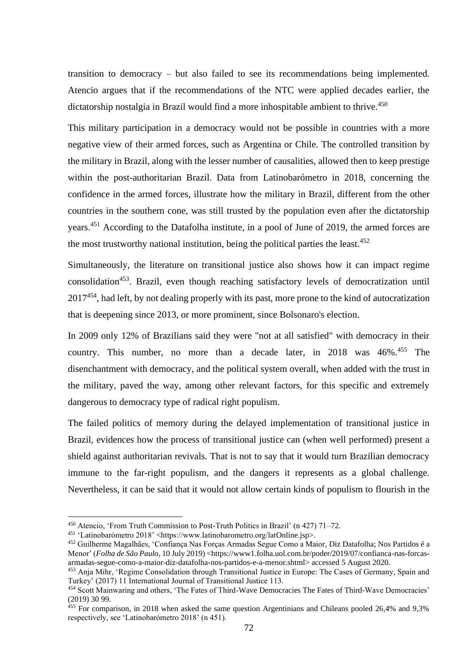transition to democracy – but also failed to see its recommendations being implemented. Atencio argues that if the recommendations of the NTC were applied decades earlier, the dictatorship nostalgia in Brazil would find a more inhospitable ambient to thrive.<sup>450</sup>

This military participation in a democracy would not be possible in countries with a more negative view of their armed forces, such as Argentina or Chile. The controlled transition by the military in Brazil, along with the lesser number of causalities, allowed then to keep prestige within the post-authoritarian Brazil. Data from Latinobarómetro in 2018, concerning the confidence in the armed forces, illustrate how the military in Brazil, different from the other countries in the southern cone, was still trusted by the population even after the dictatorship years.<sup>451</sup> According to the Datafolha institute, in a pool of June of 2019, the armed forces are the most trustworthy national institution, being the political parties the least.<sup>452</sup>

Simultaneously, the literature on transitional justice also shows how it can impact regime consolidation<sup>453</sup>. Brazil, even though reaching satisfactory levels of democratization until  $2017<sup>454</sup>$ , had left, by not dealing properly with its past, more prone to the kind of autocratization that is deepening since 2013, or more prominent, since Bolsonaro's election.

In 2009 only 12% of Brazilians said they were "not at all satisfied" with democracy in their country. This number, no more than a decade later, in 2018 was 46%.<sup>455</sup> The disenchantment with democracy, and the political system overall, when added with the trust in the military, paved the way, among other relevant factors, for this specific and extremely dangerous to democracy type of radical right populism.

The failed politics of memory during the delayed implementation of transitional justice in Brazil, evidences how the process of transitional justice can (when well performed) present a shield against authoritarian revivals. That is not to say that it would turn Brazilian democracy immune to the far-right populism, and the dangers it represents as a global challenge. Nevertheless, it can be said that it would not allow certain kinds of populism to flourish in the

<sup>450</sup> Atencio, 'From Truth Commission to Post-Truth Politics in Brazil' (n 427) 71–72.

<sup>451</sup> 'Latinobarómetro 2018' <https://www.latinobarometro.org/latOnline.jsp>.

<sup>452</sup> Guilherme Magalhães, 'Confiança Nas Forças Armadas Segue Como a Maior, Diz Datafolha; Nos Partidos é a Menor' (*Folha de São Paulo*, 10 July 2019) <https://www1.folha.uol.com.br/poder/2019/07/confianca-nas-forcasarmadas-segue-como-a-maior-diz-datafolha-nos-partidos-e-a-menor.shtml> accessed 5 August 2020.

<sup>453</sup> Anja Mihr, 'Regime Consolidation through Transitional Justice in Europe: The Cases of Germany, Spain and Turkey' (2017) 11 International Journal of Transitional Justice 113.

<sup>454</sup> Scott Mainwaring and others, 'The Fates of Third-Wave Democracies The Fates of Third-Wave Democracies' (2019) 30 99.

 $455$  For comparison, in 2018 when asked the same question Argentinians and Chileans pooled 26,4% and 9,3% respectively, see 'Latinobarómetro 2018' (n 451).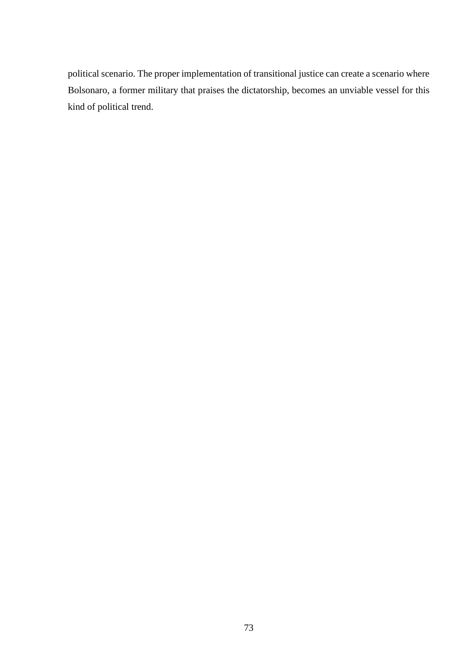political scenario. The proper implementation of transitional justice can create a scenario where Bolsonaro, a former military that praises the dictatorship, becomes an unviable vessel for this kind of political trend.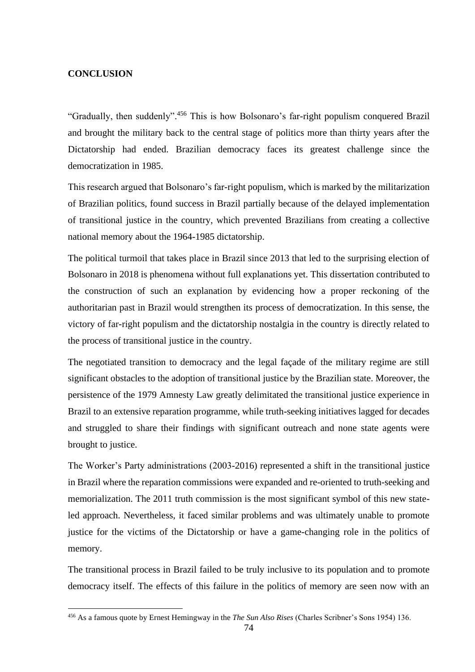## **CONCLUSION**

"Gradually, then suddenly".<sup>456</sup> This is how Bolsonaro's far-right populism conquered Brazil and brought the military back to the central stage of politics more than thirty years after the Dictatorship had ended. Brazilian democracy faces its greatest challenge since the democratization in 1985.

This research argued that Bolsonaro's far-right populism, which is marked by the militarization of Brazilian politics, found success in Brazil partially because of the delayed implementation of transitional justice in the country, which prevented Brazilians from creating a collective national memory about the 1964-1985 dictatorship.

The political turmoil that takes place in Brazil since 2013 that led to the surprising election of Bolsonaro in 2018 is phenomena without full explanations yet. This dissertation contributed to the construction of such an explanation by evidencing how a proper reckoning of the authoritarian past in Brazil would strengthen its process of democratization. In this sense, the victory of far-right populism and the dictatorship nostalgia in the country is directly related to the process of transitional justice in the country.

The negotiated transition to democracy and the legal façade of the military regime are still significant obstacles to the adoption of transitional justice by the Brazilian state. Moreover, the persistence of the 1979 Amnesty Law greatly delimitated the transitional justice experience in Brazil to an extensive reparation programme, while truth-seeking initiatives lagged for decades and struggled to share their findings with significant outreach and none state agents were brought to justice.

The Worker's Party administrations (2003-2016) represented a shift in the transitional justice in Brazil where the reparation commissions were expanded and re-oriented to truth-seeking and memorialization. The 2011 truth commission is the most significant symbol of this new stateled approach. Nevertheless, it faced similar problems and was ultimately unable to promote justice for the victims of the Dictatorship or have a game-changing role in the politics of memory.

The transitional process in Brazil failed to be truly inclusive to its population and to promote democracy itself. The effects of this failure in the politics of memory are seen now with an

<sup>456</sup> As a famous quote by Ernest Hemingway in the *The Sun Also Rises* (Charles Scribner's Sons 1954) 136.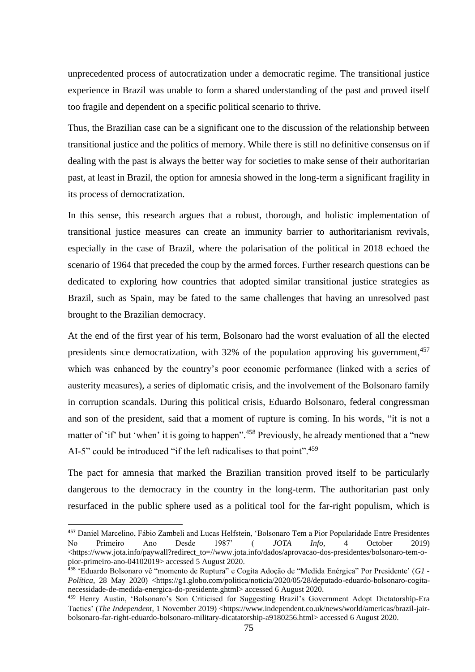unprecedented process of autocratization under a democratic regime. The transitional justice experience in Brazil was unable to form a shared understanding of the past and proved itself too fragile and dependent on a specific political scenario to thrive.

Thus, the Brazilian case can be a significant one to the discussion of the relationship between transitional justice and the politics of memory. While there is still no definitive consensus on if dealing with the past is always the better way for societies to make sense of their authoritarian past, at least in Brazil, the option for amnesia showed in the long-term a significant fragility in its process of democratization.

In this sense, this research argues that a robust, thorough, and holistic implementation of transitional justice measures can create an immunity barrier to authoritarianism revivals, especially in the case of Brazil, where the polarisation of the political in 2018 echoed the scenario of 1964 that preceded the coup by the armed forces. Further research questions can be dedicated to exploring how countries that adopted similar transitional justice strategies as Brazil, such as Spain, may be fated to the same challenges that having an unresolved past brought to the Brazilian democracy.

At the end of the first year of his term, Bolsonaro had the worst evaluation of all the elected presidents since democratization, with 32% of the population approving his government,<sup>457</sup> which was enhanced by the country's poor economic performance (linked with a series of austerity measures), a series of diplomatic crisis, and the involvement of the Bolsonaro family in corruption scandals. During this political crisis, Eduardo Bolsonaro, federal congressman and son of the president, said that a moment of rupture is coming. In his words, "it is not a matter of 'if' but 'when' it is going to happen".<sup>458</sup> Previously, he already mentioned that a "new AI-5" could be introduced "if the left radicalises to that point".<sup>459</sup>

The pact for amnesia that marked the Brazilian transition proved itself to be particularly dangerous to the democracy in the country in the long-term. The authoritarian past only resurfaced in the public sphere used as a political tool for the far-right populism, which is

<sup>457</sup> Daniel Marcelino, Fábio Zambeli and Lucas Helfstein, 'Bolsonaro Tem a Pior Popularidade Entre Presidentes No Primeiro Ano Desde 1987' ( *JOTA Info*, 4 October 2019)  $\langle$ https://www.jota.info/paywall?redirect\_to=//www.jota.info/dados/aprovacao-dos-presidentes/bolsonaro-tem-opior-primeiro-ano-04102019> accessed 5 August 2020.

<sup>458</sup> 'Eduardo Bolsonaro vê "momento de Ruptura" e Cogita Adoção de "Medida Enérgica" Por Presidente' (*G1 - Política*, 28 May 2020) <https://g1.globo.com/politica/noticia/2020/05/28/deputado-eduardo-bolsonaro-cogitanecessidade-de-medida-energica-do-presidente.ghtml> accessed 6 August 2020.

<sup>459</sup> Henry Austin, 'Bolsonaro's Son Criticised for Suggesting Brazil's Government Adopt Dictatorship-Era Tactics' (*The Independent*, 1 November 2019) <https://www.independent.co.uk/news/world/americas/brazil-jairbolsonaro-far-right-eduardo-bolsonaro-military-dicatatorship-a9180256.html> accessed 6 August 2020.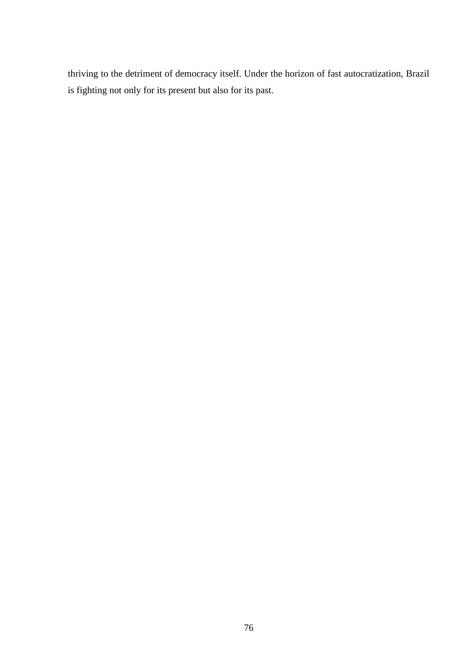thriving to the detriment of democracy itself. Under the horizon of fast autocratization, Brazil is fighting not only for its present but also for its past.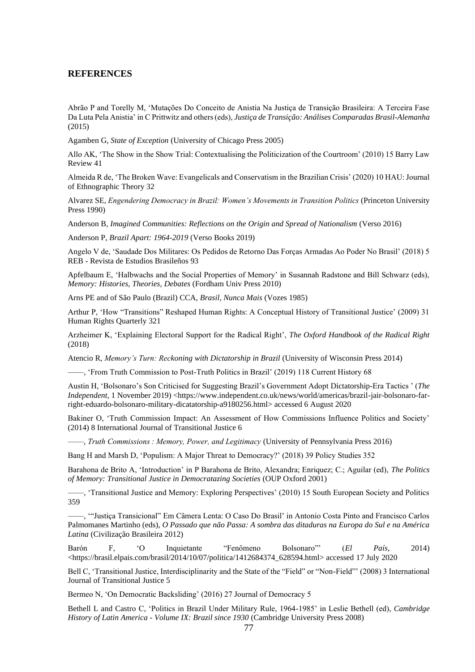## **REFERENCES**

Abrão P and Torelly M, 'Mutações Do Conceito de Anistia Na Justiça de Transição Brasileira: A Terceira Fase Da Luta Pela Anistia' in C Prittwitz and others (eds), *Justiça de Transição: Análises Comparadas Brasil-Alemanha* (2015)

Agamben G, *State of Exception* (University of Chicago Press 2005)

Allo AK, 'The Show in the Show Trial: Contextualising the Politicization of the Courtroom' (2010) 15 Barry Law Review 41

Almeida R de, 'The Broken Wave: Evangelicals and Conservatism in the Brazilian Crisis' (2020) 10 HAU: Journal of Ethnographic Theory 32

Alvarez SE, *Engendering Democracy in Brazil: Women's Movements in Transition Politics* (Princeton University Press 1990)

Anderson B, *Imagined Communities: Reflections on the Origin and Spread of Nationalism* (Verso 2016)

Anderson P, *Brazil Apart: 1964-2019* (Verso Books 2019)

Angelo V de, 'Saudade Dos Militares: Os Pedidos de Retorno Das Forças Armadas Ao Poder No Brasil' (2018) 5 REB - Revista de Estudios Brasileños 93

Apfelbaum E, 'Halbwachs and the Social Properties of Memory' in Susannah Radstone and Bill Schwarz (eds), *Memory: Histories, Theories, Debates* (Fordham Univ Press 2010)

Arns PE and of São Paulo (Brazil) CCA, *Brasil, Nunca Mais* (Vozes 1985)

Arthur P, 'How "Transitions" Reshaped Human Rights: A Conceptual History of Transitional Justice' (2009) 31 Human Rights Quarterly 321

Arzheimer K, 'Explaining Electoral Support for the Radical Right', *The Oxford Handbook of the Radical Right* (2018)

Atencio R, *Memory's Turn: Reckoning with Dictatorship in Brazil* (University of Wisconsin Press 2014)

——, 'From Truth Commission to Post-Truth Politics in Brazil' (2019) 118 Current History 68

Austin H, 'Bolsonaro's Son Criticised for Suggesting Brazil's Government Adopt Dictatorship-Era Tactics ' (*The Independent*, 1 November 2019) <https://www.independent.co.uk/news/world/americas/brazil-jair-bolsonaro-farright-eduardo-bolsonaro-military-dicatatorship-a9180256.html> accessed 6 August 2020

Bakiner O, 'Truth Commission Impact: An Assessment of How Commissions Influence Politics and Society' (2014) 8 International Journal of Transitional Justice 6

——, *Truth Commissions : Memory, Power, and Legitimacy* (University of Pennsylvania Press 2016)

Bang H and Marsh D, 'Populism: A Major Threat to Democracy?' (2018) 39 Policy Studies 352

Barahona de Brito A, 'Introduction' in P Barahona de Brito, Alexandra; Enriquez; C.; Aguilar (ed), *The Politics of Memory: Transitional Justice in Democratazing Societies* (OUP Oxford 2001)

——, 'Transitional Justice and Memory: Exploring Perspectives' (2010) 15 South European Society and Politics 359

——, '"Justiça Transicional" Em Câmera Lenta: O Caso Do Brasil' in Antonio Costa Pinto and Francisco Carlos Palmomanes Martinho (eds), *O Passado que não Passa: A sombra das ditaduras na Europa do Sul e na América Latina* (Civilização Brasileira 2012)

Barón F, 'O Inquietante "Fenômeno Bolsonaro"' (*El País*, 2014) <https://brasil.elpais.com/brasil/2014/10/07/politica/1412684374\_628594.html> accessed 17 July 2020

Bell C, 'Transitional Justice, Interdisciplinarity and the State of the "Field" or "Non-Field"' (2008) 3 International Journal of Transitional Justice 5

Bermeo N, 'On Democratic Backsliding' (2016) 27 Journal of Democracy 5

Bethell L and Castro C, 'Politics in Brazil Under Military Rule, 1964-1985' in Leslie Bethell (ed), *Cambridge History of Latin America - Volume IX: Brazil since 1930* (Cambridge University Press 2008)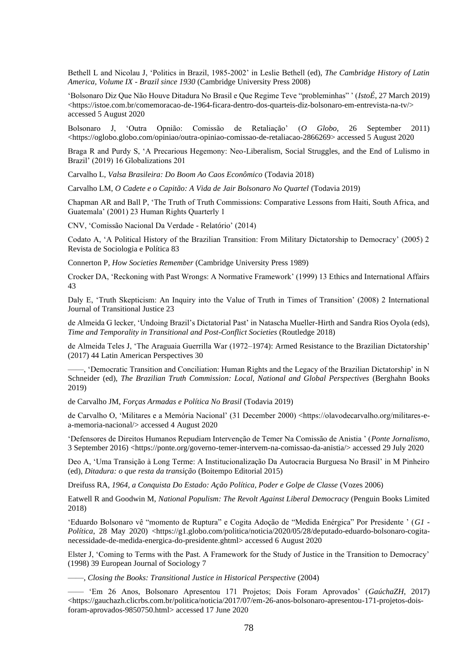Bethell L and Nicolau J, 'Politics in Brazil, 1985-2002' in Leslie Bethell (ed), *The Cambridge History of Latin America, Volume IX - Brazil since 1930* (Cambridge University Press 2008)

'Bolsonaro Diz Que Não Houve Ditadura No Brasil e Que Regime Teve "probleminhas" ' (*IstoÉ*, 27 March 2019) <https://istoe.com.br/comemoracao-de-1964-ficara-dentro-dos-quarteis-diz-bolsonaro-em-entrevista-na-tv/> accessed 5 August 2020

Bolsonaro J, 'Outra Opnião: Comissão de Retaliação' (*O Globo*, 26 September 2011) <https://oglobo.globo.com/opiniao/outra-opiniao-comissao-de-retaliacao-2866269> accessed 5 August 2020

Braga R and Purdy S, 'A Precarious Hegemony: Neo-Liberalism, Social Struggles, and the End of Lulismo in Brazil' (2019) 16 Globalizations 201

Carvalho L, *Valsa Brasileira: Do Boom Ao Caos Econômico* (Todavia 2018)

Carvalho LM, *O Cadete e o Capitão: A Vida de Jair Bolsonaro No Quartel* (Todavia 2019)

Chapman AR and Ball P, 'The Truth of Truth Commissions: Comparative Lessons from Haiti, South Africa, and Guatemala' (2001) 23 Human Rights Quarterly 1

CNV, 'Comissão Nacional Da Verdade - Relatório' (2014)

Codato A, 'A Political History of the Brazilian Transition: From Military Dictatorship to Democracy' (2005) 2 Revista de Sociologia e Política 83

Connerton P, *How Societies Remember* (Cambridge University Press 1989)

Crocker DA, 'Reckoning with Past Wrongs: A Normative Framework' (1999) 13 Ethics and International Affairs 43

Daly E, 'Truth Skepticism: An Inquiry into the Value of Truth in Times of Transition' (2008) 2 International Journal of Transitional Justice 23

de Almeida G lecker, 'Undoing Brazil's Dictatorial Past' in Natascha Mueller-Hirth and Sandra Rios Oyola (eds), *Time and Temporality in Transitional and Post-Conflict Societies* (Routledge 2018)

de Almeida Teles J, 'The Araguaia Guerrilla War (1972–1974): Armed Resistance to the Brazilian Dictatorship' (2017) 44 Latin American Perspectives 30

——, 'Democratic Transition and Conciliation: Human Rights and the Legacy of the Brazilian Dictatorship' in N Schneider (ed), *The Brazilian Truth Commission: Local, National and Global Perspectives* (Berghahn Books 2019)

de Carvalho JM, *Forças Armadas e Política No Brasil* (Todavia 2019)

de Carvalho O, 'Militares e a Memória Nacional' (31 December 2000) <https://olavodecarvalho.org/militares-ea-memoria-nacional/> accessed 4 August 2020

'Defensores de Direitos Humanos Repudiam Intervenção de Temer Na Comissão de Anistia ' (*Ponte Jornalismo*, 3 September 2016) <https://ponte.org/governo-temer-intervem-na-comissao-da-anistia/> accessed 29 July 2020

Deo A, 'Uma Transição à Long Terme: A Institucionalização Da Autocracia Burguesa No Brasil' in M Pinheiro (ed), *Ditadura: o que resta da transição* (Boitempo Editorial 2015)

Dreifuss RA, *1964, a Conquista Do Estado: Ação Política, Poder e Golpe de Classe* (Vozes 2006)

Eatwell R and Goodwin M, *National Populism: The Revolt Against Liberal Democracy* (Penguin Books Limited 2018)

'Eduardo Bolsonaro vê "momento de Ruptura" e Cogita Adoção de "Medida Enérgica" Por Presidente ' (*G1 - Política*, 28 May 2020) <https://g1.globo.com/politica/noticia/2020/05/28/deputado-eduardo-bolsonaro-cogitanecessidade-de-medida-energica-do-presidente.ghtml> accessed 6 August 2020

Elster J, 'Coming to Terms with the Past. A Framework for the Study of Justice in the Transition to Democracy' (1998) 39 European Journal of Sociology 7

——, *Closing the Books: Transitional Justice in Historical Perspective* (2004)

—— 'Em 26 Anos, Bolsonaro Apresentou 171 Projetos; Dois Foram Aprovados' (*GaúchaZH*, 2017) <https://gauchazh.clicrbs.com.br/politica/noticia/2017/07/em-26-anos-bolsonaro-apresentou-171-projetos-doisforam-aprovados-9850750.html> accessed 17 June 2020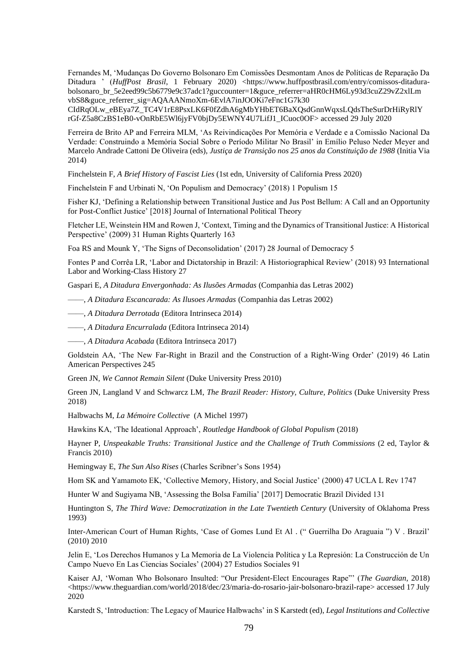Fernandes M, 'Mudanças Do Governo Bolsonaro Em Comissões Desmontam Anos de Políticas de Reparação Da Ditadura ' (*HuffPost Brasil*, 1 February 2020) <https://www.huffpostbrasil.com/entry/comissos-ditadurabolsonaro\_br\_5e2eed99c5b6779e9c37adc1?guccounter=1&guce\_referrer=aHR0cHM6Ly93d3cuZ29vZ2xlLm vbS8&guce\_referrer\_sig=AQAAANmoXm-6EvlA7inJOOKi7eFnc1G7k30

CIdRqOLw\_eBEya7Z\_TC4V1rE8PsxLK6F0fZdhA6gMbYHbET6BaXQsdGnnWqxsLQdsTheSurDrHiRyRlY rGf-Z5a8CzBS1eB0-vOnRbE5Wl6jyFV0bjDy5EWNY4U7LifJ1\_ICuoc0OF> accessed 29 July 2020

Ferreira de Brito AP and Ferreira MLM, 'As Reivindicações Por Memória e Verdade e a Comissão Nacional Da Verdade: Construindo a Memória Social Sobre o Período Militar No Brasil' in Emílio Peluso Neder Meyer and Marcelo Andrade Cattoni De Oliveira (eds), *Justiça de Transição nos 25 anos da Constituição de 1988* (Initia Via 2014)

Finchelstein F, *A Brief History of Fascist Lies* (1st edn, University of California Press 2020)

Finchelstein F and Urbinati N, 'On Populism and Democracy' (2018) 1 Populism 15

Fisher KJ, 'Defining a Relationship between Transitional Justice and Jus Post Bellum: A Call and an Opportunity for Post-Conflict Justice' [2018] Journal of International Political Theory

Fletcher LE, Weinstein HM and Rowen J, 'Context, Timing and the Dynamics of Transitional Justice: A Historical Perspective' (2009) 31 Human Rights Quarterly 163

Foa RS and Mounk Y, 'The Signs of Deconsolidation' (2017) 28 Journal of Democracy 5

Fontes P and Corrêa LR, 'Labor and Dictatorship in Brazil: A Historiographical Review' (2018) 93 International Labor and Working-Class History 27

Gaspari E, *A Ditadura Envergonhada: As Ilusões Armadas* (Companhia das Letras 2002)

——, *A Ditadura Escancarada: As Ilusoes Armadas* (Companhia das Letras 2002)

——, *A Ditadura Derrotada* (Editora Intrinseca 2014)

——, *A Ditadura Encurralada* (Editora Intrinseca 2014)

——, *A Ditadura Acabada* (Editora Intrinseca 2017)

Goldstein AA, 'The New Far-Right in Brazil and the Construction of a Right-Wing Order' (2019) 46 Latin American Perspectives 245

Green JN, *We Cannot Remain Silent* (Duke University Press 2010)

Green JN, Langland V and Schwarcz LM, *The Brazil Reader: History, Culture, Politics* (Duke University Press 2018)

Halbwachs M, *La Mémoire Collective* (A Michel 1997)

Hawkins KA, 'The Ideational Approach', *Routledge Handbook of Global Populism* (2018)

Hayner P, *Unspeakable Truths: Transitional Justice and the Challenge of Truth Commissions* (2 ed, Taylor & Francis 2010)

Hemingway E, *The Sun Also Rises* (Charles Scribner's Sons 1954)

Hom SK and Yamamoto EK, 'Collective Memory, History, and Social Justice' (2000) 47 UCLA L Rev 1747

Hunter W and Sugiyama NB, 'Assessing the Bolsa Família' [2017] Democratic Brazil Divided 131

Huntington S, *The Third Wave: Democratization in the Late Twentieth Century* (University of Oklahoma Press 1993)

Inter-American Court of Human Rights, 'Case of Gomes Lund Et Al . (" Guerrilha Do Araguaia ") V . Brazil' (2010) 2010

Jelin E, 'Los Derechos Humanos y La Memoria de La Violencia Política y La Represión: La Construcción de Un Campo Nuevo En Las Ciencias Sociales' (2004) 27 Estudios Sociales 91

Kaiser AJ, 'Woman Who Bolsonaro Insulted: "Our President-Elect Encourages Rape"' (*The Guardian*, 2018) <https://www.theguardian.com/world/2018/dec/23/maria-do-rosario-jair-bolsonaro-brazil-rape> accessed 17 July 2020

Karstedt S, 'Introduction: The Legacy of Maurice Halbwachs' in S Karstedt (ed), *Legal Institutions and Collective*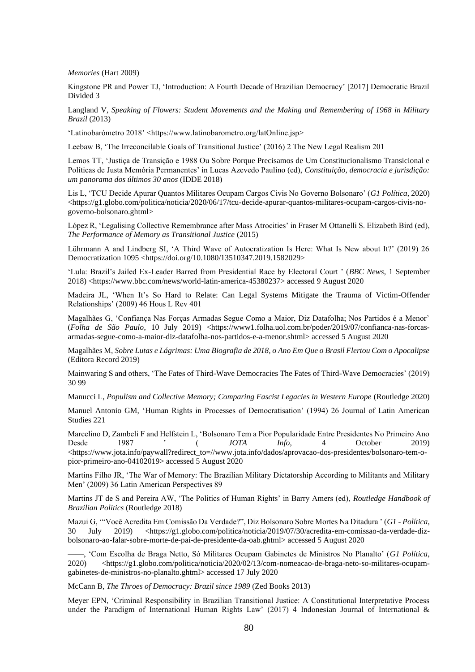*Memories* (Hart 2009)

Kingstone PR and Power TJ, 'Introduction: A Fourth Decade of Brazilian Democracy' [2017] Democratic Brazil Divided 3

Langland V, *Speaking of Flowers: Student Movements and the Making and Remembering of 1968 in Military Brazil* (2013)

'Latinobarómetro 2018' <https://www.latinobarometro.org/latOnline.jsp>

Leebaw B, 'The Irreconcilable Goals of Transitional Justice' (2016) 2 The New Legal Realism 201

Lemos TT, 'Justiça de Transição e 1988 Ou Sobre Porque Precisamos de Um Constitucionalismo Transicional e Políticas de Justa Memória Permanentes' in Lucas Azevedo Paulino (ed), *Constituição, democracia e jurisdição: um panorama dos últimos 30 anos* (IDDE 2018)

Lis L, 'TCU Decide Apurar Quantos Militares Ocupam Cargos Civis No Governo Bolsonaro' (*G1 Política*, 2020)  $\langle$ https://g1.globo.com/politica/noticia/2020/06/17/tcu-decide-apurar-quantos-militares-ocupam-cargos-civis-nogoverno-bolsonaro.ghtml>

López R, 'Legalising Collective Remembrance after Mass Atrocities' in Fraser M Ottanelli S. Elizabeth Bird (ed), *The Performance of Memory as Transitional Justice* (2015)

Lührmann A and Lindberg SI, 'A Third Wave of Autocratization Is Here: What Is New about It?' (2019) 26 Democratization 1095 <https://doi.org/10.1080/13510347.2019.1582029>

'Lula: Brazil's Jailed Ex-Leader Barred from Presidential Race by Electoral Court ' (*BBC News*, 1 September 2018) <https://www.bbc.com/news/world-latin-america-45380237> accessed 9 August 2020

Madeira JL, 'When It's So Hard to Relate: Can Legal Systems Mitigate the Trauma of Victim-Offender Relationships' (2009) 46 Hous L Rev 401

Magalhães G, 'Confiança Nas Forças Armadas Segue Como a Maior, Diz Datafolha; Nos Partidos é a Menor' (*Folha de São Paulo*, 10 July 2019) <https://www1.folha.uol.com.br/poder/2019/07/confianca-nas-forcasarmadas-segue-como-a-maior-diz-datafolha-nos-partidos-e-a-menor.shtml> accessed 5 August 2020

Magalhães M, *Sobre Lutas e Lágrimas: Uma Biografia de 2018, o Ano Em Que o Brasil Flertou Com o Apocalipse* (Editora Record 2019)

Mainwaring S and others, 'The Fates of Third-Wave Democracies The Fates of Third-Wave Democracies' (2019) 30 99

Manucci L, *Populism and Collective Memory; Comparing Fascist Legacies in Western Europe* (Routledge 2020)

Manuel Antonio GM, 'Human Rights in Processes of Democratisation' (1994) 26 Journal of Latin American Studies 221

Marcelino D, Zambeli F and Helfstein L, 'Bolsonaro Tem a Pior Popularidade Entre Presidentes No Primeiro Ano Desde 1987 ' ( *JOTA Info*, 4 October 2019) <https://www.jota.info/paywall?redirect\_to=//www.jota.info/dados/aprovacao-dos-presidentes/bolsonaro-tem-opior-primeiro-ano-04102019> accessed 5 August 2020

Martins Filho JR, 'The War of Memory: The Brazilian Military Dictatorship According to Militants and Military Men' (2009) 36 Latin American Perspectives 89

Martins JT de S and Pereira AW, 'The Politics of Human Rights' in Barry Amers (ed), *Routledge Handbook of Brazilian Politics* (Routledge 2018)

Mazui G, '"Você Acredita Em Comissão Da Verdade?", Diz Bolsonaro Sobre Mortes Na Ditadura ' (*G1 - Política*, 30 July 2019) <https://g1.globo.com/politica/noticia/2019/07/30/acredita-em-comissao-da-verdade-dizbolsonaro-ao-falar-sobre-morte-de-pai-de-presidente-da-oab.ghtml> accessed 5 August 2020

——, 'Com Escolha de Braga Netto, Só Militares Ocupam Gabinetes de Ministros No Planalto' (*G1 Política*, 2020) <https://g1.globo.com/politica/noticia/2020/02/13/com-nomeacao-de-braga-neto-so-militares-ocupamgabinetes-de-ministros-no-planalto.ghtml> accessed 17 July 2020

McCann B, *The Throes of Democracy: Brazil since 1989* (Zed Books 2013)

Meyer EPN, 'Criminal Responsibility in Brazilian Transitional Justice: A Constitutional Interpretative Process under the Paradigm of International Human Rights Law' (2017) 4 Indonesian Journal of International &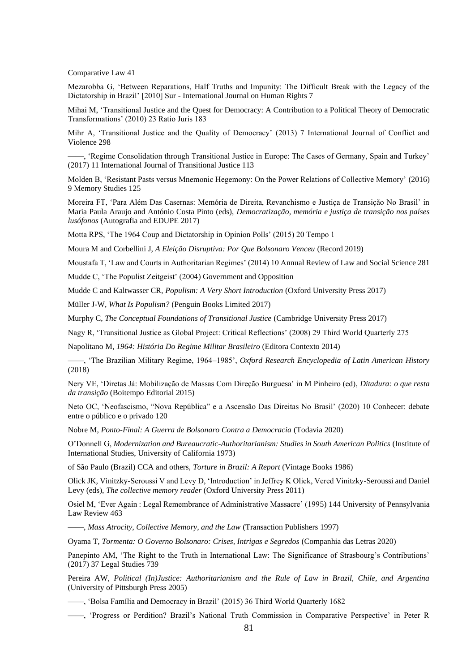Comparative Law 41

Mezarobba G, 'Between Reparations, Half Truths and Impunity: The Difficult Break with the Legacy of the Dictatorship in Brazil' [2010] Sur - International Journal on Human Rights 7

Mihai M, 'Transitional Justice and the Quest for Democracy: A Contribution to a Political Theory of Democratic Transformations' (2010) 23 Ratio Juris 183

Mihr A, 'Transitional Justice and the Quality of Democracy' (2013) 7 International Journal of Conflict and Violence 298

——, 'Regime Consolidation through Transitional Justice in Europe: The Cases of Germany, Spain and Turkey' (2017) 11 International Journal of Transitional Justice 113

Molden B, 'Resistant Pasts versus Mnemonic Hegemony: On the Power Relations of Collective Memory' (2016) 9 Memory Studies 125

Moreira FT, 'Para Além Das Casernas: Memória de Direita, Revanchismo e Justiça de Transição No Brasil' in Maria Paula Araujo and António Costa Pinto (eds), *Democratização, memória e justiça de transição nos países lusófonos* (Autografia and EDUPE 2017)

Motta RPS, 'The 1964 Coup and Dictatorship in Opinion Polls' (2015) 20 Tempo 1

Moura M and Corbellini J, *A Eleição Disruptiva: Por Que Bolsonaro Venceu* (Record 2019)

Moustafa T, 'Law and Courts in Authoritarian Regimes' (2014) 10 Annual Review of Law and Social Science 281

Mudde C, 'The Populist Zeitgeist' (2004) Government and Opposition

Mudde C and Kaltwasser CR, *Populism: A Very Short Introduction* (Oxford University Press 2017)

Müller J-W, *What Is Populism?* (Penguin Books Limited 2017)

Murphy C, *The Conceptual Foundations of Transitional Justice* (Cambridge University Press 2017)

Nagy R, 'Transitional Justice as Global Project: Critical Reflections' (2008) 29 Third World Quarterly 275

Napolitano M, *1964: História Do Regime Militar Brasileiro* (Editora Contexto 2014)

——, 'The Brazilian Military Regime, 1964–1985', *Oxford Research Encyclopedia of Latin American History* (2018)

Nery VE, 'Diretas Já: Mobilização de Massas Com Direção Burguesa' in M Pinheiro (ed), *Ditadura: o que resta da transição* (Boitempo Editorial 2015)

Neto OC, 'Neofascismo, "Nova República" e a Ascensão Das Direitas No Brasil' (2020) 10 Conhecer: debate entre o público e o privado 120

Nobre M, *Ponto-Final: A Guerra de Bolsonaro Contra a Democracia* (Todavia 2020)

O'Donnell G, *Modernization and Bureaucratic-Authoritarianism: Studies in South American Politics* (Institute of International Studies, University of California 1973)

of São Paulo (Brazil) CCA and others, *Torture in Brazil: A Report* (Vintage Books 1986)

Olick JK, Vinitzky-Seroussi V and Levy D, 'Introduction' in Jeffrey K Olick, Vered Vinitzky-Seroussi and Daniel Levy (eds), *The collective memory reader* (Oxford University Press 2011)

Osiel M, 'Ever Again : Legal Remembrance of Administrative Massacre' (1995) 144 University of Pennsylvania Law Review 463

——, *Mass Atrocity, Collective Memory, and the Law* (Transaction Publishers 1997)

Oyama T, *Tormenta: O Governo Bolsonaro: Crises, Intrigas e Segredos* (Companhia das Letras 2020)

Panepinto AM, 'The Right to the Truth in International Law: The Significance of Strasbourg's Contributions' (2017) 37 Legal Studies 739

Pereira AW, *Political (In)Justice: Authoritarianism and the Rule of Law in Brazil, Chile, and Argentina* (University of Pittsburgh Press 2005)

——, 'Bolsa Família and Democracy in Brazil' (2015) 36 Third World Quarterly 1682

——, 'Progress or Perdition? Brazil's National Truth Commission in Comparative Perspective' in Peter R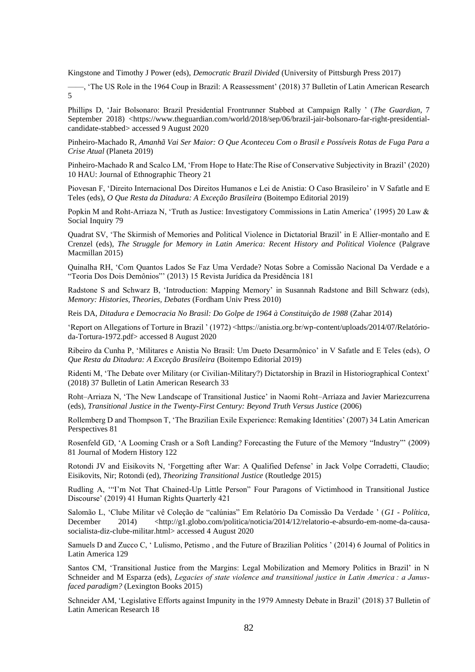Kingstone and Timothy J Power (eds), *Democratic Brazil Divided* (University of Pittsburgh Press 2017)

——, 'The US Role in the 1964 Coup in Brazil: A Reassessment' (2018) 37 Bulletin of Latin American Research 5

Phillips D, 'Jair Bolsonaro: Brazil Presidential Frontrunner Stabbed at Campaign Rally ' (*The Guardian*, 7 September 2018) <https://www.theguardian.com/world/2018/sep/06/brazil-jair-bolsonaro-far-right-presidentialcandidate-stabbed> accessed 9 August 2020

Pinheiro-Machado R, *Amanhã Vai Ser Maior: O Que Aconteceu Com o Brasil e Possíveis Rotas de Fuga Para a Crise Atual* (Planeta 2019)

Pinheiro-Machado R and Scalco LM, 'From Hope to Hate:The Rise of Conservative Subjectivity in Brazil' (2020) 10 HAU: Journal of Ethnographic Theory 21

Piovesan F, 'Direito Internacional Dos Direitos Humanos e Lei de Anistia: O Caso Brasileiro' in V Safatle and E Teles (eds), *O Que Resta da Ditadura: A Exceção Brasileira* (Boitempo Editorial 2019)

Popkin M and Roht‐Arriaza N, 'Truth as Justice: Investigatory Commissions in Latin America' (1995) 20 Law & Social Inquiry 79

Quadrat SV, 'The Skirmish of Memories and Political Violence in Dictatorial Brazil' in E Allier-montaño and E Crenzel (eds), *The Struggle for Memory in Latin America: Recent History and Political Violence* (Palgrave Macmillan 2015)

Quinalha RH, 'Com Quantos Lados Se Faz Uma Verdade? Notas Sobre a Comissão Nacional Da Verdade e a "Teoria Dos Dois Demônios"' (2013) 15 Revista Jurídica da Presidência 181

Radstone S and Schwarz B, 'Introduction: Mapping Memory' in Susannah Radstone and Bill Schwarz (eds), *Memory: Histories, Theories, Debates* (Fordham Univ Press 2010)

Reis DA, *Ditadura e Democracia No Brasil: Do Golpe de 1964 à Constituição de 1988* (Zahar 2014)

'Report on Allegations of Torture in Brazil ' (1972) <https://anistia.org.br/wp-content/uploads/2014/07/Relatórioda-Tortura-1972.pdf> accessed 8 August 2020

Ribeiro da Cunha P, 'Militares e Anistia No Brasil: Um Dueto Desarmônico' in V Safatle and E Teles (eds), *O Que Resta da Ditadura: A Exceção Brasileira* (Boitempo Editorial 2019)

Ridenti M, 'The Debate over Military (or Civilian-Military?) Dictatorship in Brazil in Historiographical Context' (2018) 37 Bulletin of Latin American Research 33

Roht–Arriaza N, 'The New Landscape of Transitional Justice' in Naomi Roht–Arriaza and Javier Mariezcurrena (eds), *Transitional Justice in the Twenty-First Century: Beyond Truth Versus Justice* (2006)

Rollemberg D and Thompson T, 'The Brazilian Exile Experience: Remaking Identities' (2007) 34 Latin American Perspectives 81

Rosenfeld GD, 'A Looming Crash or a Soft Landing? Forecasting the Future of the Memory "Industry"' (2009) 81 Journal of Modern History 122

Rotondi JV and Eisikovits N, 'Forgetting after War: A Qualified Defense' in Jack Volpe Corradetti, Claudio; Eisikovits, Nir; Rotondi (ed), *Theorizing Transitional Justice* (Routledge 2015)

Rudling A, '"I'm Not That Chained-Up Little Person" Four Paragons of Victimhood in Transitional Justice Discourse' (2019) 41 Human Rights Quarterly 421

Salomão L, 'Clube Militar vê Coleção de "calúnias" Em Relatório Da Comissão Da Verdade ' (*G1 - Política*, December 2014) <http://g1.globo.com/politica/noticia/2014/12/relatorio-e-absurdo-em-nome-da-causasocialista-diz-clube-militar.html> accessed 4 August 2020

Samuels D and Zucco C, ' Lulismo, Petismo , and the Future of Brazilian Politics ' (2014) 6 Journal of Politics in Latin America 129

Santos CM, 'Transitional Justice from the Margins: Legal Mobilization and Memory Politics in Brazil' in N Schneider and M Esparza (eds), *Legacies of state violence and transitional justice in Latin America : a Janusfaced paradigm?* (Lexington Books 2015)

Schneider AM, 'Legislative Efforts against Impunity in the 1979 Amnesty Debate in Brazil' (2018) 37 Bulletin of Latin American Research 18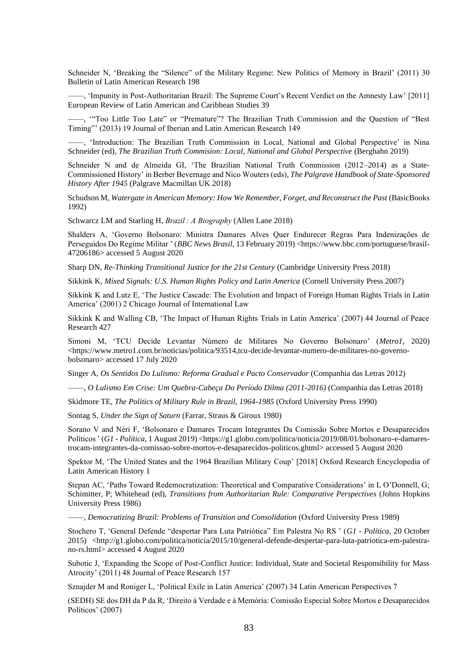Schneider N, 'Breaking the "Silence" of the Military Regime: New Politics of Memory in Brazil' (2011) 30 Bulletin of Latin American Research 198

——, 'Impunity in Post-Authoritarian Brazil: The Supreme Court's Recent Verdict on the Amnesty Law' [2011] European Review of Latin American and Caribbean Studies 39

——, '"Too Little Too Late" or "Premature"? The Brazilian Truth Commission and the Question of "Best Timing"' (2013) 19 Journal of Iberian and Latin American Research 149

——, 'Introduction: The Brazilian Truth Commission in Local, National and Global Perspective' in Nina Schneider (ed), *The Brazilian Truth Commision: Local, National and Global Perspective* (Berghahn 2019)

Schneider N and de Almeida GI, 'The Brazilian National Truth Commission (2012–2014) as a State-Commissioned History' in Berber Bevernage and Nico Wouters (eds), *The Palgrave Handbook of State-Sponsored History After 1945* (Palgrave Macmillan UK 2018)

Schudson M, *Watergate in American Memory: How We Remember, Forget, and Reconstruct the Past* (BasicBooks 1992)

Schwarcz LM and Starling H, *Brazil : A Biography* (Allen Lane 2018)

Shalders A, 'Governo Bolsonaro: Ministra Damares Alves Quer Endurecer Regras Para Indenizações de Perseguidos Do Regime Militar ' (*BBC News Brasil*, 13 February 2019) <https://www.bbc.com/portuguese/brasil-47206186> accessed 5 August 2020

Sharp DN, *Re-Thinking Transitional Justice for the 21st Century* (Cambridge University Press 2018)

Sikkink K, *Mixed Signals: U.S. Human Rights Policy and Latin America* (Cornell University Press 2007)

Sikkink K and Lutz E, 'The Justice Cascade: The Evolution and Impact of Foreign Human Rights Trials in Latin America' (2001) 2 Chicago Journal of International Law

Sikkink K and Walling CB, 'The Impact of Human Rights Trials in Latin America' (2007) 44 Journal of Peace Research 427

Simoni M, 'TCU Decide Levantar Número de Militares No Governo Bolsonaro' (*Metro1*, 2020)  $\langle$ https://www.metro1.com.br/noticias/politica/93514,tcu-decide-levantar-numero-de-militares-no-governobolsonaro> accessed 17 July 2020

Singer A, *Os Sentidos Do Lulismo: Reforma Gradual e Pacto Conservador* (Companhia das Letras 2012)

——, *O Lulismo Em Crise: Um Quebra-Cabeça Do Período Dilma (2011-2016)* (Companhia das Letras 2018)

Skidmore TE, *The Politics of Military Rule in Brazil, 1964-1985* (Oxford University Press 1990)

Sontag S, *Under the Sign of Saturn* (Farrar, Straus & Giroux 1980)

Sorano V and Néri F, 'Bolsonaro e Damares Trocam Integrantes Da Comissão Sobre Mortos e Desaparecidos Políticos ' (*G1 - Política*, 1 August 2019) <https://g1.globo.com/politica/noticia/2019/08/01/bolsonaro-e-damarestrocam-integrantes-da-comissao-sobre-mortos-e-desaparecidos-politicos.ghtml> accessed 5 August 2020

Spektor M, 'The United States and the 1964 Brazilian Military Coup' [2018] Oxford Research Encyclopedia of Latin American History 1

Stepan AC, 'Paths Toward Redemocratization: Theoretical and Comparative Considerations' in L O'Donnell, G; Schimitter, P; Whitehead (ed), *Transitions from Authoritarian Rule: Comparative Perspectives* (Johns Hopkins University Press 1986)

——, *Democratizing Brazil: Problems of Transition and Consolidation* (Oxford University Press 1989)

Stochero T, 'General Defende "despertar Para Luta Patriótica" Em Palestra No RS ' (*G1 - Política*, 20 October 2015) <http://g1.globo.com/politica/noticia/2015/10/general-defende-despertar-para-luta-patriotica-em-palestrano-rs.html> accessed 4 August 2020

Subotic J, 'Expanding the Scope of Post-Conflict Justice: Individual, State and Societal Responsibility for Mass Atrocity' (2011) 48 Journal of Peace Research 157

Sznajder M and Roniger L, 'Political Exile in Latin America' (2007) 34 Latin American Perspectives 7

(SEDH) SE dos DH da P da R, 'Direito à Verdade e à Memória: Comissão Especial Sobre Mortos e Desaparecidos Políticos' (2007)